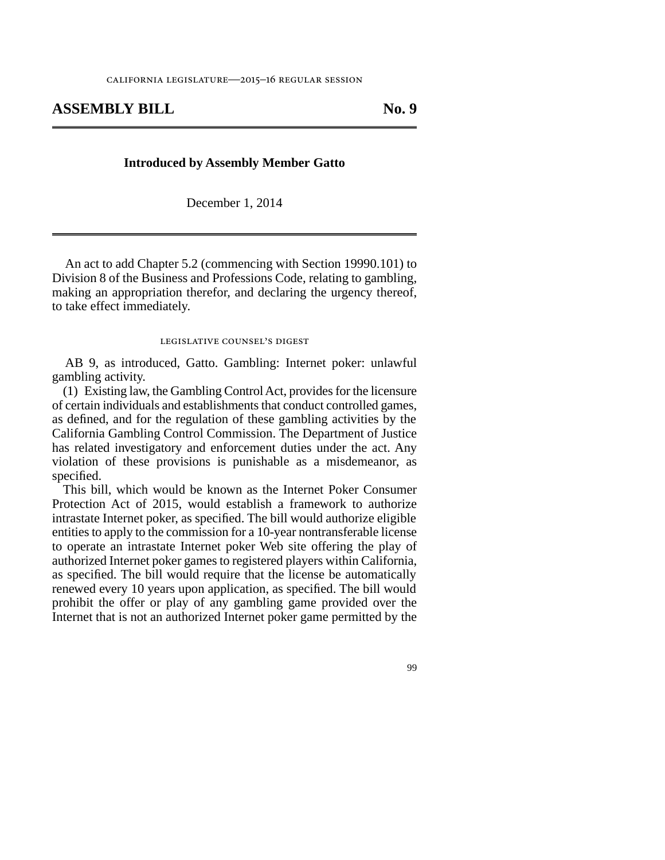# ASSEMBLY BILL No. 9

#### **Introduced by Assembly Member Gatto**

December 1, 2014

An act to add Chapter 5.2 (commencing with Section 19990.101) to Division 8 of the Business and Professions Code, relating to gambling, making an appropriation therefor, and declaring the urgency thereof, to take effect immediately.

#### legislative counsel's digest

AB 9, as introduced, Gatto. Gambling: Internet poker: unlawful gambling activity.

(1) Existing law, the Gambling Control Act, provides for the licensure of certain individuals and establishments that conduct controlled games, as defined, and for the regulation of these gambling activities by the California Gambling Control Commission. The Department of Justice has related investigatory and enforcement duties under the act. Any violation of these provisions is punishable as a misdemeanor, as specified.

This bill, which would be known as the Internet Poker Consumer Protection Act of 2015, would establish a framework to authorize intrastate Internet poker, as specified. The bill would authorize eligible entities to apply to the commission for a 10-year nontransferable license to operate an intrastate Internet poker Web site offering the play of authorized Internet poker games to registered players within California, as specified. The bill would require that the license be automatically renewed every 10 years upon application, as specified. The bill would prohibit the offer or play of any gambling game provided over the Internet that is not an authorized Internet poker game permitted by the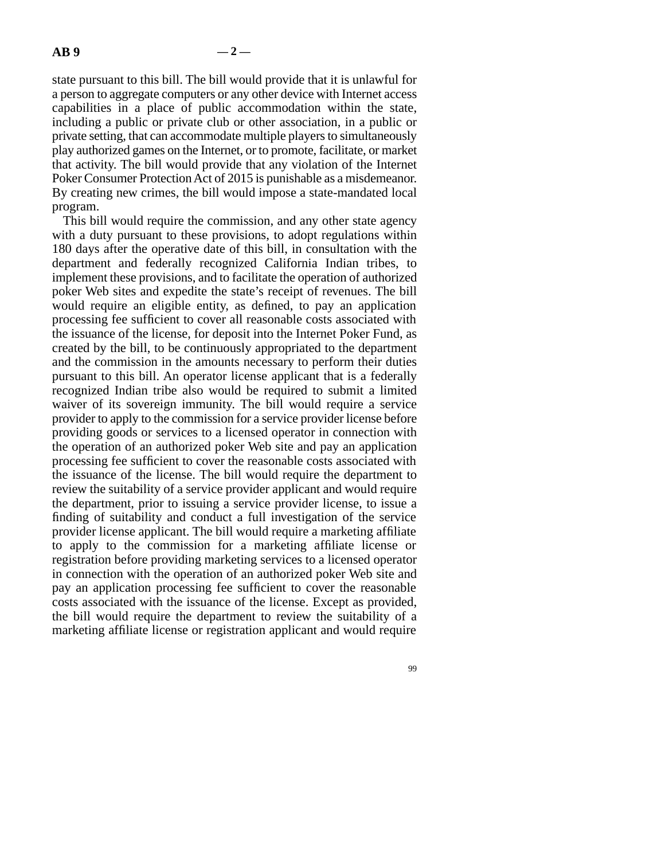state pursuant to this bill. The bill would provide that it is unlawful for a person to aggregate computers or any other device with Internet access capabilities in a place of public accommodation within the state, including a public or private club or other association, in a public or private setting, that can accommodate multiple players to simultaneously play authorized games on the Internet, or to promote, facilitate, or market that activity. The bill would provide that any violation of the Internet Poker Consumer Protection Act of 2015 is punishable as a misdemeanor. By creating new crimes, the bill would impose a state-mandated local program.

This bill would require the commission, and any other state agency with a duty pursuant to these provisions, to adopt regulations within 180 days after the operative date of this bill, in consultation with the department and federally recognized California Indian tribes, to implement these provisions, and to facilitate the operation of authorized poker Web sites and expedite the state's receipt of revenues. The bill would require an eligible entity, as defined, to pay an application processing fee sufficient to cover all reasonable costs associated with the issuance of the license, for deposit into the Internet Poker Fund, as created by the bill, to be continuously appropriated to the department and the commission in the amounts necessary to perform their duties pursuant to this bill. An operator license applicant that is a federally recognized Indian tribe also would be required to submit a limited waiver of its sovereign immunity. The bill would require a service provider to apply to the commission for a service provider license before providing goods or services to a licensed operator in connection with the operation of an authorized poker Web site and pay an application processing fee sufficient to cover the reasonable costs associated with the issuance of the license. The bill would require the department to review the suitability of a service provider applicant and would require the department, prior to issuing a service provider license, to issue a finding of suitability and conduct a full investigation of the service provider license applicant. The bill would require a marketing affiliate to apply to the commission for a marketing affiliate license or registration before providing marketing services to a licensed operator in connection with the operation of an authorized poker Web site and pay an application processing fee sufficient to cover the reasonable costs associated with the issuance of the license. Except as provided, the bill would require the department to review the suitability of a marketing affiliate license or registration applicant and would require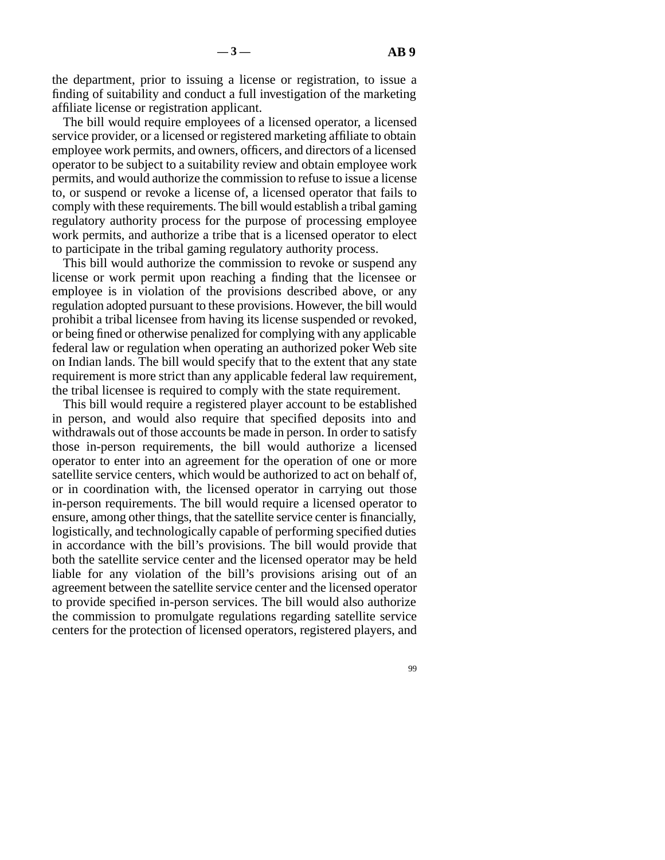the department, prior to issuing a license or registration, to issue a finding of suitability and conduct a full investigation of the marketing affiliate license or registration applicant.

The bill would require employees of a licensed operator, a licensed service provider, or a licensed or registered marketing affiliate to obtain employee work permits, and owners, officers, and directors of a licensed operator to be subject to a suitability review and obtain employee work permits, and would authorize the commission to refuse to issue a license to, or suspend or revoke a license of, a licensed operator that fails to comply with these requirements. The bill would establish a tribal gaming regulatory authority process for the purpose of processing employee work permits, and authorize a tribe that is a licensed operator to elect to participate in the tribal gaming regulatory authority process.

This bill would authorize the commission to revoke or suspend any license or work permit upon reaching a finding that the licensee or employee is in violation of the provisions described above, or any regulation adopted pursuant to these provisions. However, the bill would prohibit a tribal licensee from having its license suspended or revoked, or being fined or otherwise penalized for complying with any applicable federal law or regulation when operating an authorized poker Web site on Indian lands. The bill would specify that to the extent that any state requirement is more strict than any applicable federal law requirement, the tribal licensee is required to comply with the state requirement.

This bill would require a registered player account to be established in person, and would also require that specified deposits into and withdrawals out of those accounts be made in person. In order to satisfy those in-person requirements, the bill would authorize a licensed operator to enter into an agreement for the operation of one or more satellite service centers, which would be authorized to act on behalf of, or in coordination with, the licensed operator in carrying out those in-person requirements. The bill would require a licensed operator to ensure, among other things, that the satellite service center is financially, logistically, and technologically capable of performing specified duties in accordance with the bill's provisions. The bill would provide that both the satellite service center and the licensed operator may be held liable for any violation of the bill's provisions arising out of an agreement between the satellite service center and the licensed operator to provide specified in-person services. The bill would also authorize the commission to promulgate regulations regarding satellite service centers for the protection of licensed operators, registered players, and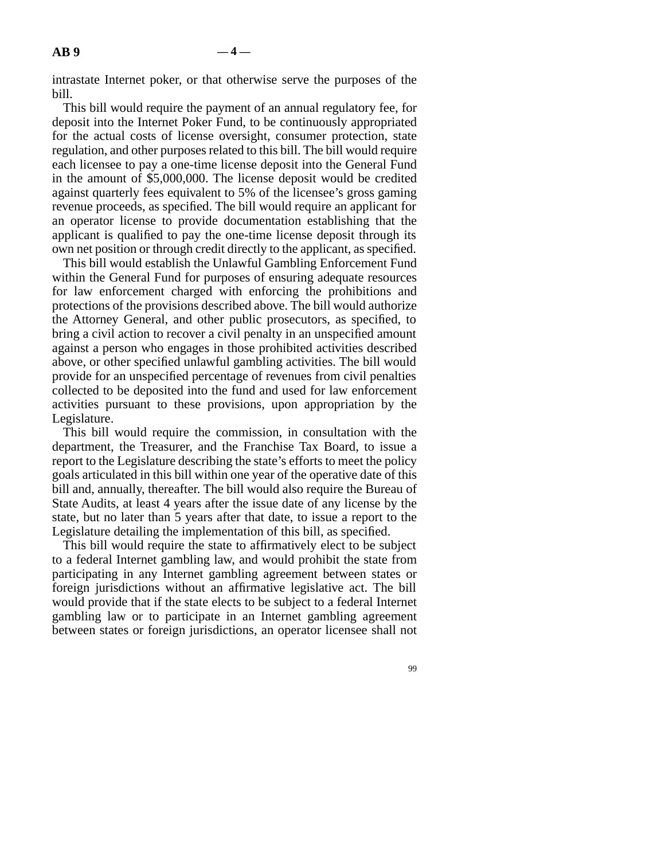intrastate Internet poker, or that otherwise serve the purposes of the bill.

This bill would require the payment of an annual regulatory fee, for deposit into the Internet Poker Fund, to be continuously appropriated for the actual costs of license oversight, consumer protection, state regulation, and other purposes related to this bill. The bill would require each licensee to pay a one-time license deposit into the General Fund in the amount of \$5,000,000. The license deposit would be credited against quarterly fees equivalent to 5% of the licensee's gross gaming revenue proceeds, as specified. The bill would require an applicant for an operator license to provide documentation establishing that the applicant is qualified to pay the one-time license deposit through its own net position or through credit directly to the applicant, as specified.

This bill would establish the Unlawful Gambling Enforcement Fund within the General Fund for purposes of ensuring adequate resources for law enforcement charged with enforcing the prohibitions and protections of the provisions described above. The bill would authorize the Attorney General, and other public prosecutors, as specified, to bring a civil action to recover a civil penalty in an unspecified amount against a person who engages in those prohibited activities described above, or other specified unlawful gambling activities. The bill would provide for an unspecified percentage of revenues from civil penalties collected to be deposited into the fund and used for law enforcement activities pursuant to these provisions, upon appropriation by the Legislature.

This bill would require the commission, in consultation with the department, the Treasurer, and the Franchise Tax Board, to issue a report to the Legislature describing the state's efforts to meet the policy goals articulated in this bill within one year of the operative date of this bill and, annually, thereafter. The bill would also require the Bureau of State Audits, at least 4 years after the issue date of any license by the state, but no later than 5 years after that date, to issue a report to the Legislature detailing the implementation of this bill, as specified.

This bill would require the state to affirmatively elect to be subject to a federal Internet gambling law, and would prohibit the state from participating in any Internet gambling agreement between states or foreign jurisdictions without an affirmative legislative act. The bill would provide that if the state elects to be subject to a federal Internet gambling law or to participate in an Internet gambling agreement between states or foreign jurisdictions, an operator licensee shall not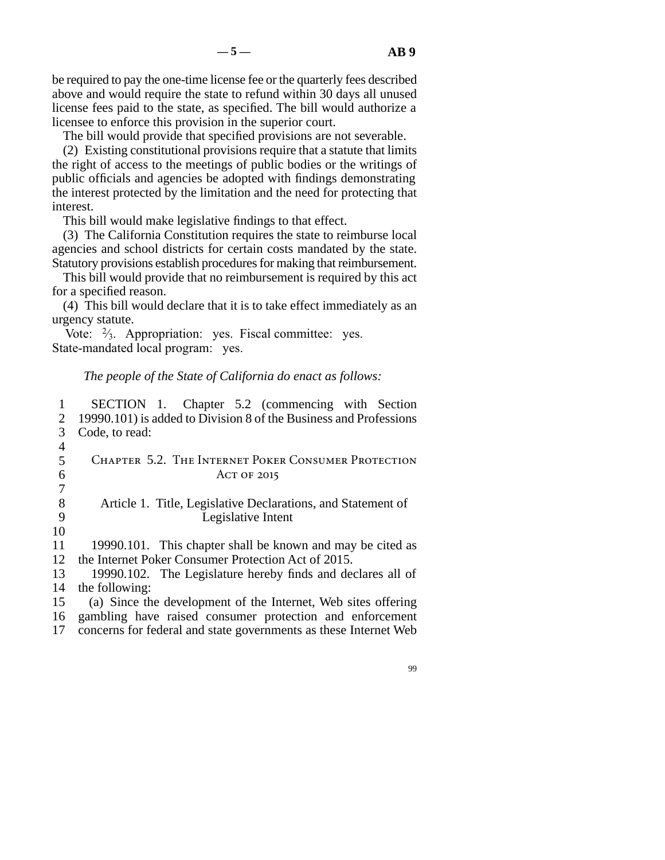be required to pay the one-time license fee or the quarterly fees described above and would require the state to refund within 30 days all unused license fees paid to the state, as specified. The bill would authorize a licensee to enforce this provision in the superior court.

The bill would provide that specified provisions are not severable.

(2) Existing constitutional provisions require that a statute that limits the right of access to the meetings of public bodies or the writings of public officials and agencies be adopted with findings demonstrating the interest protected by the limitation and the need for protecting that interest.

This bill would make legislative findings to that effect.

(3) The California Constitution requires the state to reimburse local agencies and school districts for certain costs mandated by the state. Statutory provisions establish procedures for making that reimbursement.

This bill would provide that no reimbursement is required by this act for a specified reason.

(4) This bill would declare that it is to take effect immediately as an urgency statute.

Vote:  $\frac{2}{3}$ . Appropriation: yes. Fiscal committee: yes. State-mandated local program: yes.

## *The people of the State of California do enact as follows:*

1 SECTION 1. Chapter 5.2 (commencing with Section<br>2 19990.101) is added to Division 8 of the Business and Professions 19990.101) is added to Division 8 of the Business and Professions 3 Code, to read:  $\frac{4}{5}$ CHAPTER 5.2. THE INTERNET POKER CONSUMER PROTECTION  $\Lambda$ CT OF 2015  $\begin{array}{c} 7 \\ 8 \end{array}$ Article 1. Title, Legislative Declarations, and Statement of 9 Legislative Intent line 10 11 19990.101. This chapter shall be known and may be cited as 12 the Internet Poker Consumer Protection Act of 2015. 13 19990.102. The Legislature hereby finds and declares all of 14 the following: 15 (a) Since the development of the Internet, Web sites offering

16 gambling have raised consumer protection and enforcement

17 concerns for federal and state governments as these Internet Web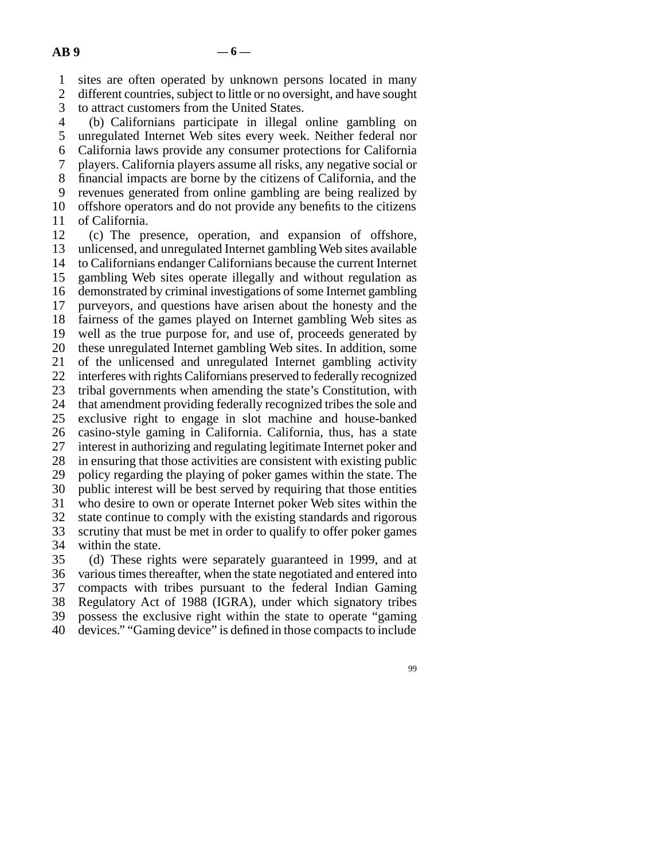1 sites are often operated by unknown persons located in many

2 different countries, subject to little or no oversight, and have sought

3 to attract customers from the United States.

 line 4 (b) Californians participate in illegal online gambling on 5 unregulated Internet Web sites every week. Neither federal nor line 6 California laws provide any consumer protections for California line 7 players. California players assume all risks, any negative social or 8 financial impacts are borne by the citizens of California, and the 9 revenues generated from online gambling are being realized by 10 offshore operators and do not provide any benefits to the citizens 11 of California.

12 (c) The presence, operation, and expansion of offshore, 13 unlicensed, and unregulated Internet gambling Web sites available 14 to Californians endanger Californians because the current Internet 15 gambling Web sites operate illegally and without regulation as 16 demonstrated by criminal investigations of some Internet gambling 17 purveyors, and questions have arisen about the honesty and the 18 fairness of the games played on Internet gambling Web sites as 19 well as the true purpose for, and use of, proceeds generated by 20 these unregulated Internet gambling Web sites. In addition, some 21 of the unlicensed and unregulated Internet gambling activity 22 interferes with rights Californians preserved to federally recognized 23 tribal governments when amending the state's Constitution, with 24 that amendment providing federally recognized tribes the sole and<br>25 exclusive right to engage in slot machine and house-banked exclusive right to engage in slot machine and house-banked 26 casino-style gaming in California. California, thus, has a state 27 interest in authorizing and regulating legitimate Internet poker and 28 in ensuring that those activities are consistent with existing public 29 policy regarding the playing of poker games within the state. The 30 public interest will be best served by requiring that those entities 31 who desire to own or operate Internet poker Web sites within the 32 state continue to comply with the existing standards and rigorous 33 scrutiny that must be met in order to qualify to offer poker games 34 within the state. 35 (d) These rights were separately guaranteed in 1999, and at

36 various times thereafter, when the state negotiated and entered into 37 compacts with tribes pursuant to the federal Indian Gaming 38 Regulatory Act of 1988 (IGRA), under which signatory tribes line 39 possess the exclusive right within the state to operate "gaming line 40 devices." "Gaming device" is defined in those compacts to include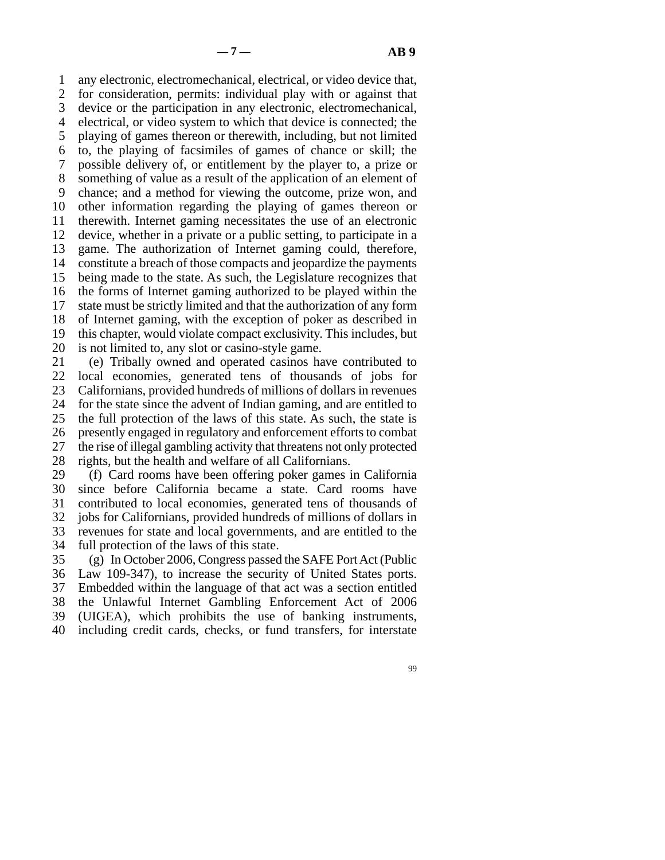1 any electronic, electromechanical, electrical, or video device that, 2 for consideration, permits: individual play with or against that 3 device or the participation in any electronic, electromechanical, 4 electrical, or video system to which that device is connected; the 5 playing of games thereon or therewith, including, but not limited

 line 7 possible delivery of, or entitlement by the player to, a prize or 8 something of value as a result of the application of an element of 9 chance; and a method for viewing the outcome, prize won, and 10 other information regarding the playing of games thereon or 11 therewith. Internet gaming necessitates the use of an electronic 12 device, whether in a private or a public setting, to participate in a 13 game. The authorization of Internet gaming could, therefore, 14 constitute a breach of those compacts and jeopardize the payments

line 6 to, the playing of facsimiles of games of chance or skill; the

15 being made to the state. As such, the Legislature recognizes that 16 the forms of Internet gaming authorized to be played within the

17 state must be strictly limited and that the authorization of any form

18 of Internet gaming, with the exception of poker as described in

19 this chapter, would violate compact exclusivity. This includes, but

20 is not limited to, any slot or casino-style game.

21 (e) Tribally owned and operated casinos have contributed to 22 local economies, generated tens of thousands of jobs for 23 Californians, provided hundreds of millions of dollars in revenues 24 for the state since the advent of Indian gaming, and are entitled to 25 the full protection of the laws of this state. As such, the state is the full protection of the laws of this state. As such, the state is 26 presently engaged in regulatory and enforcement efforts to combat 27 the rise of illegal gambling activity that threatens not only protected 28 rights, but the health and welfare of all Californians.

29 (f) Card rooms have been offering poker games in California 30 since before California became a state. Card rooms have 31 contributed to local economies, generated tens of thousands of 32 jobs for Californians, provided hundreds of millions of dollars in 33 revenues for state and local governments, and are entitled to the 34 full protection of the laws of this state.

 line 35 (g) In October 2006, Congress passed the SAFE Port Act (Public 36 Law 109-347), to increase the security of United States ports. 37 Embedded within the language of that act was a section entitled 38 the Unlawful Internet Gambling Enforcement Act of 2006 39 (UIGEA), which prohibits the use of banking instruments, 40 including credit cards, checks, or fund transfers, for interstate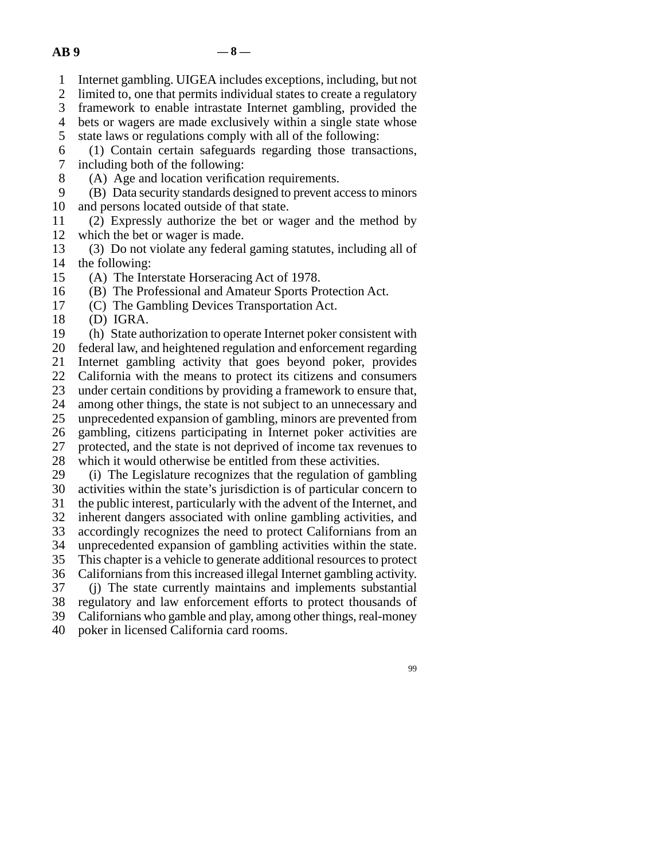- line 1 Internet gambling. UIGEA includes exceptions, including, but not
- 2 limited to, one that permits individual states to create a regulatory<br>3 framework to enable intrastate Internet gambling, provided the
- framework to enable intrastate Internet gambling, provided the
- 4 bets or wagers are made exclusively within a single state whose
- 5 state laws or regulations comply with all of the following:
- line 6 (1) Contain certain safeguards regarding those transactions, 7 including both of the following:
- 8 (A) Age and location verification requirements.
- line 9 (B) Data security standards designed to prevent access to minors 10 and persons located outside of that state.
- 11 (2) Expressly authorize the bet or wager and the method by 12 which the bet or wager is made.
- 13 (3) Do not violate any federal gaming statutes, including all of 14 the following:
- 15 (A) The Interstate Horseracing Act of 1978.
- 16 (B) The Professional and Amateur Sports Protection Act.
- 17 (C) The Gambling Devices Transportation Act.
- $18$  (D) IGRA.
- 19 (h) State authorization to operate Internet poker consistent with
- 20 federal law, and heightened regulation and enforcement regarding 21 Internet gambling activity that goes beyond poker, provides
- 22 California with the means to protect its citizens and consumers
- 23 under certain conditions by providing a framework to ensure that,
- 24 among other things, the state is not subject to an unnecessary and<br>25 unprecedented expansion of gambling, minors are prevented from
- unprecedented expansion of gambling, minors are prevented from
- 26 gambling, citizens participating in Internet poker activities are
- 27 protected, and the state is not deprived of income tax revenues to 28 which it would otherwise be entitled from these activities.
- 29 (i) The Legislature recognizes that the regulation of gambling
- 30 activities within the state's jurisdiction is of particular concern to
- 31 the public interest, particularly with the advent of the Internet, and
- 32 inherent dangers associated with online gambling activities, and
- 33 accordingly recognizes the need to protect Californians from an
- 34 unprecedented expansion of gambling activities within the state.
- 35 This chapter is a vehicle to generate additional resources to protect
- 36 Californians from this increased illegal Internet gambling activity.
- 37 (j) The state currently maintains and implements substantial
- 38 regulatory and law enforcement efforts to protect thousands of
- 39 Californians who gamble and play, among other things, real-money
- 40 poker in licensed California card rooms.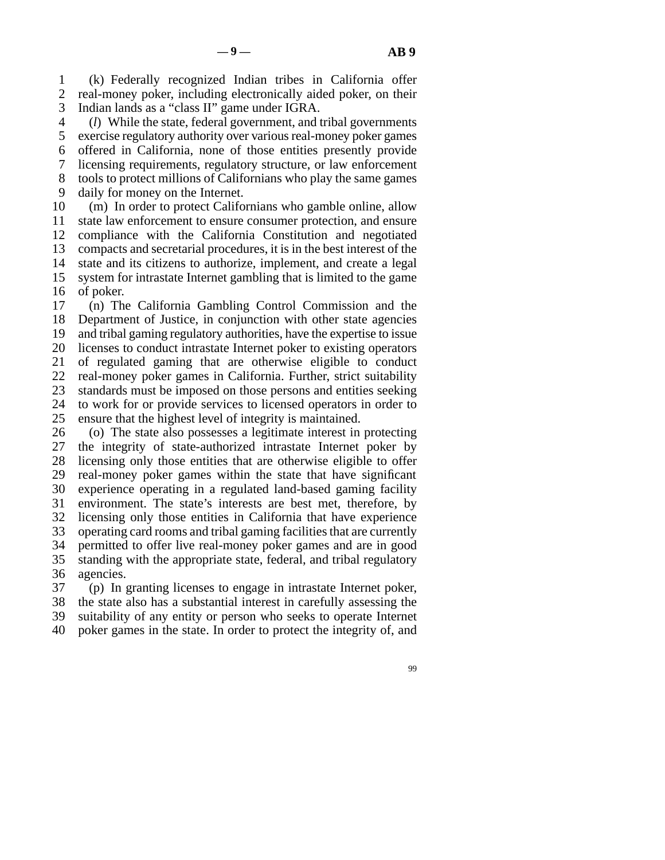$-9 - 8$  **AB 9** 

 line 1 (k) Federally recognized Indian tribes in California offer 2 real-money poker, including electronically aided poker, on their 3 Indian lands as a "class II" game under IGRA.

 line 4 (*l*) While the state, federal government, and tribal governments 5 exercise regulatory authority over various real-money poker games line 6 offered in California, none of those entities presently provide 7 licensing requirements, regulatory structure, or law enforcement 8 tools to protect millions of Californians who play the same games 9 daily for money on the Internet.

10 (m) In order to protect Californians who gamble online, allow 11 state law enforcement to ensure consumer protection, and ensure 12 compliance with the California Constitution and negotiated 13 compacts and secretarial procedures, it is in the best interest of the 14 state and its citizens to authorize, implement, and create a legal 15 system for intrastate Internet gambling that is limited to the game 16 of poker.

17 (n) The California Gambling Control Commission and the 18 Department of Justice, in conjunction with other state agencies 19 and tribal gaming regulatory authorities, have the expertise to issue 20 licenses to conduct intrastate Internet poker to existing operators 21 of regulated gaming that are otherwise eligible to conduct 22 real-money poker games in California. Further, strict suitability 23 standards must be imposed on those persons and entities seeking 24 to work for or provide services to licensed operators in order to 25 ensure that the highest level of integrity is maintained. ensure that the highest level of integrity is maintained.

26 (o) The state also possesses a legitimate interest in protecting 27 the integrity of state-authorized intrastate Internet poker by the integrity of state-authorized intrastate Internet poker by 28 licensing only those entities that are otherwise eligible to offer 29 real-money poker games within the state that have significant 30 experience operating in a regulated land-based gaming facility 31 environment. The state's interests are best met, therefore, by 32 licensing only those entities in California that have experience 33 operating card rooms and tribal gaming facilities that are currently 34 permitted to offer live real-money poker games and are in good 35 standing with the appropriate state, federal, and tribal regulatory 36 agencies.

37 (p) In granting licenses to engage in intrastate Internet poker, 38 the state also has a substantial interest in carefully assessing the 39 suitability of any entity or person who seeks to operate Internet 40 poker games in the state. In order to protect the integrity of, and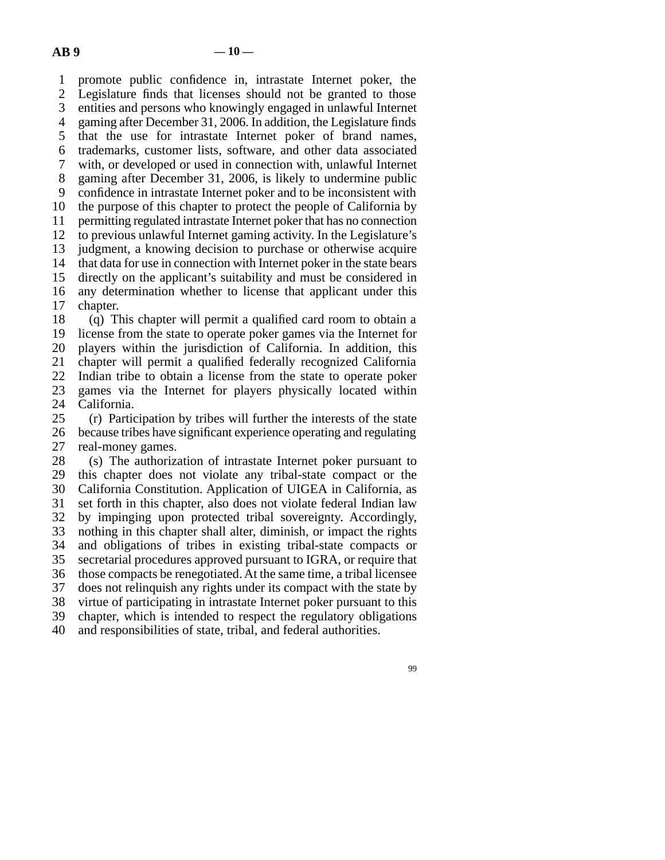line 1 promote public confidence in, intrastate Internet poker, the 2 Legislature finds that licenses should not be granted to those<br>3 entities and persons who knowingly engaged in unlawful Internet entities and persons who knowingly engaged in unlawful Internet 4 gaming after December 31, 2006. In addition, the Legislature finds 5 that the use for intrastate Internet poker of brand names, line 6 trademarks, customer lists, software, and other data associated line 7 with, or developed or used in connection with, unlawful Internet 8 gaming after December 31, 2006, is likely to undermine public 9 confidence in intrastate Internet poker and to be inconsistent with 10 the purpose of this chapter to protect the people of California by line 11 permitting regulated intrastate Internet poker that has no connection 12 to previous unlawful Internet gaming activity. In the Legislature's 13 judgment, a knowing decision to purchase or otherwise acquire 14 that data for use in connection with Internet poker in the state bears 15 directly on the applicant's suitability and must be considered in 16 any determination whether to license that applicant under this 17 chapter. 18 (q) This chapter will permit a qualified card room to obtain a 19 license from the state to operate poker games via the Internet for 20 players within the jurisdiction of California. In addition, this

21 chapter will permit a qualified federally recognized California 22 Indian tribe to obtain a license from the state to operate poker 23 games via the Internet for players physically located within

24 California.<br>25 (r) Partic

 $\alpha$  (r) Participation by tribes will further the interests of the state 26 because tribes have significant experience operating and regulating 27 real-money games.

28 (s) The authorization of intrastate Internet poker pursuant to 29 this chapter does not violate any tribal-state compact or the 30 California Constitution. Application of UIGEA in California, as 31 set forth in this chapter, also does not violate federal Indian law 32 by impinging upon protected tribal sovereignty. Accordingly, 33 nothing in this chapter shall alter, diminish, or impact the rights line 34 and obligations of tribes in existing tribal-state compacts or 35 secretarial procedures approved pursuant to IGRA, or require that 36 those compacts be renegotiated. At the same time, a tribal licensee 37 does not relinguish any rights under its compact with the state by 38 virtue of participating in intrastate Internet poker pursuant to this 39 chapter, which is intended to respect the regulatory obligations 40 and responsibilities of state, tribal, and federal authorities.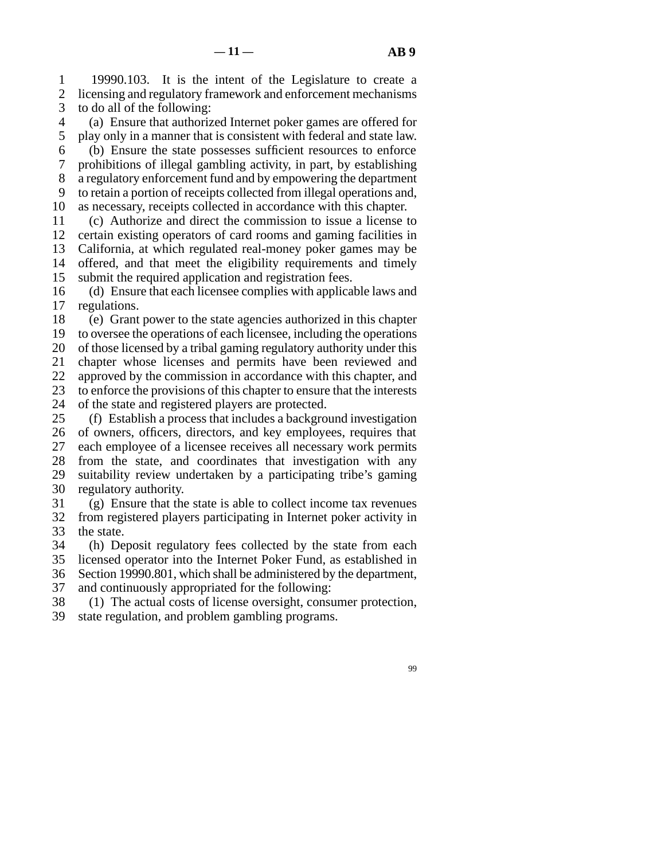1 19990.103. It is the intent of the Legislature to create a 2 licensing and regulatory framework and enforcement mechanisms 3 to do all of the following:

 line 4 (a) Ensure that authorized Internet poker games are offered for 5 play only in a manner that is consistent with federal and state law.

 line 6 (b) Ensure the state possesses sufficient resources to enforce line 7 prohibitions of illegal gambling activity, in part, by establishing 8 a regulatory enforcement fund and by empowering the department 9 to retain a portion of receipts collected from illegal operations and,

10 as necessary, receipts collected in accordance with this chapter. line 11 (c) Authorize and direct the commission to issue a license to

12 certain existing operators of card rooms and gaming facilities in 13 California, at which regulated real-money poker games may be 14 offered, and that meet the eligibility requirements and timely

15 submit the required application and registration fees.

16 (d) Ensure that each licensee complies with applicable laws and 17 regulations.

18 (e) Grant power to the state agencies authorized in this chapter 19 to oversee the operations of each licensee, including the operations 20 of those licensed by a tribal gaming regulatory authority under this 21 chapter whose licenses and permits have been reviewed and 22 approved by the commission in accordance with this chapter, and 23 to enforce the provisions of this chapter to ensure that the interests 24 of the state and registered players are protected.<br>25 (f) Establish a process that includes a backgro

(f) Establish a process that includes a background investigation 26 of owners, officers, directors, and key employees, requires that 27 each employee of a licensee receives all necessary work permits 28 from the state, and coordinates that investigation with any 29 suitability review undertaken by a participating tribe's gaming 30 regulatory authority.

 $\delta$  31 (g) Ensure that the state is able to collect income tax revenues 32 from registered players participating in Internet poker activity in 33 the state.

34 (h) Deposit regulatory fees collected by the state from each 35 licensed operator into the Internet Poker Fund, as established in 36 Section 19990.801, which shall be administered by the department,

37 and continuously appropriated for the following:

38 (1) The actual costs of license oversight, consumer protection, 39 state regulation, and problem gambling programs.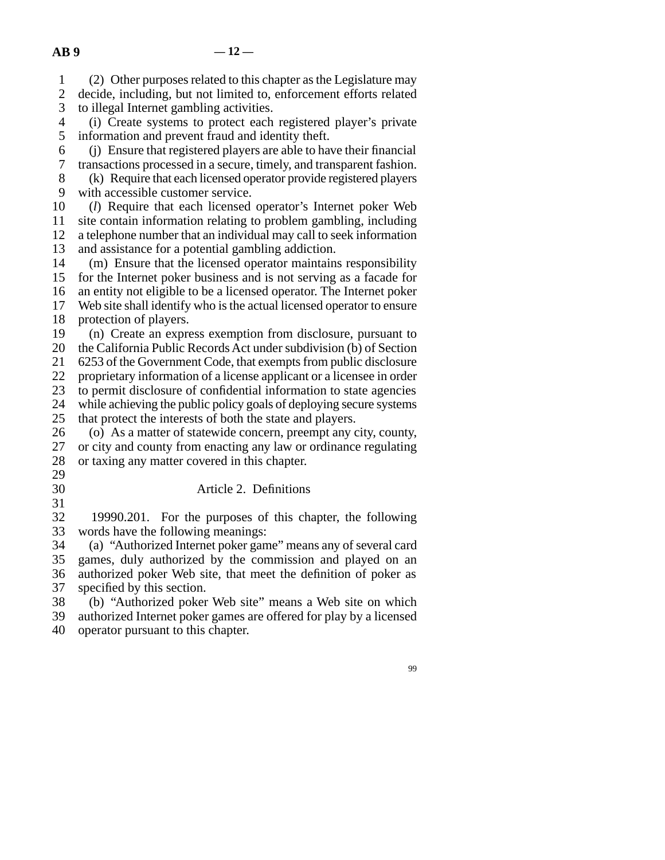line 1 (2) Other purposes related to this chapter as the Legislature may 2 decide, including, but not limited to, enforcement efforts related<br>3 to illegal Internet gambling activities. to illegal Internet gambling activities. 4 (i) Create systems to protect each registered player's private 5 information and prevent fraud and identity theft. 6 (j) Ensure that registered players are able to have their financial line 7 transactions processed in a secure, timely, and transparent fashion. 8 (k) Require that each licensed operator provide registered players 9 with accessible customer service. 10 (*l*) Require that each licensed operator's Internet poker Web 11 site contain information relating to problem gambling, including 12 a telephone number that an individual may call to seek information 13 and assistance for a potential gambling addiction. 14 (m) Ensure that the licensed operator maintains responsibility 15 for the Internet poker business and is not serving as a facade for 16 an entity not eligible to be a licensed operator. The Internet poker 17 Web site shall identify who is the actual licensed operator to ensure 18 protection of players. 19 (n) Create an express exemption from disclosure, pursuant to 20 the California Public Records Act under subdivision (b) of Section 21 6253 of the Government Code, that exempts from public disclosure 22 proprietary information of a license applicant or a licensee in order 23 to permit disclosure of confidential information to state agencies 24 while achieving the public policy goals of deploying secure systems<br>25 that protect the interests of both the state and players. that protect the interests of both the state and players. 26 (o) As a matter of statewide concern, preempt any city, county, 27 or city and county from enacting any law or ordinance regulating or city and county from enacting any law or ordinance regulating 28 or taxing any matter covered in this chapter. 29 30 Article 2. Definitions  $31$ 32 19990.201. For the purposes of this chapter, the following words have the following meanings: words have the following meanings: line 34 (a) "Authorized Internet poker game" means any of several card 35 games, duly authorized by the commission and played on an 36 authorized poker Web site, that meet the definition of poker as 37 specified by this section.

38 (b) "Authorized poker Web site" means a Web site on which<br>39 authorized Internet poker games are offered for play by a licensed authorized Internet poker games are offered for play by a licensed 40 operator pursuant to this chapter.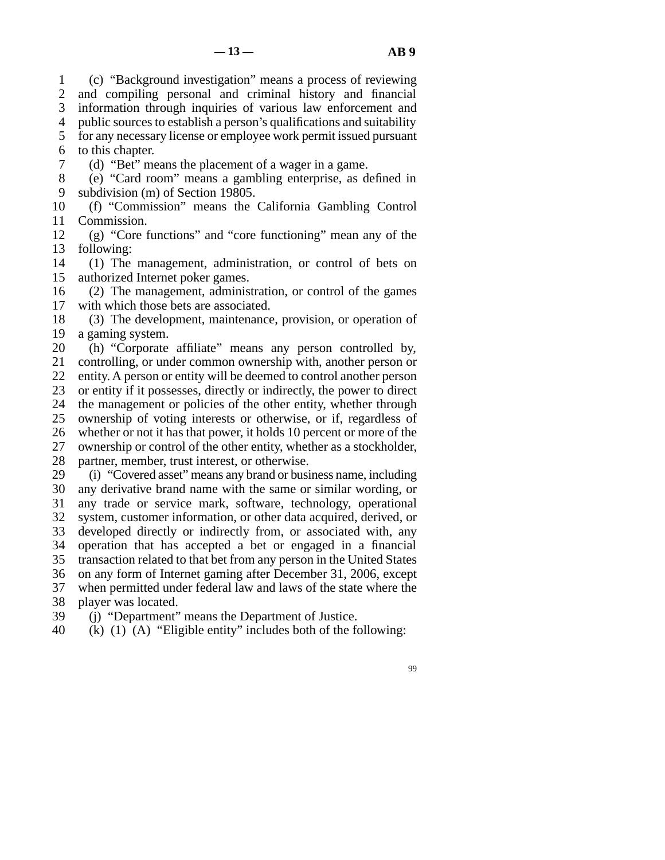line 1 (c) "Background investigation" means a process of reviewing 2 and compiling personal and criminal history and financial 3 information through inquiries of various law enforcement and 4 public sources to establish a person's qualifications and suitability 5 for any necessary license or employee work permit issued pursuant 6 to this chapter. line 7 (d) "Bet" means the placement of a wager in a game.

 line 8 (e) "Card room" means a gambling enterprise, as defined in 9 subdivision (m) of Section 19805.

10 (f) "Commission" means the California Gambling Control 11 Commission.

12 (g) "Core functions" and "core functioning" mean any of the 13 following:

14 (1) The management, administration, or control of bets on 15 authorized Internet poker games.

16 (2) The management, administration, or control of the games 17 with which those bets are associated.

18 (3) The development, maintenance, provision, or operation of 19 a gaming system.

20 (h) "Corporate affiliate" means any person controlled by, 21 controlling, or under common ownership with, another person or 22 entity. A person or entity will be deemed to control another person 23 or entity if it possesses, directly or indirectly, the power to direct 24 the management or policies of the other entity, whether through 25 ownership of voting interests or otherwise, or if, regardless of ownership of voting interests or otherwise, or if, regardless of 26 whether or not it has that power, it holds 10 percent or more of the 27 ownership or control of the other entity, whether as a stockholder, 28 partner, member, trust interest, or otherwise. 29 (i) "Covered asset" means any brand or business name, including 30 any derivative brand name with the same or similar wording, or

31 any trade or service mark, software, technology, operational 32 system, customer information, or other data acquired, derived, or 33 developed directly or indirectly from, or associated with, any 34 operation that has accepted a bet or engaged in a financial 35 transaction related to that bet from any person in the United States 36 on any form of Internet gaming after December 31, 2006, except 37 when permitted under federal law and laws of the state where the

38 player was located.

39 (j) "Department" means the Department of Justice.

40 (k) (1) (A) "Eligible entity" includes both of the following: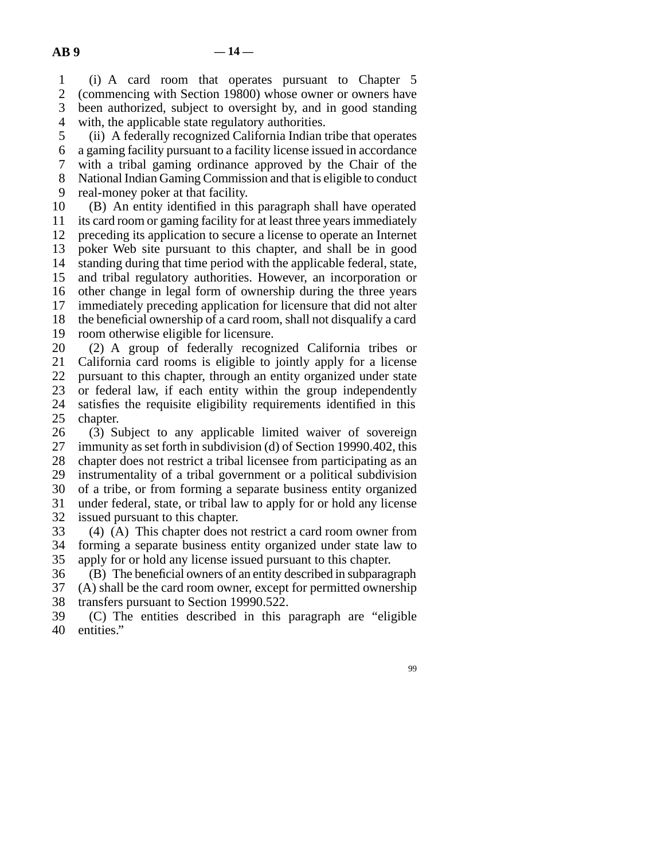line 1 (i) A card room that operates pursuant to Chapter 5 2 (commencing with Section 19800) whose owner or owners have<br>3 been authorized, subject to oversight by, and in good standing been authorized, subject to oversight by, and in good standing 4 with, the applicable state regulatory authorities.

5 (ii) A federally recognized California Indian tribe that operates line 6 a gaming facility pursuant to a facility license issued in accordance line 7 with a tribal gaming ordinance approved by the Chair of the 8 National Indian Gaming Commission and that is eligible to conduct 9 real-money poker at that facility.

10 (B) An entity identified in this paragraph shall have operated 11 its card room or gaming facility for at least three years immediately 12 preceding its application to secure a license to operate an Internet 13 poker Web site pursuant to this chapter, and shall be in good 14 standing during that time period with the applicable federal, state, 15 and tribal regulatory authorities. However, an incorporation or 16 other change in legal form of ownership during the three years 17 immediately preceding application for licensure that did not alter 18 the beneficial ownership of a card room, shall not disqualify a card 19 room otherwise eligible for licensure. 20 (2) A group of federally recognized California tribes or

21 California card rooms is eligible to jointly apply for a license 22 pursuant to this chapter, through an entity organized under state 23 or federal law, if each entity within the group independently 24 satisfies the requisite eligibility requirements identified in this 25 chapter. chapter.

26 (3) Subject to any applicable limited waiver of sovereign 27 immunity as set forth in subdivision (d) of Section 19990.402, this 28 chapter does not restrict a tribal licensee from participating as an 29 instrumentality of a tribal government or a political subdivision 30 of a tribe, or from forming a separate business entity organized 31 under federal, state, or tribal law to apply for or hold any license 32 issued pursuant to this chapter.

33 (4) (A) This chapter does not restrict a card room owner from 34 forming a separate business entity organized under state law to 35 apply for or hold any license issued pursuant to this chapter.

36 (B) The beneficial owners of an entity described in subparagraph  $37$  (A) shall be the card room owner, except for permitted ownership

38 transfers pursuant to Section 19990.522.

 line 39 (C) The entities described in this paragraph are "eligible 40 entities."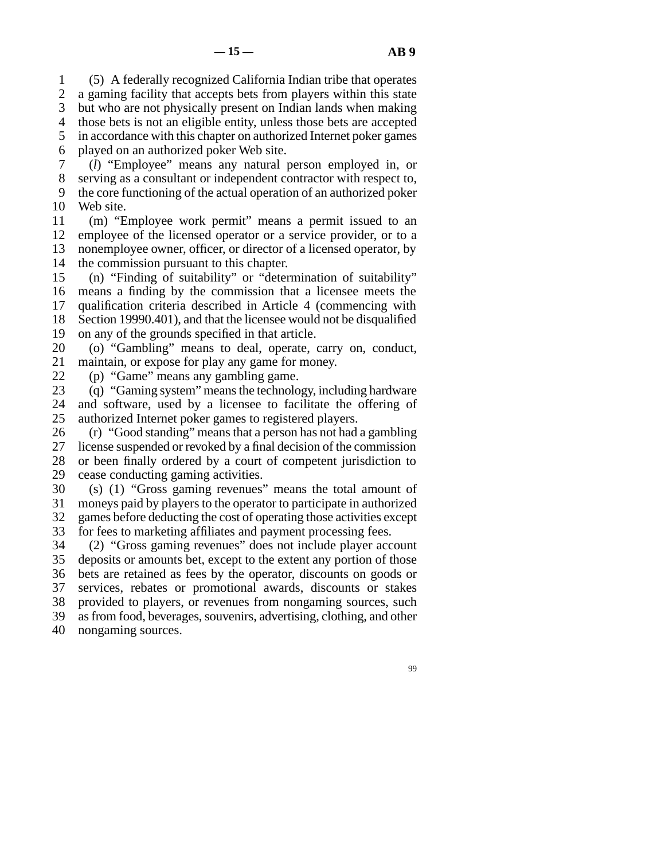line 1 (5) A federally recognized California Indian tribe that operates 2 a gaming facility that accepts bets from players within this state 3 but who are not physically present on Indian lands when making 4 those bets is not an eligible entity, unless those bets are accepted 5 in accordance with this chapter on authorized Internet poker games 6 played on an authorized poker Web site.

 line 7 (*l*) "Employee" means any natural person employed in, or 8 serving as a consultant or independent contractor with respect to, 9 the core functioning of the actual operation of an authorized poker 10 Web site.

 line 11 (m) "Employee work permit" means a permit issued to an 12 employee of the licensed operator or a service provider, or to a 13 nonemployee owner, officer, or director of a licensed operator, by 14 the commission pursuant to this chapter.

15 (n) "Finding of suitability" or "determination of suitability" 16 means a finding by the commission that a licensee meets the 17 qualification criteria described in Article 4 (commencing with 18 Section 19990.401), and that the licensee would not be disqualified 19 on any of the grounds specified in that article.

20 (o) "Gambling" means to deal, operate, carry on, conduct, 21 maintain, or expose for play any game for money.

22 (p) "Game" means any gambling game.<br>23 (a) "Gaming system" means the technology

(q) "Gaming system" means the technology, including hardware

24 and software, used by a licensee to facilitate the offering of 25 authorized Internet poker games to registered players. authorized Internet poker games to registered players.

26 (r) "Good standing" means that a person has not had a gambling<br>27 license suspended or revoked by a final decision of the commission license suspended or revoked by a final decision of the commission 28 or been finally ordered by a court of competent jurisdiction to

29 cease conducting gaming activities.

30 (s) (1) "Gross gaming revenues" means the total amount of 31 moneys paid by players to the operator to participate in authorized 32 games before deducting the cost of operating those activities except

33 for fees to marketing affiliates and payment processing fees.

34 (2) "Gross gaming revenues" does not include player account 35 deposits or amounts bet, except to the extent any portion of those 36 bets are retained as fees by the operator, discounts on goods or 37 services, rebates or promotional awards, discounts or stakes 38 provided to players, or revenues from nongaming sources, such line 39 as from food, beverages, souvenirs, advertising, clothing, and other 40 nongaming sources.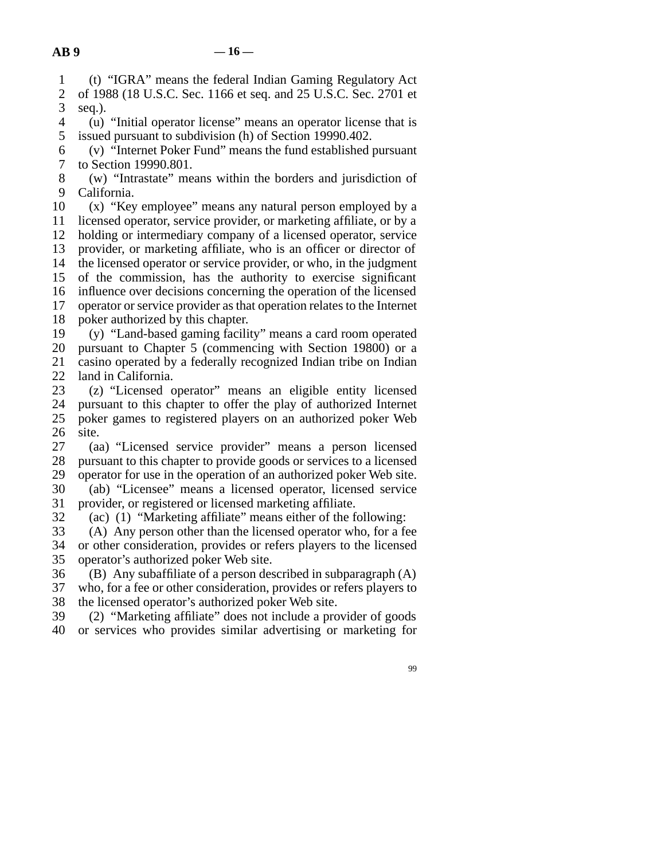line 1 (t) "IGRA" means the federal Indian Gaming Regulatory Act

2 of 1988 (18 U.S.C. Sec. 1166 et seq. and 25 U.S.C. Sec. 2701 et seq.).

seq.).

 line 4 (u) "Initial operator license" means an operator license that is 5 issued pursuant to subdivision (h) of Section 19990.402.

 $\delta$  (v) "Internet Poker Fund" means the fund established pursuant 7 to Section 19990.801.

8 (w) "Intrastate" means within the borders and jurisdiction of 9 California.

10 (x) "Key employee" means any natural person employed by a 11 licensed operator, service provider, or marketing affiliate, or by a 12 holding or intermediary company of a licensed operator, service

13 provider, or marketing affiliate, who is an officer or director of

14 the licensed operator or service provider, or who, in the judgment

15 of the commission, has the authority to exercise significant 16 influence over decisions concerning the operation of the licensed

17 operator or service provider as that operation relates to the Internet

18 poker authorized by this chapter.

19 (y) "Land-based gaming facility" means a card room operated 20 pursuant to Chapter 5 (commencing with Section 19800) or a 21 casino operated by a federally recognized Indian tribe on Indian 22 land in California.

23 (z) "Licensed operator" means an eligible entity licensed 24 pursuant to this chapter to offer the play of authorized Internet<br>25 poker games to registered players on an authorized poker Web poker games to registered players on an authorized poker Web  $26$  site.

27 (aa) "Licensed service provider" means a person licensed 28 pursuant to this chapter to provide goods or services to a licensed 29 operator for use in the operation of an authorized poker Web site.

 line 30 (ab) "Licensee" means a licensed operator, licensed service 31 provider, or registered or licensed marketing affiliate.

32 (ac) (1) "Marketing affiliate" means either of the following:<br>33 (A) Any person other than the licensed operator who, for a fe

 $(A)$  Any person other than the licensed operator who, for a fee 34 or other consideration, provides or refers players to the licensed 35 operator's authorized poker Web site.

36 (B) Any subaffiliate of a person described in subparagraph  $(A)$ 37 who, for a fee or other consideration, provides or refers players to 38 the licensed operator's authorized poker Web site.

 line 39 (2) "Marketing affiliate" does not include a provider of goods 40 or services who provides similar advertising or marketing for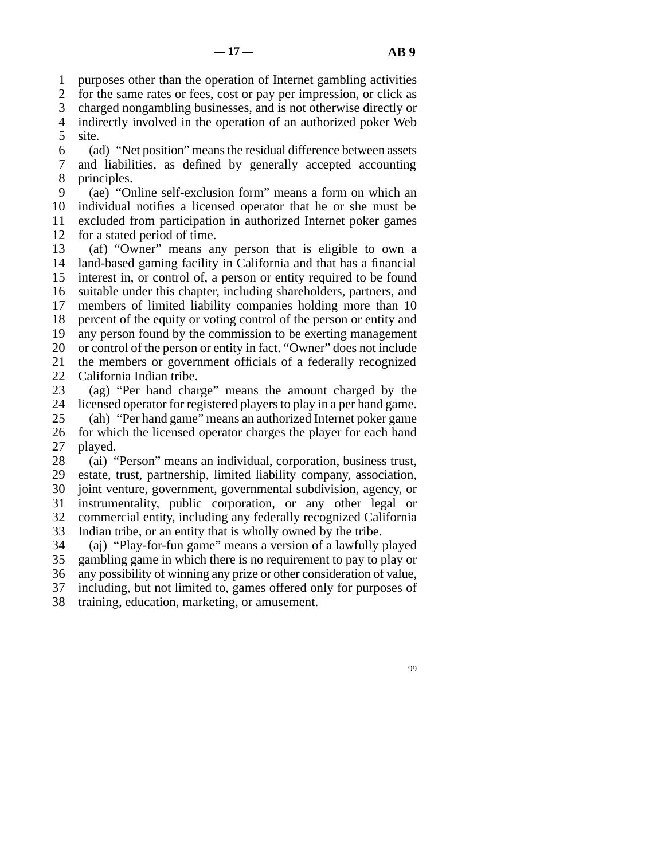line 1 purposes other than the operation of Internet gambling activities

2 for the same rates or fees, cost or pay per impression, or click as

3 charged nongambling businesses, and is not otherwise directly or 4 indirectly involved in the operation of an authorized poker Web 5 site.

 line 6 (ad) "Net position" means the residual difference between assets 7 and liabilities, as defined by generally accepted accounting 8 principles.

 line 9 (ae) "Online self-exclusion form" means a form on which an 10 individual notifies a licensed operator that he or she must be 11 excluded from participation in authorized Internet poker games 12 for a stated period of time.

13 (af) "Owner" means any person that is eligible to own a 14 land-based gaming facility in California and that has a financial 15 interest in, or control of, a person or entity required to be found 16 suitable under this chapter, including shareholders, partners, and 17 members of limited liability companies holding more than 10 18 percent of the equity or voting control of the person or entity and 19 any person found by the commission to be exerting management 20 or control of the person or entity in fact. "Owner" does not include 21 the members or government officials of a federally recognized 22 California Indian tribe.

23 (ag) "Per hand charge" means the amount charged by the 24 licensed operator for registered players to play in a per hand game.<br>25 (ah) "Per hand game" means an authorized Internet poker game

(ah) "Per hand game" means an authorized Internet poker game 26 for which the licensed operator charges the player for each hand 27 played.

28 (ai) "Person" means an individual, corporation, business trust,

29 estate, trust, partnership, limited liability company, association,

line 30 joint venture, government, governmental subdivision, agency, or

31 instrumentality, public corporation, or any other legal or

32 commercial entity, including any federally recognized California

33 Indian tribe, or an entity that is wholly owned by the tribe.

 line 34 (aj) "Play-for-fun game" means a version of a lawfully played line 35 gambling game in which there is no requirement to pay to play or

36 any possibility of winning any prize or other consideration of value,

37 including, but not limited to, games offered only for purposes of

38 training, education, marketing, or amusement.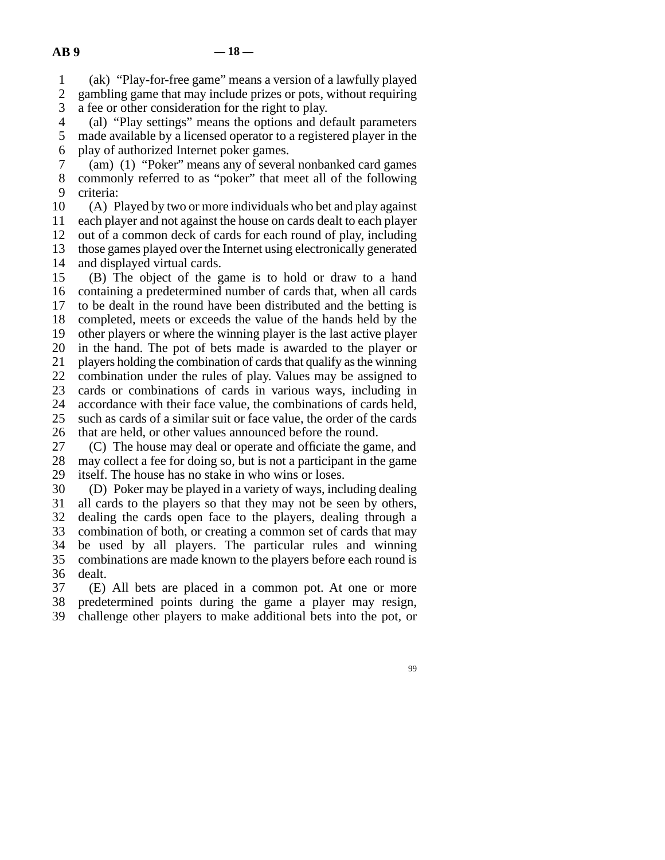line 1 (ak) "Play-for-free game" means a version of a lawfully played 2 gambling game that may include prizes or pots, without requiring<br>3 a fee or other consideration for the right to play.

a fee or other consideration for the right to play.

4 (al) "Play settings" means the options and default parameters 5 made available by a licensed operator to a registered player in the 6 play of authorized Internet poker games.

 line 7 (am) (1) "Poker" means any of several nonbanked card games 8 commonly referred to as "poker" that meet all of the following 9 criteria:

10 (A) Played by two or more individuals who bet and play against<br>11 each player and not against the house on cards dealt to each player each player and not against the house on cards dealt to each player 12 out of a common deck of cards for each round of play, including 13 those games played over the Internet using electronically generated 14 and displayed virtual cards.

15 (B) The object of the game is to hold or draw to a hand 16 containing a predetermined number of cards that, when all cards 17 to be dealt in the round have been distributed and the betting is 18 completed, meets or exceeds the value of the hands held by the 19 other players or where the winning player is the last active player 20 in the hand. The pot of bets made is awarded to the player or 21 players holding the combination of cards that qualify as the winning 22 combination under the rules of play. Values may be assigned to 23 cards or combinations of cards in various ways, including in 24 accordance with their face value, the combinations of cards held,<br>25 such as cards of a similar suit or face value, the order of the cards such as cards of a similar suit or face value, the order of the cards 26 that are held, or other values announced before the round.

27 (C) The house may deal or operate and officiate the game, and 28 may collect a fee for doing so, but is not a participant in the game 29 itself. The house has no stake in who wins or loses.

 line 30 (D) Poker may be played in a variety of ways, including dealing 31 all cards to the players so that they may not be seen by others, 32 dealing the cards open face to the players, dealing through a 33 combination of both, or creating a common set of cards that may 34 be used by all players. The particular rules and winning 35 combinations are made known to the players before each round is 36 dealt.

37 (E) All bets are placed in a common pot. At one or more 38 predetermined points during the game a player may resign, 39 challenge other players to make additional bets into the pot, or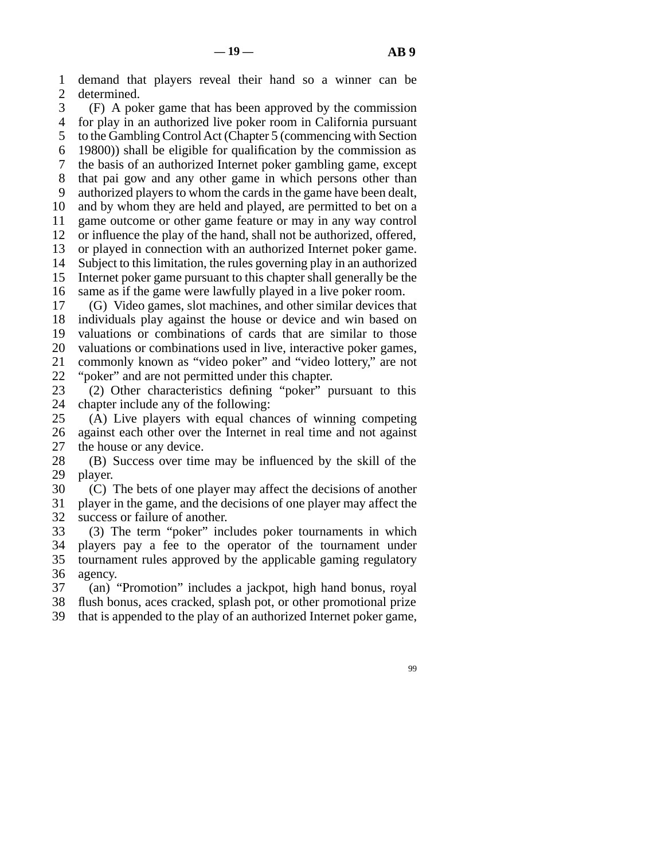1 demand that players reveal their hand so a winner can be 2 determined.

 line 3 (F) A poker game that has been approved by the commission 4 for play in an authorized live poker room in California pursuant 5 to the Gambling Control Act (Chapter 5 (commencing with Section line 6 19800)) shall be eligible for qualification by the commission as line 7 the basis of an authorized Internet poker gambling game, except 8 that pai gow and any other game in which persons other than 9 authorized players to whom the cards in the game have been dealt, 10 and by whom they are held and played, are permitted to bet on a 11 game outcome or other game feature or may in any way control 12 or influence the play of the hand, shall not be authorized, offered, 13 or played in connection with an authorized Internet poker game. 14 Subject to this limitation, the rules governing play in an authorized 15 Internet poker game pursuant to this chapter shall generally be the

16 same as if the game were lawfully played in a live poker room.

17 (G) Video games, slot machines, and other similar devices that 18 individuals play against the house or device and win based on 19 valuations or combinations of cards that are similar to those 20 valuations or combinations used in live, interactive poker games, 21 commonly known as "video poker" and "video lottery," are not

22 "poker" and are not permitted under this chapter.<br>23 (2) Other characteristics defining "poker" p (2) Other characteristics defining "poker" pursuant to this 24 chapter include any of the following:<br>25  $(A)$  Live players with equal chan

 $(A)$  Live players with equal chances of winning competing 26 against each other over the Internet in real time and not against 27 the house or any device.

28 (B) Success over time may be influenced by the skill of the 29 player.

30 (C) The bets of one player may affect the decisions of another 31 player in the game, and the decisions of one player may affect the 32 success or failure of another.

33 (3) The term "poker" includes poker tournaments in which 34 players pay a fee to the operator of the tournament under 35 tournament rules approved by the applicable gaming regulatory 36 agency.

37 (an) "Promotion" includes a jackpot, high hand bonus, royal 38 flush bonus, aces cracked, splash pot, or other promotional prize

39 that is appended to the play of an authorized Internet poker game,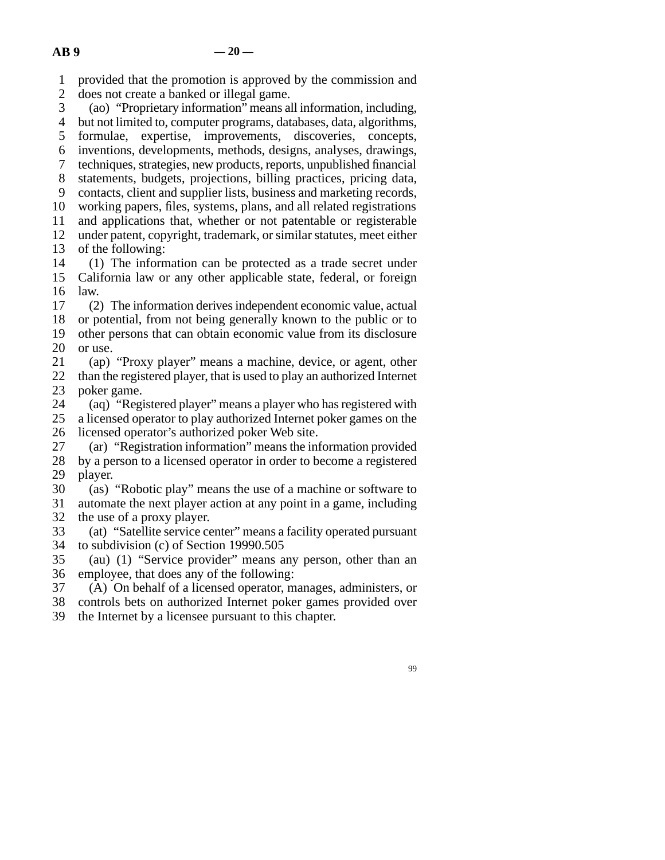line 1 provided that the promotion is approved by the commission and 2 does not create a banked or illegal game. line 3 (ao) "Proprietary information" means all information, including, 4 but not limited to, computer programs, databases, data, algorithms, 5 formulae, expertise, improvements, discoveries, concepts, line 6 inventions, developments, methods, designs, analyses, drawings, 7 techniques, strategies, new products, reports, unpublished financial 8 statements, budgets, projections, billing practices, pricing data, 9 contacts, client and supplier lists, business and marketing records, 10 working papers, files, systems, plans, and all related registrations 11 and applications that, whether or not patentable or registerable 12 under patent, copyright, trademark, or similar statutes, meet either 13 of the following: 14 (1) The information can be protected as a trade secret under 15 California law or any other applicable state, federal, or foreign  $16$  law. 17 (2) The information derives independent economic value, actual 18 or potential, from not being generally known to the public or to 19 other persons that can obtain economic value from its disclosure  $20$  or use. line 21 (ap) "Proxy player" means a machine, device, or agent, other 22 than the registered player, that is used to play an authorized Internet 23 poker game. 24 (aq) "Registered player" means a player who has registered with<br>25 a licensed operator to play authorized Internet poker games on the a licensed operator to play authorized Internet poker games on the 26 licensed operator's authorized poker Web site. 27 (ar) "Registration information" means the information provided 28 by a person to a licensed operator in order to become a registered 29 player. line 30 (as) "Robotic play" means the use of a machine or software to 31 automate the next player action at any point in a game, including 32 the use of a proxy player. 33 (at) "Satellite service center" means a facility operated pursuant 34 to subdivision (c) of Section 19990.505 35 (au) (1) "Service provider" means any person, other than an 36 employee, that does any of the following: line 37 (A) On behalf of a licensed operator, manages, administers, or 38 controls bets on authorized Internet poker games provided over 39 the Internet by a licensee pursuant to this chapter. 99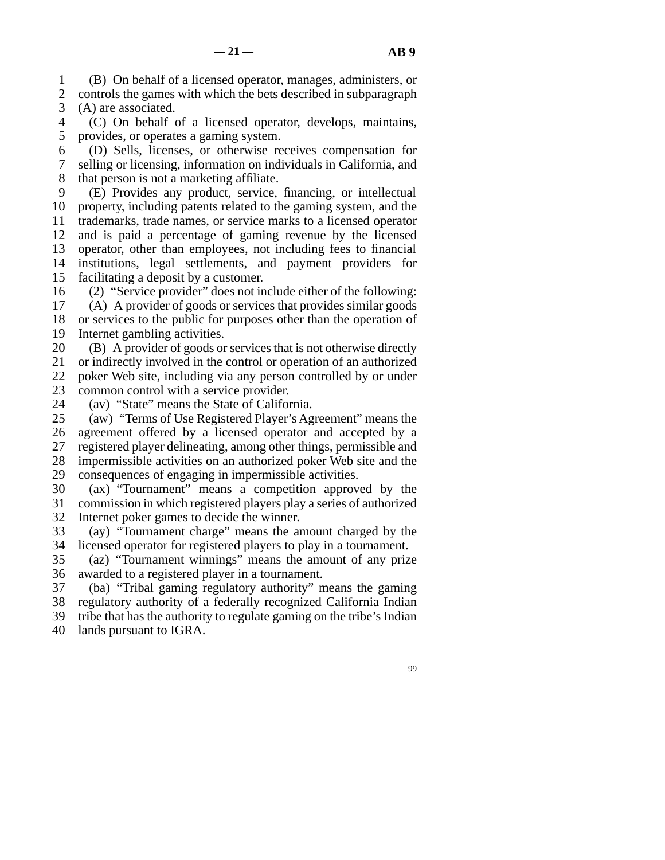line 1 (B) On behalf of a licensed operator, manages, administers, or 2 controls the games with which the bets described in subparagraph  $\overline{3}$  (A) are associated.  $(A)$  are associated.

4 (C) On behalf of a licensed operator, develops, maintains, 5 provides, or operates a gaming system.

 line 6 (D) Sells, licenses, or otherwise receives compensation for 7 selling or licensing, information on individuals in California, and 8 that person is not a marketing affiliate.

9 (E) Provides any product, service, financing, or intellectual 10 property, including patents related to the gaming system, and the 11 trademarks, trade names, or service marks to a licensed operator 12 and is paid a percentage of gaming revenue by the licensed 13 operator, other than employees, not including fees to financial 14 institutions, legal settlements, and payment providers for 15 facilitating a deposit by a customer.

16 (2) "Service provider" does not include either of the following:

17 (A) A provider of goods or services that provides similar goods 18 or services to the public for purposes other than the operation of 19 Internet gambling activities.

20 (B) A provider of goods or services that is not otherwise directly

21 or indirectly involved in the control or operation of an authorized

22 poker Web site, including via any person controlled by or under 23 common control with a service provider.

24 (av) "State" means the State of California.<br>25 (aw) "Terms of Use Registered Player's Ag

(aw) "Terms of Use Registered Player's Agreement" means the 26 agreement offered by a licensed operator and accepted by a 27 registered player delineating, among other things, permissible and 28 impermissible activities on an authorized poker Web site and the 29 consequences of engaging in impermissible activities.

 line 30 (ax) "Tournament" means a competition approved by the 31 commission in which registered players play a series of authorized 32 Internet poker games to decide the winner.

 line 33 (ay) "Tournament charge" means the amount charged by the 34 licensed operator for registered players to play in a tournament.

 line 35 (az) "Tournament winnings" means the amount of any prize 36 awarded to a registered player in a tournament.

line 37 (ba) "Tribal gaming regulatory authority" means the gaming

38 regulatory authority of a federally recognized California Indian

39 tribe that has the authority to regulate gaming on the tribe's Indian

40 lands pursuant to IGRA.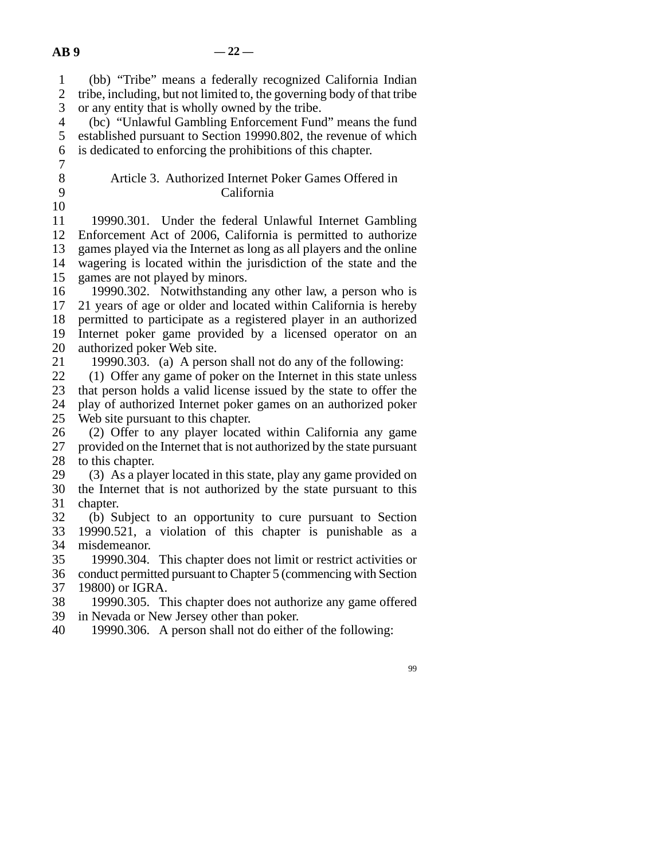| $\mathbf{1}$   | (bb) "Tribe" means a federally recognized California Indian                                  |
|----------------|----------------------------------------------------------------------------------------------|
| $\overline{2}$ | tribe, including, but not limited to, the governing body of that tribe                       |
| 3              | or any entity that is wholly owned by the tribe.                                             |
| $\overline{4}$ | (bc) "Unlawful Gambling Enforcement Fund" means the fund                                     |
| 5              | established pursuant to Section 19990.802, the revenue of which                              |
| 6              | is dedicated to enforcing the prohibitions of this chapter.                                  |
| 7              |                                                                                              |
| $8\,$          | Article 3. Authorized Internet Poker Games Offered in                                        |
| 9              | California                                                                                   |
| 10             |                                                                                              |
| 11             | 19990.301. Under the federal Unlawful Internet Gambling                                      |
| 12             | Enforcement Act of 2006, California is permitted to authorize                                |
| 13             | games played via the Internet as long as all players and the online                          |
| 14             | wagering is located within the jurisdiction of the state and the                             |
| 15             | games are not played by minors.                                                              |
| 16             | 19990.302. Notwithstanding any other law, a person who is                                    |
| 17             | 21 years of age or older and located within California is hereby                             |
| 18             | permitted to participate as a registered player in an authorized                             |
| 19             | Internet poker game provided by a licensed operator on an                                    |
| 20             | authorized poker Web site.                                                                   |
| 21             | 19990.303. (a) A person shall not do any of the following:                                   |
| 22             | (1) Offer any game of poker on the Internet in this state unless                             |
| 23             | that person holds a valid license issued by the state to offer the                           |
| 24             | play of authorized Internet poker games on an authorized poker                               |
| 25             | Web site pursuant to this chapter.                                                           |
| 26             | (2) Offer to any player located within California any game                                   |
| 27             | provided on the Internet that is not authorized by the state pursuant                        |
| 28             | to this chapter.                                                                             |
| 29             | (3) As a player located in this state, play any game provided on                             |
| 30             | the Internet that is not authorized by the state pursuant to this                            |
| 31             | chapter.                                                                                     |
| 32             | (b) Subject to an opportunity to cure pursuant to Section                                    |
| 33             | 19990.521, a violation of this chapter is punishable as a                                    |
| 34             | misdemeanor.                                                                                 |
| 35             | 19990.304. This chapter does not limit or restrict activities or                             |
| 36             | conduct permitted pursuant to Chapter 5 (commencing with Section                             |
| 37             | 19800) or IGRA.                                                                              |
| 38             | 19990.305. This chapter does not authorize any game offered                                  |
| 39<br>$\sim$   | in Nevada or New Jersey other than poker.<br>$\mathcal{C}$ at $\mathcal{C}$ at $\mathcal{C}$ |

40 19990.306. A person shall not do either of the following: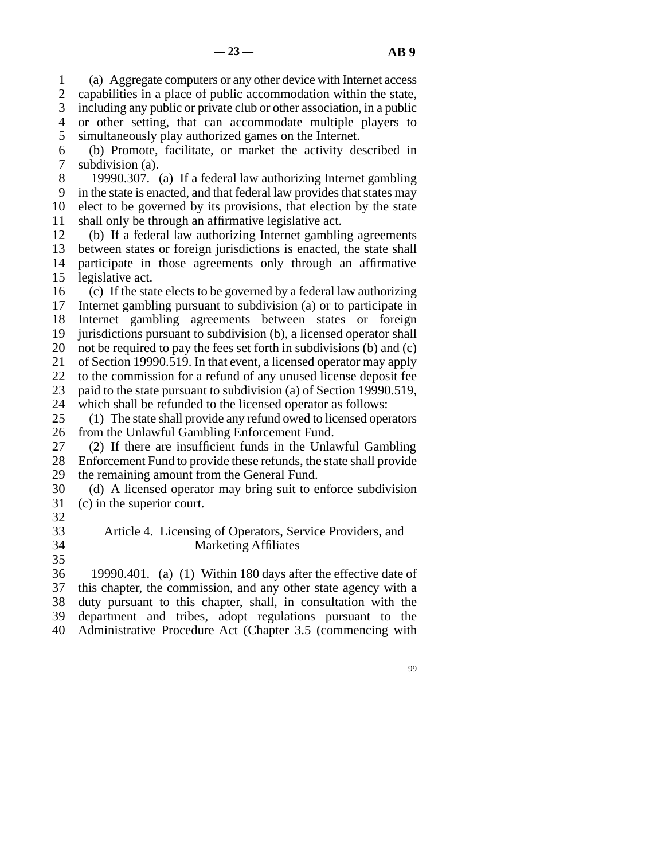line 1 (a) Aggregate computers or any other device with Internet access 2 capabilities in a place of public accommodation within the state, 3 including any public or private club or other association, in a public 4 or other setting, that can accommodate multiple players to 5 simultaneously play authorized games on the Internet.

 line 6 (b) Promote, facilitate, or market the activity described in 7 subdivision (a).

8 19990.307. (a) If a federal law authorizing Internet gambling 9 in the state is enacted, and that federal law provides that states may 10 elect to be governed by its provisions, that election by the state 11 shall only be through an affirmative legislative act.

12 (b) If a federal law authorizing Internet gambling agreements 13 between states or foreign jurisdictions is enacted, the state shall 14 participate in those agreements only through an affirmative 15 legislative act.

16 (c) If the state elects to be governed by a federal law authorizing 17 Internet gambling pursuant to subdivision (a) or to participate in 18 Internet gambling agreements between states or foreign 19 jurisdictions pursuant to subdivision (b), a licensed operator shall 20 not be required to pay the fees set forth in subdivisions (b) and (c) 21 of Section 19990.519. In that event, a licensed operator may apply 22 to the commission for a refund of any unused license deposit fee 23 paid to the state pursuant to subdivision (a) of Section 19990.519,

24 which shall be refunded to the licensed operator as follows:<br>25 (1) The state shall provide any refund owed to licensed operator  $\lambda$  (1) The state shall provide any refund owed to licensed operators 26 from the Unlawful Gambling Enforcement Fund.

27 (2) If there are insufficient funds in the Unlawful Gambling 28 Enforcement Fund to provide these refunds, the state shall provide 29 the remaining amount from the General Fund.

30 (d) A licensed operator may bring suit to enforce subdivision 31 (c) in the superior court.

 $\frac{32}{33}$ 

Article 4. Licensing of Operators, Service Providers, and 34 Marketing Affiliates

 $35$ 

36 19990.401. (a) (1) Within 180 days after the effective date of 37 this chapter, the commission, and any other state agency with a 38 duty pursuant to this chapter, shall, in consultation with the duty pursuant to this chapter, shall, in consultation with the 39 department and tribes, adopt regulations pursuant to the 40 Administrative Procedure Act (Chapter 3.5 (commencing with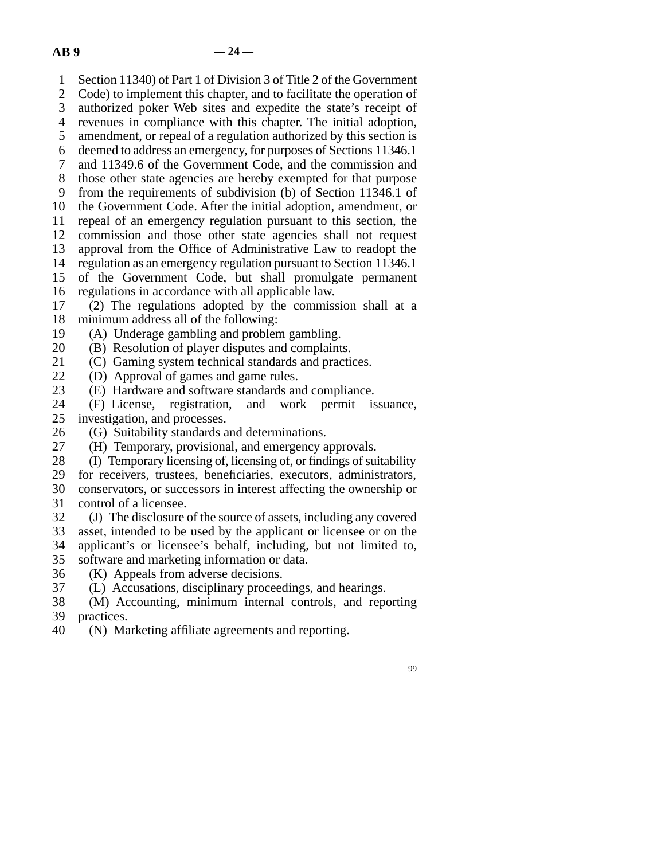1 Section 11340) of Part 1 of Division 3 of Title 2 of the Government

2 Code) to implement this chapter, and to facilitate the operation of authorized poker Web sites and expedite the state's receipt of authorized poker Web sites and expedite the state's receipt of

4 revenues in compliance with this chapter. The initial adoption,

5 amendment, or repeal of a regulation authorized by this section is

6 deemed to address an emergency, for purposes of Sections 11346.1

7 and 11349.6 of the Government Code, and the commission and

8 those other state agencies are hereby exempted for that purpose

9 from the requirements of subdivision (b) of Section 11346.1 of

10 the Government Code. After the initial adoption, amendment, or

11 repeal of an emergency regulation pursuant to this section, the

12 commission and those other state agencies shall not request

13 approval from the Office of Administrative Law to readopt the 14 regulation as an emergency regulation pursuant to Section 11346.1

15 of the Government Code, but shall promulgate permanent

16 regulations in accordance with all applicable law.

- 17 (2) The regulations adopted by the commission shall at a 18 minimum address all of the following:
- 19 (A) Underage gambling and problem gambling.

20 (B) Resolution of player disputes and complaints.

21 (C) Gaming system technical standards and practices.

- 22 (D) Approval of games and game rules.<br>23 (E) Hardware and software standards an
- (E) Hardware and software standards and compliance.
- 24 (F) License, registration, and work permit issuance, 25 investigation, and processes. investigation, and processes.

26 (G) Suitability standards and determinations.<br>27 (H) Temporary, provisional, and emergency a

27 (H) Temporary, provisional, and emergency approvals.<br>28 (I) Temporary licensing of, licensing of, or findings of sui

line 28 (I) Temporary licensing of, licensing of, or findings of suitability

29 for receivers, trustees, beneficiaries, executors, administrators,

30 conservators, or successors in interest affecting the ownership or 31 control of a licensee.

32 (J) The disclosure of the source of assets, including any covered asset, intended to be used by the applicant or licensee or on the asset, intended to be used by the applicant or licensee or on the

34 applicant's or licensee's behalf, including, but not limited to,

35 software and marketing information or data.

36 (K) Appeals from adverse decisions.

37 (L) Accusations, disciplinary proceedings, and hearings.

38 (M) Accounting, minimum internal controls, and reporting<br>39 practices. practices.

40 (N) Marketing affiliate agreements and reporting.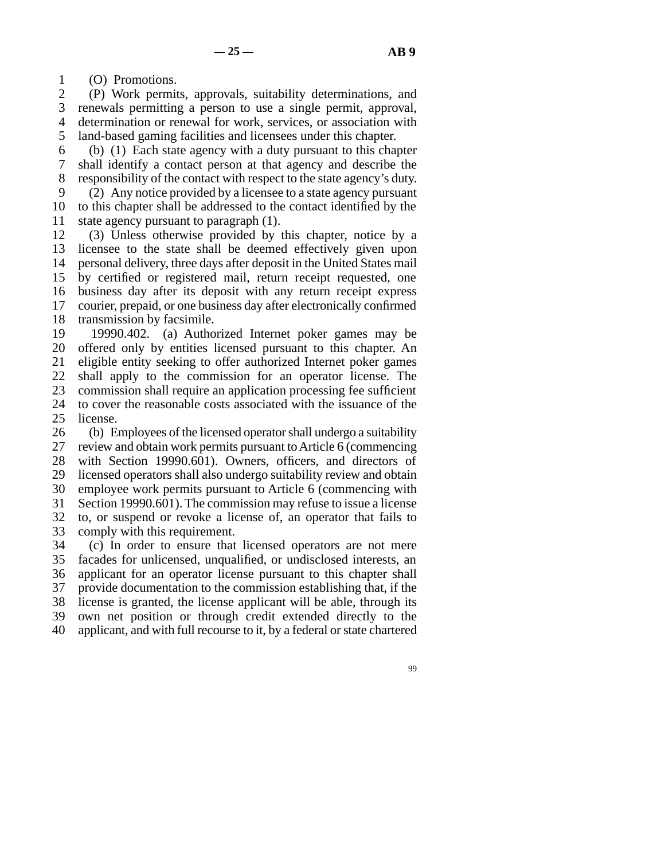1 (O) Promotions.

2 (P) Work permits, approvals, suitability determinations, and renewals permitting a person to use a single permit, approval, renewals permitting a person to use a single permit, approval, 4 determination or renewal for work, services, or association with 5 land-based gaming facilities and licensees under this chapter.

 $\delta$  (b) (1) Each state agency with a duty pursuant to this chapter 7 shall identify a contact person at that agency and describe the 8 responsibility of the contact with respect to the state agency's duty. 9 (2) Any notice provided by a licensee to a state agency pursuant

10 to this chapter shall be addressed to the contact identified by the 11 state agency pursuant to paragraph  $(1)$ .

12 (3) Unless otherwise provided by this chapter, notice by a 13 licensee to the state shall be deemed effectively given upon<br>14 personal delivery, three days after deposit in the United States mail personal delivery, three days after deposit in the United States mail 15 by certified or registered mail, return receipt requested, one 16 business day after its deposit with any return receipt express 17 courier, prepaid, or one business day after electronically confirmed 18 transmission by facsimile.

19 19990.402. (a) Authorized Internet poker games may be 20 offered only by entities licensed pursuant to this chapter. An 21 eligible entity seeking to offer authorized Internet poker games 22 shall apply to the commission for an operator license. The 23 commission shall require an application processing fee sufficient 24 to cover the reasonable costs associated with the issuance of the 25 license. license.

26 (b) Employees of the licensed operator shall undergo a suitability<br>27 review and obtain work permits pursuant to Article 6 (commencing review and obtain work permits pursuant to Article 6 (commencing 28 with Section 19990.601). Owners, officers, and directors of 29 licensed operators shall also undergo suitability review and obtain 30 employee work permits pursuant to Article 6 (commencing with 31 Section 19990.601). The commission may refuse to issue a license 32 to, or suspend or revoke a license of, an operator that fails to 33 comply with this requirement.

34 (c) In order to ensure that licensed operators are not mere 35 facades for unlicensed, unqualified, or undisclosed interests, an 36 applicant for an operator license pursuant to this chapter shall 37 provide documentation to the commission establishing that, if the 38 license is granted, the license applicant will be able, through its 39 own net position or through credit extended directly to the 40 applicant, and with full recourse to it, by a federal or state chartered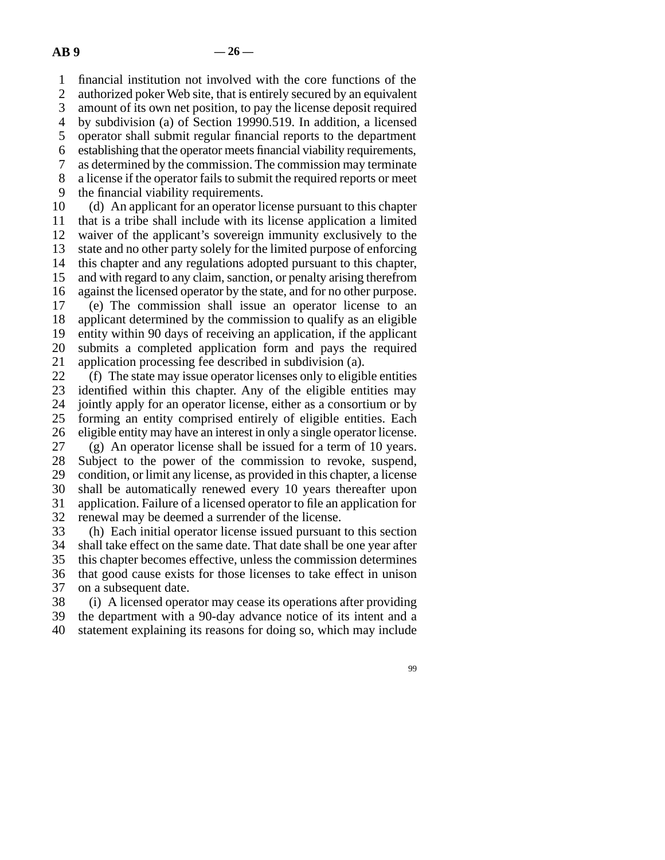line 1 financial institution not involved with the core functions of the

2 authorized poker Web site, that is entirely secured by an equivalent 3 amount of its own net position, to pay the license deposit required amount of its own net position, to pay the license deposit required

line 4 by subdivision (a) of Section 19990.519. In addition, a licensed

5 operator shall submit regular financial reports to the department

line 6 establishing that the operator meets financial viability requirements,

line 7 as determined by the commission. The commission may terminate

8 a license if the operator fails to submit the required reports or meet<br>9 the financial viability requirements.

the financial viability requirements.

10 (d) An applicant for an operator license pursuant to this chapter 11 that is a tribe shall include with its license application a limited 12 waiver of the applicant's sovereign immunity exclusively to the 13 state and no other party solely for the limited purpose of enforcing 14 this chapter and any regulations adopted pursuant to this chapter, 15 and with regard to any claim, sanction, or penalty arising therefrom 16 against the licensed operator by the state, and for no other purpose. 17 (e) The commission shall issue an operator license to an 18 applicant determined by the commission to qualify as an eligible 19 entity within 90 days of receiving an application, if the applicant 20 submits a completed application form and pays the required 21 application processing fee described in subdivision (a).

22 (f) The state may issue operator licenses only to eligible entities<br>23 identified within this chapter. Any of the eligible entities may identified within this chapter. Any of the eligible entities may 24 jointly apply for an operator license, either as a consortium or by<br>25 forming an entity comprised entirely of eligible entities. Each forming an entity comprised entirely of eligible entities. Each 26 eligible entity may have an interest in only a single operator license. 27 (g) An operator license shall be issued for a term of 10 years. 28 Subject to the power of the commission to revoke, suspend, 29 condition, or limit any license, as provided in this chapter, a license 30 shall be automatically renewed every 10 years thereafter upon 31 application. Failure of a licensed operator to file an application for 32 renewal may be deemed a surrender of the license.

33 (h) Each initial operator license issued pursuant to this section 34 shall take effect on the same date. That date shall be one year after 35 this chapter becomes effective, unless the commission determines 36 that good cause exists for those licenses to take effect in unison 37 on a subsequent date.

38 (i) A licensed operator may cease its operations after providing<br>39 the department with a 90-day advance notice of its intent and a the department with a 90-day advance notice of its intent and a 40 statement explaining its reasons for doing so, which may include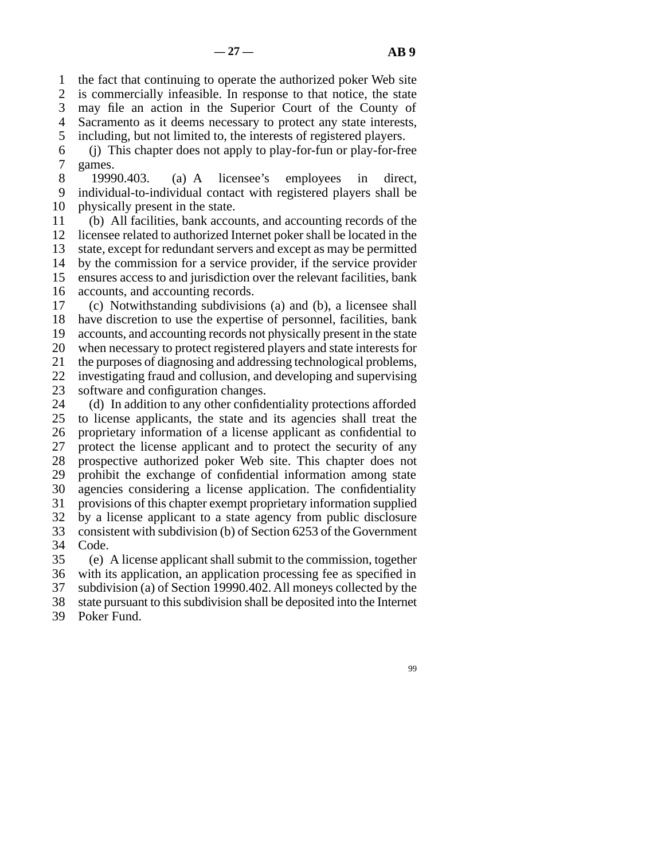line 1 the fact that continuing to operate the authorized poker Web site 2 is commercially infeasible. In response to that notice, the state 3 may file an action in the Superior Court of the County of 4 Sacramento as it deems necessary to protect any state interests, 5 including, but not limited to, the interests of registered players.

 $\delta$  (i) This chapter does not apply to play-for-fun or play-for-free 7 games.

8 19990.403. (a) A licensee's employees in direct, 9 individual-to-individual contact with registered players shall be 10 physically present in the state.

 line 11 (b) All facilities, bank accounts, and accounting records of the 12 licensee related to authorized Internet poker shall be located in the 13 state, except for redundant servers and except as may be permitted 14 by the commission for a service provider, if the service provider 15 ensures access to and jurisdiction over the relevant facilities, bank 16 accounts, and accounting records.

 line 17 (c) Notwithstanding subdivisions (a) and (b), a licensee shall 18 have discretion to use the expertise of personnel, facilities, bank 19 accounts, and accounting records not physically present in the state 20 when necessary to protect registered players and state interests for 21 the purposes of diagnosing and addressing technological problems, 22 investigating fraud and collusion, and developing and supervising 23 software and configuration changes.

24 (d) In addition to any other confidentiality protections afforded 25 to license applicants, the state and its agencies shall treat the line 25 to license applicants, the state and its agencies shall treat the 26 proprietary information of a license applicant as confidential to 27 protect the license applicant and to protect the security of any 28 prospective authorized poker Web site. This chapter does not 29 prohibit the exchange of confidential information among state 30 agencies considering a license application. The confidentiality 31 provisions of this chapter exempt proprietary information supplied 32 by a license applicant to a state agency from public disclosure 33 consistent with subdivision (b) of Section 6253 of the Government 34 Code.

 line 35 (e) A license applicant shall submit to the commission, together 36 with its application, an application processing fee as specified in 37 subdivision (a) of Section 19990.402. All moneys collected by the 38 state pursuant to this subdivision shall be deposited into the Internet

39 Poker Fund.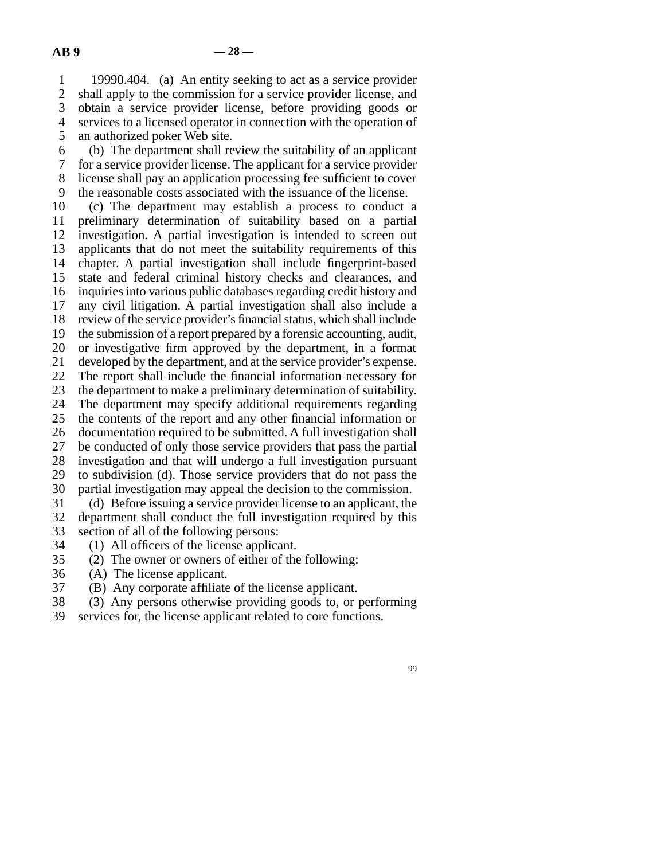1 19990.404. (a) An entity seeking to act as a service provider 2 shall apply to the commission for a service provider license, and<br>3 obtain a service provider license, before providing goods or obtain a service provider license, before providing goods or 4 services to a licensed operator in connection with the operation of 5 an authorized poker Web site.

 $\delta$  (b) The department shall review the suitability of an applicant line 7 for a service provider license. The applicant for a service provider 8 license shall pay an application processing fee sufficient to cover 9 the reasonable costs associated with the issuance of the license.

10 (c) The department may establish a process to conduct a 11 preliminary determination of suitability based on a partial 12 investigation. A partial investigation is intended to screen out 13 applicants that do not meet the suitability requirements of this 14 chapter. A partial investigation shall include fingerprint-based 15 state and federal criminal history checks and clearances, and 16 inquiries into various public databases regarding credit history and 17 any civil litigation. A partial investigation shall also include a 18 review of the service provider's financial status, which shall include 19 the submission of a report prepared by a forensic accounting, audit, 20 or investigative firm approved by the department, in a format 21 developed by the department, and at the service provider's expense. 22 The report shall include the financial information necessary for 23 the department to make a preliminary determination of suitability. 24 The department may specify additional requirements regarding<br>25 the contents of the report and any other financial information or the contents of the report and any other financial information or 26 documentation required to be submitted. A full investigation shall 27 be conducted of only those service providers that pass the partial 28 investigation and that will undergo a full investigation pursuant 29 to subdivision (d). Those service providers that do not pass the 30 partial investigation may appeal the decision to the commission.

31 (d) Before issuing a service provider license to an applicant, the 32 department shall conduct the full investigation required by this 33 section of all of the following persons:

- 34 (1) All officers of the license applicant.
- 35 (2) The owner or owners of either of the following:
- 36 (A) The license applicant.
- 37 (B) Any corporate affiliate of the license applicant.
- 38 (3) Any persons otherwise providing goods to, or performing
- 39 services for, the license applicant related to core functions.
- 99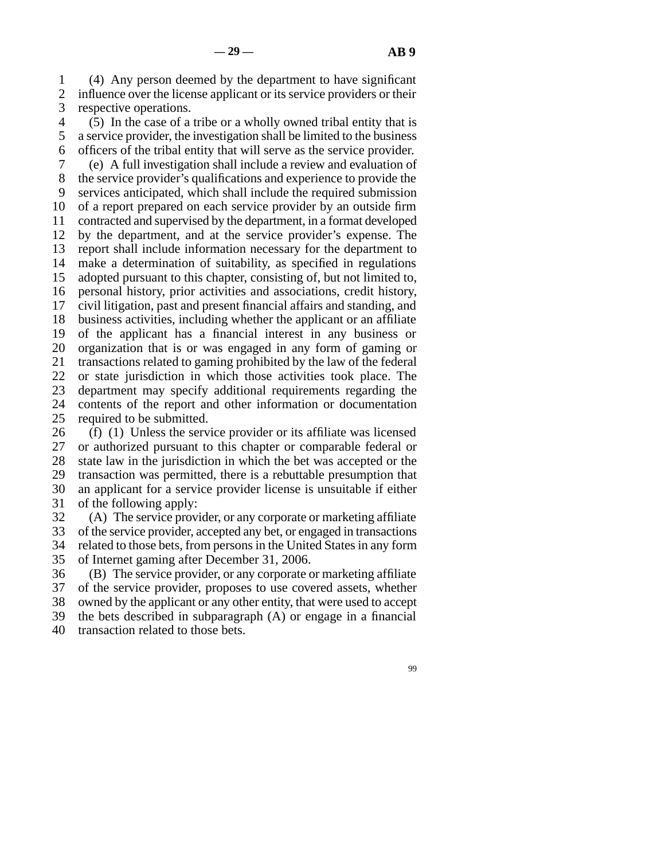line 1 (4) Any person deemed by the department to have significant 2 influence over the license applicant or its service providers or their<br>3 respective operations. respective operations.

4 (5) In the case of a tribe or a wholly owned tribal entity that is 5 a service provider, the investigation shall be limited to the business line 6 officers of the tribal entity that will serve as the service provider.

 line 7 (e) A full investigation shall include a review and evaluation of 8 the service provider's qualifications and experience to provide the 9 services anticipated, which shall include the required submission 10 of a report prepared on each service provider by an outside firm 11 contracted and supervised by the department, in a format developed 12 by the department, and at the service provider's expense. The 13 report shall include information necessary for the department to 14 make a determination of suitability, as specified in regulations 15 adopted pursuant to this chapter, consisting of, but not limited to, 16 personal history, prior activities and associations, credit history, 17 civil litigation, past and present financial affairs and standing, and 18 business activities, including whether the applicant or an affiliate 19 of the applicant has a financial interest in any business or 20 organization that is or was engaged in any form of gaming or 21 transactions related to gaming prohibited by the law of the federal 22 or state jurisdiction in which those activities took place. The 23 department may specify additional requirements regarding the 24 contents of the report and other information or documentation 25 required to be submitted. required to be submitted.

26 (f) (1) Unless the service provider or its affiliate was licensed 27 or authorized pursuant to this chapter or comparable federal or or authorized pursuant to this chapter or comparable federal or 28 state law in the jurisdiction in which the bet was accepted or the 29 transaction was permitted, there is a rebuttable presumption that 30 an applicant for a service provider license is unsuitable if either 31 of the following apply:

32 (A) The service provider, or any corporate or marketing affiliate 33 of the service provider, accepted any bet, or engaged in transactions 34 related to those bets, from persons in the United States in any form 35 of Internet gaming after December 31, 2006.

36 (B) The service provider, or any corporate or marketing affiliate 37 of the service provider, proposes to use covered assets, whether 38 owned by the applicant or any other entity, that were used to accept 39 the bets described in subparagraph  $(A)$  or engage in a financial 40 transaction related to those bets.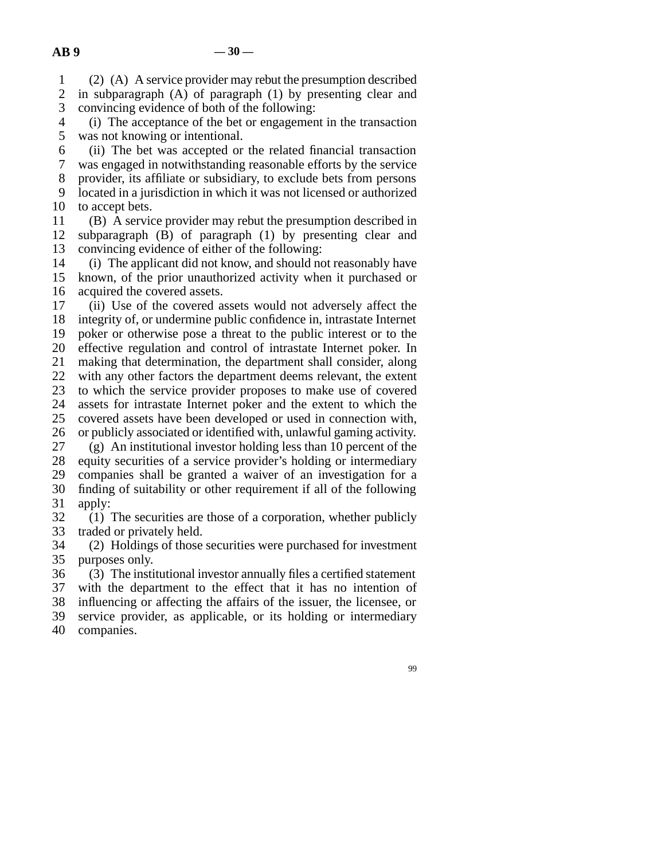line 1 (2) (A) A service provider may rebut the presumption described

2 in subparagraph  $(A)$  of paragraph  $(1)$  by presenting clear and 3 convincing evidence of both of the following:

4 (i) The acceptance of the bet or engagement in the transaction 5 was not knowing or intentional.

6 (ii) The bet was accepted or the related financial transaction line 7 was engaged in notwithstanding reasonable efforts by the service 8 provider, its affiliate or subsidiary, to exclude bets from persons 9 located in a jurisdiction in which it was not licensed or authorized 10 to accept bets.

11 (B) A service provider may rebut the presumption described in 12 subparagraph (B) of paragraph (1) by presenting clear and 13 convincing evidence of either of the following:

14 (i) The applicant did not know, and should not reasonably have 15 known, of the prior unauthorized activity when it purchased or 16 acquired the covered assets.

17 (ii) Use of the covered assets would not adversely affect the 18 integrity of, or undermine public confidence in, intrastate Internet 19 poker or otherwise pose a threat to the public interest or to the 20 effective regulation and control of intrastate Internet poker. In 21 making that determination, the department shall consider, along 22 with any other factors the department deems relevant, the extent 23 to which the service provider proposes to make use of covered 24 assets for intrastate Internet poker and the extent to which the 25 covered assets have been developed or used in connection with, covered assets have been developed or used in connection with, 26 or publicly associated or identified with, unlawful gaming activity. 27 (g) An institutional investor holding less than 10 percent of the 28 equity securities of a service provider's holding or intermediary 29 companies shall be granted a waiver of an investigation for a 30 finding of suitability or other requirement if all of the following

 $31$  apply:

 $32$  (1) The securities are those of a corporation, whether publicly 33 traded or privately held.

34 (2) Holdings of those securities were purchased for investment 35 purposes only.

36 (3) The institutional investor annually files a certified statement 37 with the department to the effect that it has no intention of 38 influencing or affecting the affairs of the issuer, the licensee, or 39 service provider, as applicable, or its holding or intermediary 40 companies.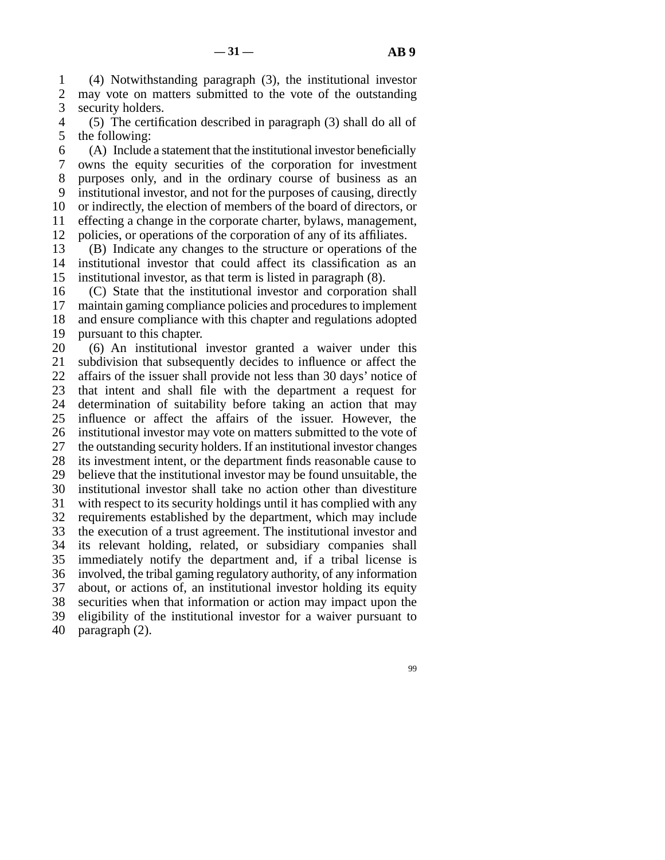line 1 (4) Notwithstanding paragraph (3), the institutional investor 2 may vote on matters submitted to the vote of the outstanding<br>3 security holders. security holders.

4 (5) The certification described in paragraph (3) shall do all of 5 the following:

 $\delta$  (A) Include a statement that the institutional investor beneficially line 7 owns the equity securities of the corporation for investment 8 purposes only, and in the ordinary course of business as an 9 institutional investor, and not for the purposes of causing, directly 10 or indirectly, the election of members of the board of directors, or 11 effecting a change in the corporate charter, bylaws, management, 12 policies, or operations of the corporation of any of its affiliates.

13 (B) Indicate any changes to the structure or operations of the 14 institutional investor that could affect its classification as an 15 institutional investor, as that term is listed in paragraph  $(8)$ .

16 (C) State that the institutional investor and corporation shall 17 maintain gaming compliance policies and procedures to implement 18 and ensure compliance with this chapter and regulations adopted 19 pursuant to this chapter.

20 (6) An institutional investor granted a waiver under this 21 subdivision that subsequently decides to influence or affect the 22 affairs of the issuer shall provide not less than 30 days' notice of 23 that intent and shall file with the department a request for 24 determination of suitability before taking an action that may<br>25 influence or affect the affairs of the issuer. However, the influence or affect the affairs of the issuer. However, the 26 institutional investor may vote on matters submitted to the vote of 27 the outstanding security holders. If an institutional investor changes 28 its investment intent, or the department finds reasonable cause to 29 believe that the institutional investor may be found unsuitable, the 30 institutional investor shall take no action other than divestiture 31 with respect to its security holdings until it has complied with any 32 requirements established by the department, which may include 33 the execution of a trust agreement. The institutional investor and 34 its relevant holding, related, or subsidiary companies shall 35 immediately notify the department and, if a tribal license is 36 involved, the tribal gaming regulatory authority, of any information 37 about, or actions of, an institutional investor holding its equity 38 securities when that information or action may impact upon the 39 eligibility of the institutional investor for a waiver pursuant to 40 paragraph  $(2)$ .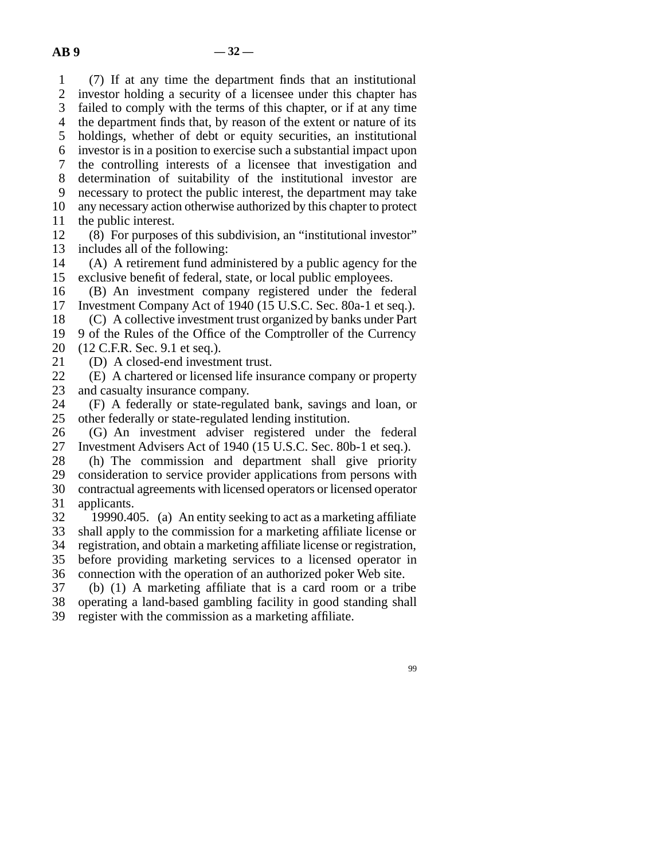line 1 (7) If at any time the department finds that an institutional 2 investor holding a security of a licensee under this chapter has<br>3 failed to comply with the terms of this chapter, or if at any time failed to comply with the terms of this chapter, or if at any time 4 the department finds that, by reason of the extent or nature of its 5 holdings, whether of debt or equity securities, an institutional line 6 investor is in a position to exercise such a substantial impact upon line 7 the controlling interests of a licensee that investigation and 8 determination of suitability of the institutional investor are line 9 necessary to protect the public interest, the department may take 10 any necessary action otherwise authorized by this chapter to protect 11 the public interest.

- 12 (8) For purposes of this subdivision, an "institutional investor" 13 includes all of the following:
- 14 (A) A retirement fund administered by a public agency for the 15 exclusive benefit of federal, state, or local public employees.
- 16 (B) An investment company registered under the federal 17 Investment Company Act of 1940 (15 U.S.C. Sec. 80a-1 et seq.).

18 (C) A collective investment trust organized by banks under Part

- 19 9 of the Rules of the Office of the Comptroller of the Currency
- 20 (12 C.F.R. Sec. 9.1 et seq.).
- 21 (D) A closed-end investment trust.
- 22 (E) A chartered or licensed life insurance company or property<br>23 and casualty insurance company. and casualty insurance company.
- 24 (F) A federally or state-regulated bank, savings and loan, or other federally or state-regulated lending institution. other federally or state-regulated lending institution.
- 26 (G) An investment adviser registered under the federal 27 Investment Advisers Act of 1940 (15 U.S.C. Sec. 80b-1 et seq.). line 27 Investment Advisers Act of 1940 (15 U.S.C. Sec. 80b-1 et seq.).
- 28 (h) The commission and department shall give priority 29 consideration to service provider applications from persons with 30 contractual agreements with licensed operators or licensed operator 31 applicants.
- 32 19990.405. (a) An entity seeking to act as a marketing affiliate 33 shall apply to the commission for a marketing affiliate license or 34 registration, and obtain a marketing affiliate license or registration,
- 35 before providing marketing services to a licensed operator in 36 connection with the operation of an authorized poker Web site.
- $37$  (b) (1) A marketing affiliate that is a card room or a tribe
- line 38 operating a land-based gambling facility in good standing shall 39 register with the commission as a marketing affiliate.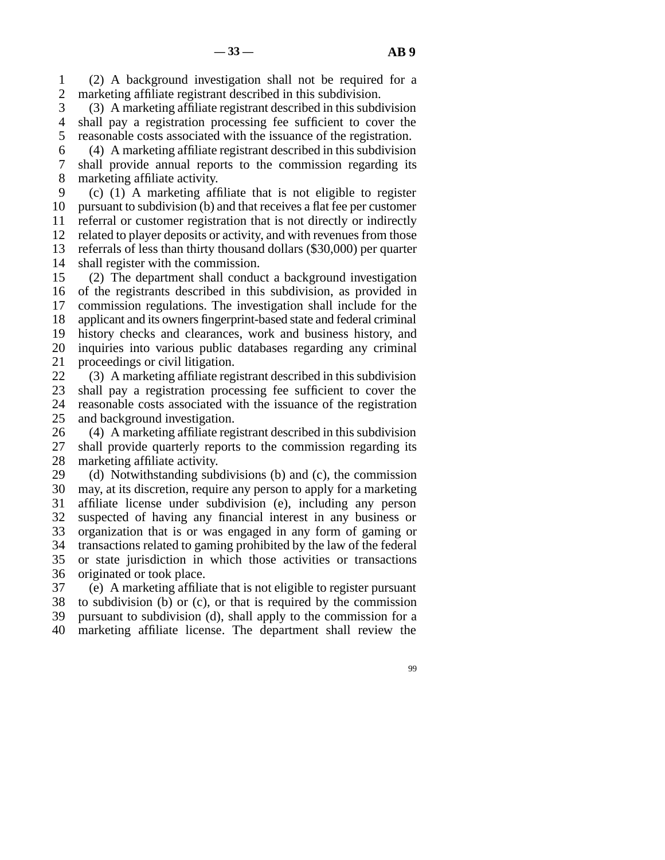line 1 (2) A background investigation shall not be required for a 2 marketing affiliate registrant described in this subdivision.

3 (3) A marketing affiliate registrant described in this subdivision 4 shall pay a registration processing fee sufficient to cover the 5 reasonable costs associated with the issuance of the registration.

 $\delta$  (4) A marketing affiliate registrant described in this subdivision 7 shall provide annual reports to the commission regarding its 8 marketing affiliate activity.

9 (c) (1) A marketing affiliate that is not eligible to register 10 pursuant to subdivision (b) and that receives a flat fee per customer 11 referral or customer registration that is not directly or indirectly 12 related to player deposits or activity, and with revenues from those 13 referrals of less than thirty thousand dollars (\$30,000) per quarter 14 shall register with the commission.

15 (2) The department shall conduct a background investigation 16 of the registrants described in this subdivision, as provided in 17 commission regulations. The investigation shall include for the 18 applicant and its owners fingerprint-based state and federal criminal 19 history checks and clearances, work and business history, and 20 inquiries into various public databases regarding any criminal 21 proceedings or civil litigation.

22 (3) A marketing affiliate registrant described in this subdivision<br>23 shall pay a registration processing fee sufficient to cover the shall pay a registration processing fee sufficient to cover the 24 reasonable costs associated with the issuance of the registration<br>25 and background investigation. and background investigation.

26 (4) A marketing affiliate registrant described in this subdivision<br>27 shall provide quarterly reports to the commission regarding its shall provide quarterly reports to the commission regarding its 28 marketing affiliate activity.

29 (d) Notwithstanding subdivisions (b) and (c), the commission 30 may, at its discretion, require any person to apply for a marketing 31 affiliate license under subdivision (e), including any person 32 suspected of having any financial interest in any business or 33 organization that is or was engaged in any form of gaming or 34 transactions related to gaming prohibited by the law of the federal 35 or state jurisdiction in which those activities or transactions 36 originated or took place.

37 (e) A marketing affiliate that is not eligible to register pursuant 38 to subdivision (b) or (c), or that is required by the commission 39 pursuant to subdivision (d), shall apply to the commission for a 40 marketing affiliate license. The department shall review the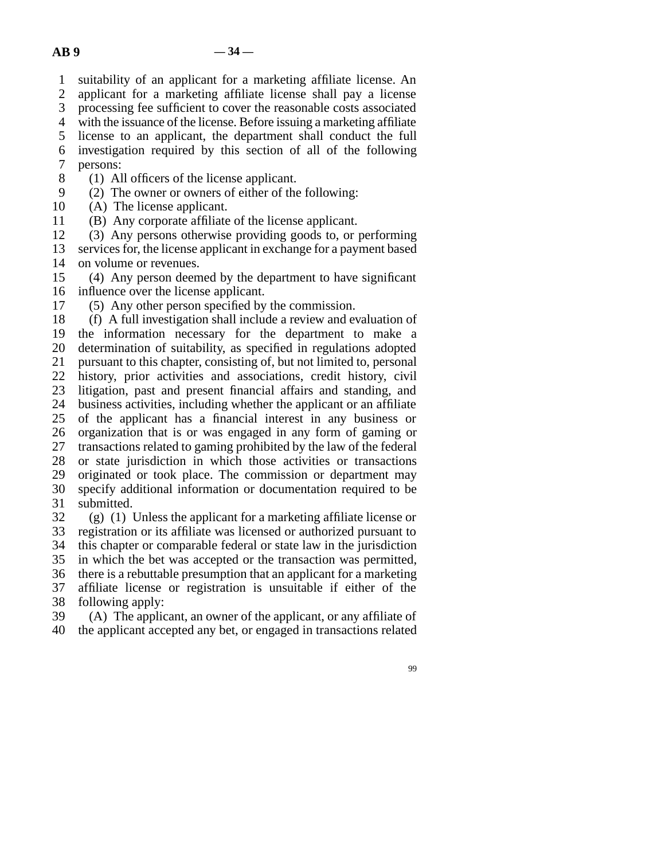1 suitability of an applicant for a marketing affiliate license. An

2 applicant for a marketing affiliate license shall pay a license<br>3 processing fee sufficient to cover the reasonable costs associated

processing fee sufficient to cover the reasonable costs associated

4 with the issuance of the license. Before issuing a marketing affiliate

5 license to an applicant, the department shall conduct the full

 line 6 investigation required by this section of all of the following 7 persons:

8 (1) All officers of the license applicant.

9 (2) The owner or owners of either of the following:

10 (A) The license applicant.

11 (B) Any corporate affiliate of the license applicant.

12 (3) Any persons otherwise providing goods to, or performing

13 services for, the license applicant in exchange for a payment based 14 on volume or revenues.

15 (4) Any person deemed by the department to have significant 16 influence over the license applicant.

17 (5) Any other person specified by the commission.

18 (f) A full investigation shall include a review and evaluation of 19 the information necessary for the department to make a 20 determination of suitability, as specified in regulations adopted 21 pursuant to this chapter, consisting of, but not limited to, personal 22 history, prior activities and associations, credit history, civil 23 litigation, past and present financial affairs and standing, and 24 business activities, including whether the applicant or an affiliate 25 of the applicant has a financial interest in any business or of the applicant has a financial interest in any business or 26 organization that is or was engaged in any form of gaming or 27 transactions related to gaming prohibited by the law of the federal 28 or state jurisdiction in which those activities or transactions 29 originated or took place. The commission or department may 30 specify additional information or documentation required to be 31 submitted.

 $32$  (g) (1) Unless the applicant for a marketing affiliate license or 33 registration or its affiliate was licensed or authorized pursuant to 34 this chapter or comparable federal or state law in the jurisdiction 35 in which the bet was accepted or the transaction was permitted, 36 there is a rebuttable presumption that an applicant for a marketing 37 affiliate license or registration is unsuitable if either of the 38 following apply:

39 (A) The applicant, an owner of the applicant, or any affiliate of 40 the applicant accepted any bet, or engaged in transactions related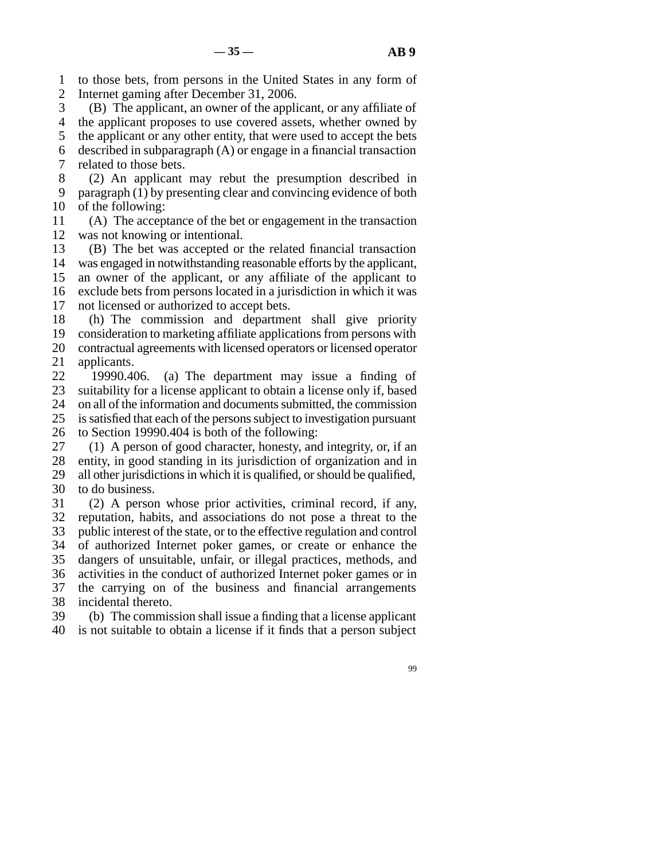1 to those bets, from persons in the United States in any form of 2 Internet gaming after December 31, 2006.

3 (B) The applicant, an owner of the applicant, or any affiliate of 4 the applicant proposes to use covered assets, whether owned by 5 the applicant or any other entity, that were used to accept the bets 6 described in subparagraph  $(A)$  or engage in a financial transaction 7 related to those bets.

8 (2) An applicant may rebut the presumption described in 9 paragraph  $(1)$  by presenting clear and convincing evidence of both  $10$  of the following:

11 (A) The acceptance of the bet or engagement in the transaction 12 was not knowing or intentional.

13 (B) The bet was accepted or the related financial transaction 14 was engaged in notwithstanding reasonable efforts by the applicant, 15 an owner of the applicant, or any affiliate of the applicant to 16 exclude bets from persons located in a jurisdiction in which it was 17 not licensed or authorized to accept bets.

18 (h) The commission and department shall give priority 19 consideration to marketing affiliate applications from persons with 20 contractual agreements with licensed operators or licensed operator 21 applicants.

22 19990.406. (a) The department may issue a finding of suitability for a license applicant to obtain a license only if, based suitability for a license applicant to obtain a license only if, based 24 on all of the information and documents submitted, the commission<br>25 is satisfied that each of the persons subject to investigation pursuant is satisfied that each of the persons subject to investigation pursuant 26 to Section 19990.404 is both of the following:

27 (1) A person of good character, honesty, and integrity, or, if an 28 entity, in good standing in its jurisdiction of organization and in 29 all other jurisdictions in which it is qualified, or should be qualified, 30 to do business.

31 (2) A person whose prior activities, criminal record, if any, 32 reputation, habits, and associations do not pose a threat to the 33 public interest of the state, or to the effective regulation and control 34 of authorized Internet poker games, or create or enhance the 35 dangers of unsuitable, unfair, or illegal practices, methods, and 36 activities in the conduct of authorized Internet poker games or in 37 the carrying on of the business and financial arrangements 38 incidental thereto.

39 (b) The commission shall issue a finding that a license applicant 40 is not suitable to obtain a license if it finds that a person subject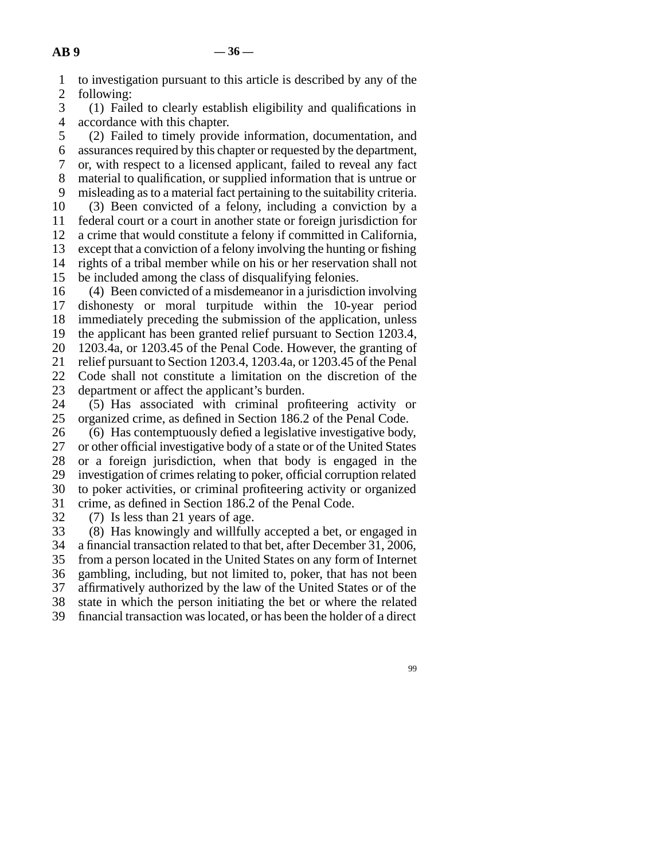**AB 9**  $-36$ 

line 1 to investigation pursuant to this article is described by any of the

2 following:<br>3 (1) Fails  $(1)$  Failed to clearly establish eligibility and qualifications in 4 accordance with this chapter.

5 (2) Failed to timely provide information, documentation, and line 6 assurances required by this chapter or requested by the department, 7 or, with respect to a licensed applicant, failed to reveal any fact 8 material to qualification, or supplied information that is untrue or 9 misleading as to a material fact pertaining to the suitability criteria.

10 (3) Been convicted of a felony, including a conviction by a 11 federal court or a court in another state or foreign jurisdiction for 12 a crime that would constitute a felony if committed in California, 13 except that a conviction of a felony involving the hunting or fishing 14 rights of a tribal member while on his or her reservation shall not 15 be included among the class of disqualifying felonies.

16 (4) Been convicted of a misdemeanor in a jurisdiction involving 17 dishonesty or moral turpitude within the 10-year period 18 immediately preceding the submission of the application, unless 19 the applicant has been granted relief pursuant to Section 1203.4, line 20 1203.4a, or 1203.45 of the Penal Code. However, the granting of 21 relief pursuant to Section 1203.4, 1203.4a, or 1203.45 of the Penal 22 Code shall not constitute a limitation on the discretion of the 23 department or affect the applicant's burden. department or affect the applicant's burden.

24 (5) Has associated with criminal profiteering activity or 25 organized crime, as defined in Section 186.2 of the Penal Code. organized crime, as defined in Section 186.2 of the Penal Code.

26 (6) Has contemptuously defied a legislative investigative body,<br>27 or other official investigative body of a state or of the United States or other official investigative body of a state or of the United States 28 or a foreign jurisdiction, when that body is engaged in the 29 investigation of crimes relating to poker, official corruption related 30 to poker activities, or criminal profiteering activity or organized 31 crime, as defined in Section 186.2 of the Penal Code.

32 (7) Is less than 21 years of age.<br>33 (8) Has knowingly and willfull (8) Has knowingly and willfully accepted a bet, or engaged in 34 a financial transaction related to that bet, after December 31, 2006, 35 from a person located in the United States on any form of Internet 36 gambling, including, but not limited to, poker, that has not been 37 affirmatively authorized by the law of the United States or of the 38 state in which the person initiating the bet or where the related

39 financial transaction was located, or has been the holder of a direct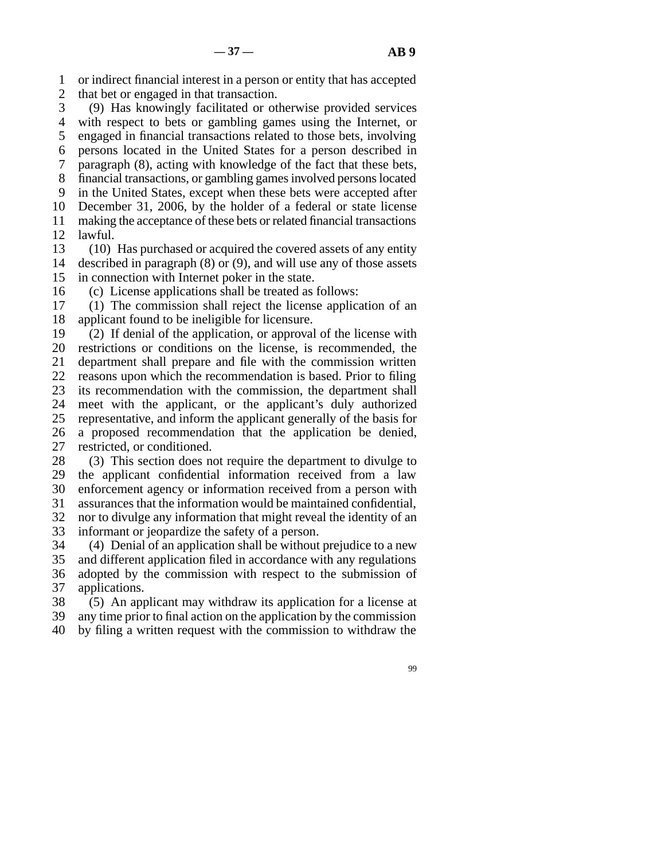line 1 or indirect financial interest in a person or entity that has accepted 2 that bet or engaged in that transaction.

3 (9) Has knowingly facilitated or otherwise provided services line 4 with respect to bets or gambling games using the Internet, or 5 engaged in financial transactions related to those bets, involving 6 persons located in the United States for a person described in 7 paragraph (8), acting with knowledge of the fact that these bets, 8 financial transactions, or gambling games involved persons located 9 in the United States, except when these bets were accepted after 10 December 31, 2006, by the holder of a federal or state license 11 making the acceptance of these bets or related financial transactions 12 lawful. 13 (10) Has purchased or acquired the covered assets of any entity

14 described in paragraph  $(8)$  or  $(9)$ , and will use any of those assets 15 in connection with Internet poker in the state.

16 (c) License applications shall be treated as follows:

17 (1) The commission shall reject the license application of an 18 applicant found to be ineligible for licensure.

19 (2) If denial of the application, or approval of the license with 20 restrictions or conditions on the license, is recommended, the 21 department shall prepare and file with the commission written 22 reasons upon which the recommendation is based. Prior to filing 23 its recommendation with the commission, the department shall 24 meet with the applicant, or the applicant's duly authorized 25 representative, and inform the applicant generally of the basis for representative, and inform the applicant generally of the basis for 26 a proposed recommendation that the application be denied, 27 restricted, or conditioned.

28 (3) This section does not require the department to divulge to 29 the applicant confidential information received from a law 30 enforcement agency or information received from a person with 31 assurances that the information would be maintained confidential,

32 nor to divulge any information that might reveal the identity of an

33 informant or jeopardize the safety of a person.

34 (4) Denial of an application shall be without prejudice to a new 35 and different application filed in accordance with any regulations

36 adopted by the commission with respect to the submission of 37 applications.

38 (5) An applicant may withdraw its application for a license at 39 any time prior to final action on the application by the commission

line 40 by filing a written request with the commission to withdraw the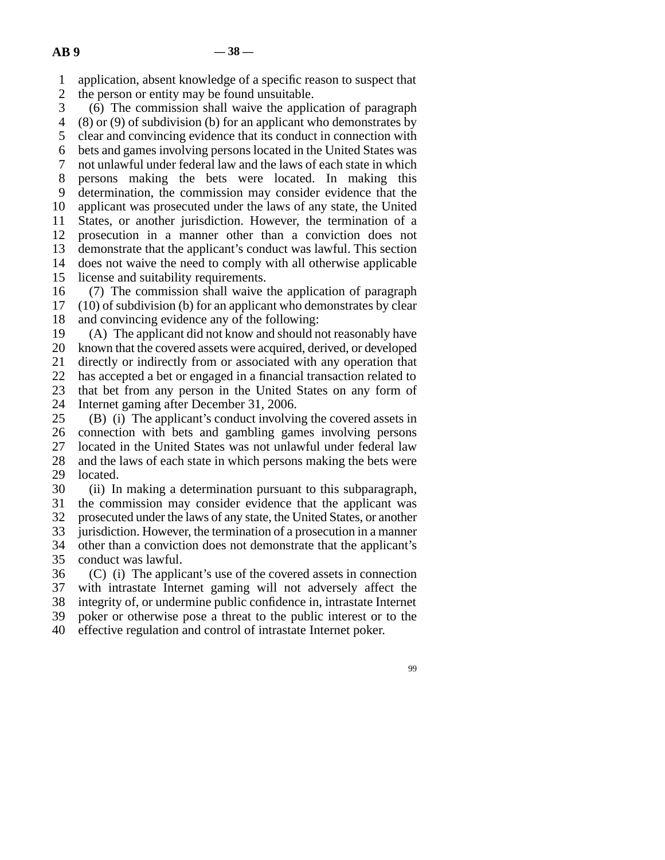line 1 application, absent knowledge of a specific reason to suspect that

2 the person or entity may be found unsuitable.<br>3 (6) The commission shall waive the applic

 $\lambda$  (6) The commission shall waive the application of paragraph

4 (8) or (9) of subdivision (b) for an applicant who demonstrates by 5 clear and convincing evidence that its conduct in connection with

6 bets and games involving persons located in the United States was 7 not unlawful under federal law and the laws of each state in which 8 persons making the bets were located. In making this 9 determination, the commission may consider evidence that the 10 applicant was prosecuted under the laws of any state, the United 11 States, or another jurisdiction. However, the termination of a 12 prosecution in a manner other than a conviction does not

13 demonstrate that the applicant's conduct was lawful. This section

14 does not waive the need to comply with all otherwise applicable

15 license and suitability requirements.

16 (7) The commission shall waive the application of paragraph 17  $(10)$  of subdivision (b) for an applicant who demonstrates by clear 18 and convincing evidence any of the following:

19 (A) The applicant did not know and should not reasonably have

20 known that the covered assets were acquired, derived, or developed

21 directly or indirectly from or associated with any operation that 22 has accepted a bet or engaged in a financial transaction related to

23 that bet from any person in the United States on any form of

24 Internet gaming after December 31, 2006.<br>25 (B) (i) The applicant's conduct involvin  $\Delta$  (B) (i) The applicant's conduct involving the covered assets in 26 connection with bets and gambling games involving persons 27 located in the United States was not unlawful under federal law 28 and the laws of each state in which persons making the bets were 29 located.

30 (ii) In making a determination pursuant to this subparagraph, 31 the commission may consider evidence that the applicant was 32 prosecuted under the laws of any state, the United States, or another jurisdiction. However, the termination of a prosecution in a manner jurisdiction. However, the termination of a prosecution in a manner 34 other than a conviction does not demonstrate that the applicant's

35 conduct was lawful.

 $36$  (C) (i) The applicant's use of the covered assets in connection 37 with intrastate Internet gaming will not adversely affect the line 38 integrity of, or undermine public confidence in, intrastate Internet 39 poker or otherwise pose a threat to the public interest or to the 40 effective regulation and control of intrastate Internet poker.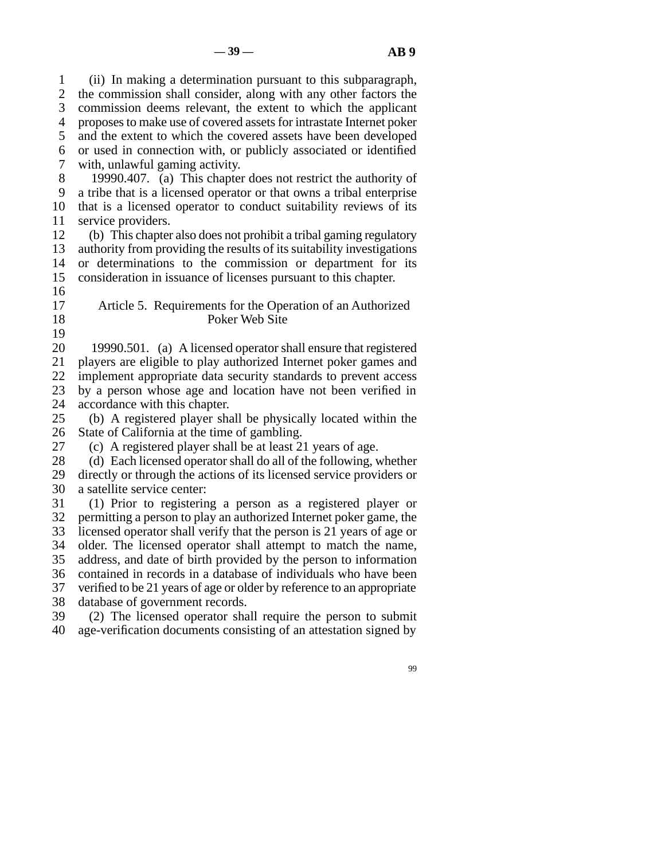line 1 (ii) In making a determination pursuant to this subparagraph, 2 the commission shall consider, along with any other factors the 3 commission deems relevant, the extent to which the applicant line 4 proposes to make use of covered assets for intrastate Internet poker 5 and the extent to which the covered assets have been developed line 6 or used in connection with, or publicly associated or identified 7 with, unlawful gaming activity.

8 19990.407. (a) This chapter does not restrict the authority of line 9 a tribe that is a licensed operator or that owns a tribal enterprise 10 that is a licensed operator to conduct suitability reviews of its 11 service providers.

12 (b) This chapter also does not prohibit a tribal gaming regulatory 13 authority from providing the results of its suitability investigations 14 or determinations to the commission or department for its 15 consideration in issuance of licenses pursuant to this chapter.

- 16
- 17 Article 5. Requirements for the Operation of an Authorized 18 Poker Web Site
- line 19

20 19990.501. (a) A licensed operator shall ensure that registered 21 players are eligible to play authorized Internet poker games and 22 implement appropriate data security standards to prevent access 23 by a person whose age and location have not been verified in

24 accordance with this chapter.<br>25 (b) A registered player sha (b) A registered player shall be physically located within the 26 State of California at the time of gambling.

27 (c) A registered player shall be at least 21 years of age.

28 (d) Each licensed operator shall do all of the following, whether 29 directly or through the actions of its licensed service providers or

30 a satellite service center:

31 (1) Prior to registering a person as a registered player or 32 permitting a person to play an authorized Internet poker game, the 33 licensed operator shall verify that the person is 21 years of age or 34 older. The licensed operator shall attempt to match the name, 35 address, and date of birth provided by the person to information 36 contained in records in a database of individuals who have been 37 verified to be 21 years of age or older by reference to an appropriate 38 database of government records.

39 (2) The licensed operator shall require the person to submit 40 age-verification documents consisting of an attestation signed by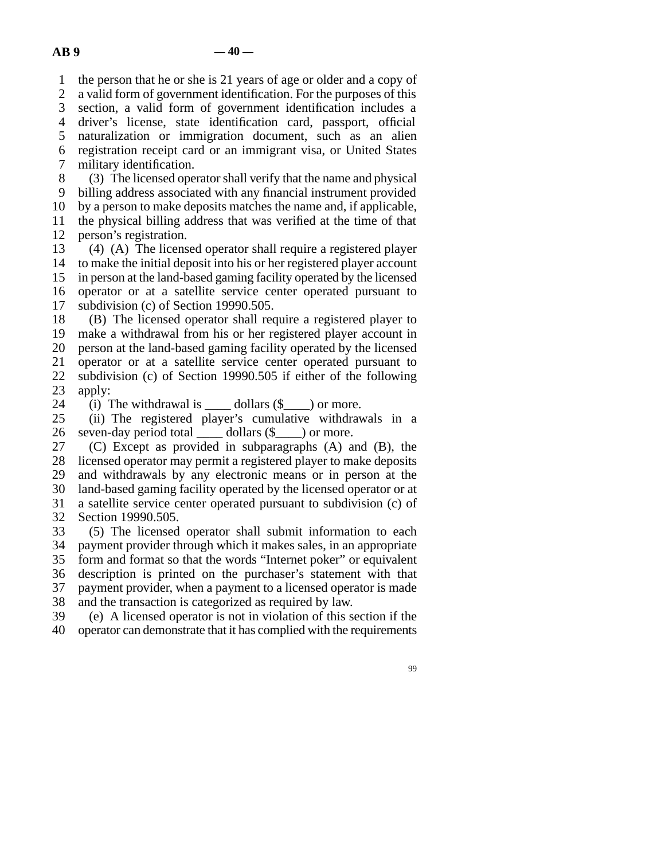line 1 the person that he or she is 21 years of age or older and a copy of 2 a valid form of government identification. For the purposes of this 3 section, a valid form of government identification includes a line 4 driver's license, state identification card, passport, official 5 naturalization or immigration document, such as an alien line 6 registration receipt card or an immigrant visa, or United States 7 military identification.

8 (3) The licensed operator shall verify that the name and physical 9 billing address associated with any financial instrument provided 10 by a person to make deposits matches the name and, if applicable, line 11 the physical billing address that was verified at the time of that 12 person's registration.

13 (4) (A) The licensed operator shall require a registered player 14 to make the initial deposit into his or her registered player account 15 in person at the land-based gaming facility operated by the licensed 16 operator or at a satellite service center operated pursuant to 17 subdivision (c) of Section 19990.505.

18 (B) The licensed operator shall require a registered player to 19 make a withdrawal from his or her registered player account in 20 person at the land-based gaming facility operated by the licensed 21 operator or at a satellite service center operated pursuant to 22 subdivision (c) of Section 19990.505 if either of the following  $23$  apply:

24 (i) The withdrawal is  $\_\_$  dollars (\$ $\_\_$ ) or more.<br>25 (ii) The registered player's cumulative withdray

(ii) The registered player's cumulative withdrawals in a 26 seven-day period total  $\qquad$  dollars (\$  $\qquad$  ) or more.

27 (C) Except as provided in subparagraphs  $(A)$  and  $(B)$ , the 28 licensed operator may permit a registered player to make deposits 29 and withdrawals by any electronic means or in person at the 30 land-based gaming facility operated by the licensed operator or at 31 a satellite service center operated pursuant to subdivision (c) of 32 Section 19990.505.

33 (5) The licensed operator shall submit information to each 34 payment provider through which it makes sales, in an appropriate 35 form and format so that the words "Internet poker" or equivalent 36 description is printed on the purchaser's statement with that 37 payment provider, when a payment to a licensed operator is made 38 and the transaction is categorized as required by law.

 line 39 (e) A licensed operator is not in violation of this section if the 40 operator can demonstrate that it has complied with the requirements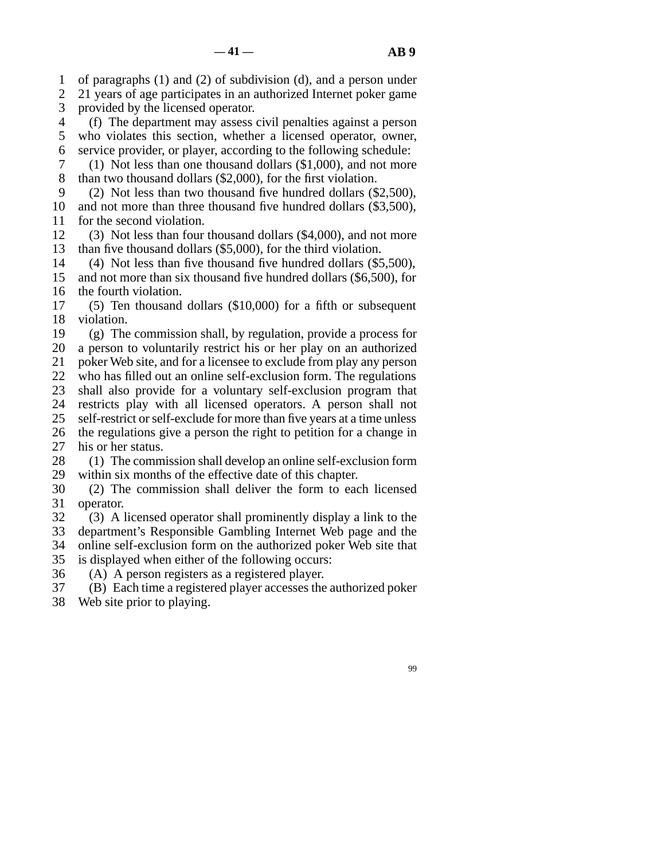1 of paragraphs  $(1)$  and  $(2)$  of subdivision  $(d)$ , and a person under

2 21 years of age participates in an authorized Internet poker game 3 provided by the licensed operator.

 line 4 (f) The department may assess civil penalties against a person 5 who violates this section, whether a licensed operator, owner, line 6 service provider, or player, according to the following schedule:

 $\delta$  7 (1) Not less than one thousand dollars (\$1,000), and not more 8 than two thousand dollars  $(\$2,000)$ , for the first violation.

9 (2) Not less than two thousand five hundred dollars  $(\$2,500)$ ,

10 and not more than three thousand five hundred dollars (\$3,500), 11 for the second violation.

12 (3) Not less than four thousand dollars  $(\$4,000)$ , and not more 13 than five thousand dollars (\$5,000), for the third violation.

14 (4) Not less than five thousand five hundred dollars (\$5,500),

15 and not more than six thousand five hundred dollars (\$6,500), for 16 the fourth violation.

17 (5) Ten thousand dollars  $(\$10,000)$  for a fifth or subsequent 18 violation.

19 (g) The commission shall, by regulation, provide a process for

20 a person to voluntarily restrict his or her play on an authorized 21 poker Web site, and for a licensee to exclude from play any person

22 who has filled out an online self-exclusion form. The regulations

23 shall also provide for a voluntary self-exclusion program that

24 restricts play with all licensed operators. A person shall not 25 self-restrict or self-exclude for more than five years at a time unless self-restrict or self-exclude for more than five years at a time unless

26 the regulations give a person the right to petition for a change in 27 his or her status.

 $28$  (1) The commission shall develop an online self-exclusion form 29 within six months of the effective date of this chapter.

30 (2) The commission shall deliver the form to each licensed 31 operator.

32 (3) A licensed operator shall prominently display a link to the 33 department's Responsible Gambling Internet Web page and the

34 online self-exclusion form on the authorized poker Web site that

35 is displayed when either of the following occurs:

36 (A) A person registers as a registered player.

37 (B) Each time a registered player accesses the authorized poker

38 Web site prior to playing.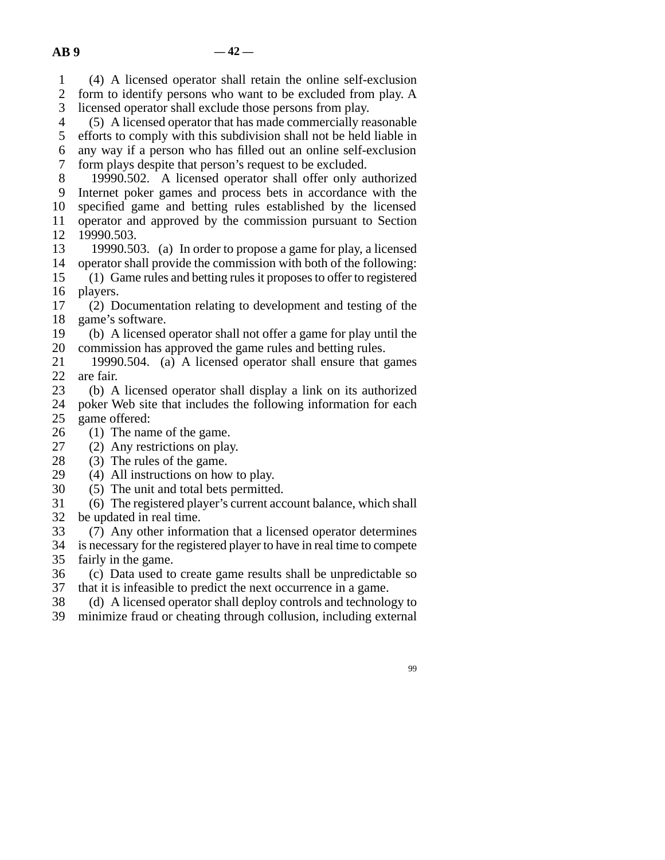line 1 (4) A licensed operator shall retain the online self-exclusion 2 form to identify persons who want to be excluded from play. A

3 licensed operator shall exclude those persons from play.

- 4 (5) A licensed operator that has made commercially reasonable 5 efforts to comply with this subdivision shall not be held liable in
- line 6 any way if a person who has filled out an online self-exclusion 7 form plays despite that person's request to be excluded.
- 8 19990.502. A licensed operator shall offer only authorized 9 Internet poker games and process bets in accordance with the 10 specified game and betting rules established by the licensed 11 operator and approved by the commission pursuant to Section 12 19990.503.
- 13 19990.503. (a) In order to propose a game for play, a licensed 14 operator shall provide the commission with both of the following:
- 15 (1) Game rules and betting rules it proposes to offer to registered 16 players.
- 17 (2) Documentation relating to development and testing of the 18 game's software.
- 19 (b) A licensed operator shall not offer a game for play until the 20 commission has approved the game rules and betting rules.
- 21 19990.504. (a) A licensed operator shall ensure that games 22 are fair.
- 23 (b) A licensed operator shall display a link on its authorized 24 poker Web site that includes the following information for each game offered: game offered:
- 
- 26 (1) The name of the game.<br>27 (2) Any restrictions on play  $(2)$  Any restrictions on play.
- 28  $(3)$  The rules of the game.
- 29  $(4)$  All instructions on how to play.
- 30 (5) The unit and total bets permitted.
- 31 (6) The registered player's current account balance, which shall 32 be updated in real time.
- 33 (7) Any other information that a licensed operator determines
- line 34 is necessary for the registered player to have in real time to compete 35 fairly in the game.
- line 36 (c) Data used to create game results shall be unpredictable so 37 that it is infeasible to predict the next occurrence in a game.
- 38 (d) A licensed operator shall deploy controls and technology to
- 39 minimize fraud or cheating through collusion, including external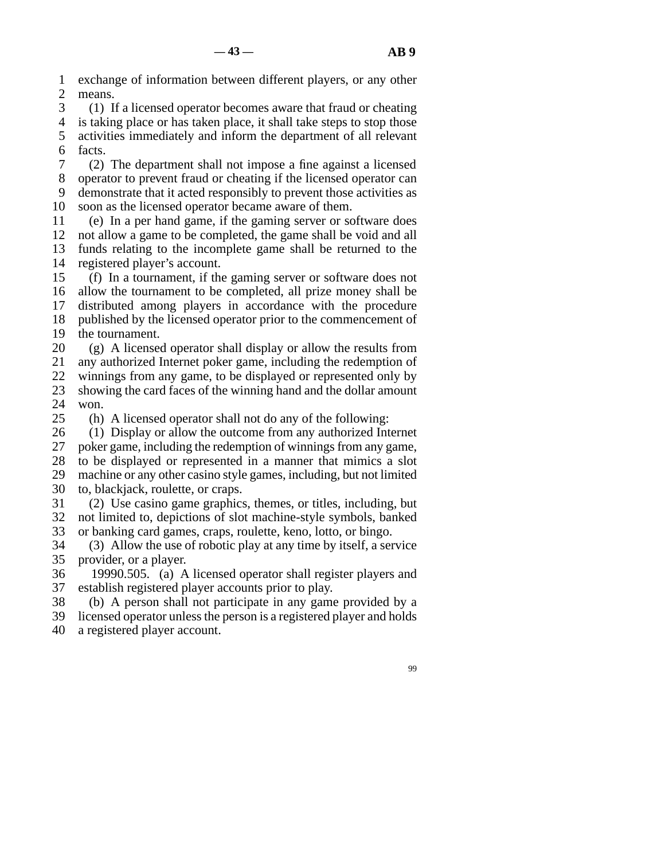line 1 exchange of information between different players, or any other 2 means.<br> $\begin{bmatrix} 2 \\ 1 \end{bmatrix}$  (1) I

 $\left( 1\right)$  If a licensed operator becomes aware that fraud or cheating 4 is taking place or has taken place, it shall take steps to stop those 5 activities immediately and inform the department of all relevant 6 facts.

 line 7 (2) The department shall not impose a fine against a licensed 8 operator to prevent fraud or cheating if the licensed operator can 9 demonstrate that it acted responsibly to prevent those activities as 10 soon as the licensed operator became aware of them.

 line 11 (e) In a per hand game, if the gaming server or software does 12 not allow a game to be completed, the game shall be void and all 13 funds relating to the incomplete game shall be returned to the 14 registered player's account.

15 (f) In a tournament, if the gaming server or software does not 16 allow the tournament to be completed, all prize money shall be 17 distributed among players in accordance with the procedure 18 published by the licensed operator prior to the commencement of 19 the tournament.

20 (g) A licensed operator shall display or allow the results from 21 any authorized Internet poker game, including the redemption of 22 winnings from any game, to be displayed or represented only by 23 showing the card faces of the winning hand and the dollar amount 24 won.<br>25 (h)

(h) A licensed operator shall not do any of the following:

26 (1) Display or allow the outcome from any authorized Internet 27 poker game, including the redemption of winnings from any game, 28 to be displayed or represented in a manner that mimics a slot

29 machine or any other casino style games, including, but not limited

30 to, blackjack, roulette, or craps.

 line 31 (2) Use casino game graphics, themes, or titles, including, but 32 not limited to, depictions of slot machine-style symbols, banked 33 or banking card games, craps, roulette, keno, lotto, or bingo.

34 (3) Allow the use of robotic play at any time by itself, a service 35 provider, or a player.

 line 36 19990.505. (a) A licensed operator shall register players and 37 establish registered player accounts prior to play.<br>38 (b) A person shall not participate in any game

(b) A person shall not participate in any game provided by a

39 licensed operator unless the person is a registered player and holds

40 a registered player account.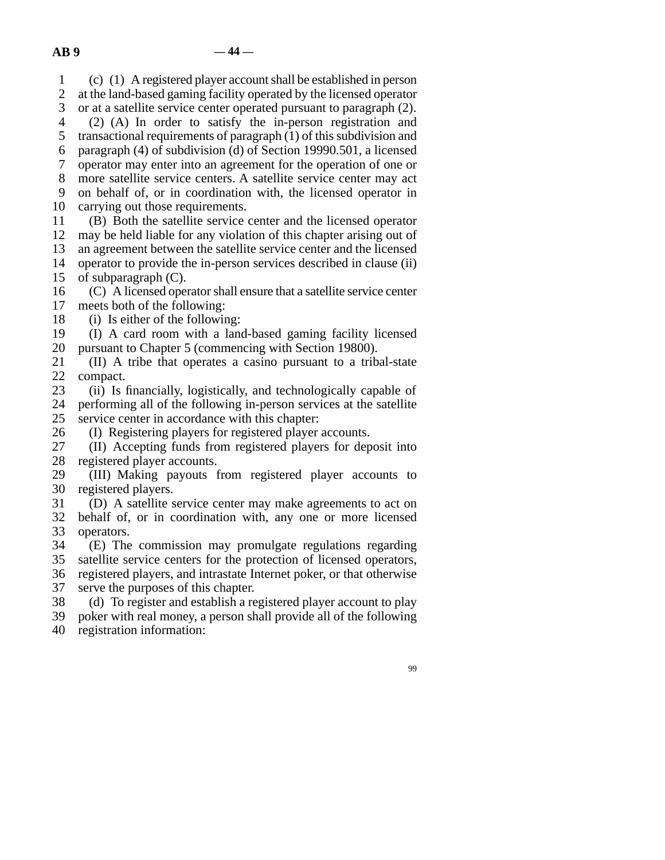line 1 (c) (1) A registered player account shall be established in person 2 at the land-based gaming facility operated by the licensed operator 3 or at a satellite service center operated pursuant to paragraph (2). 4 (2) (A) In order to satisfy the in-person registration and 5 transactional requirements of paragraph (1) of this subdivision and 6 paragraph  $(4)$  of subdivision  $(d)$  of Section 19990.501, a licensed line 7 operator may enter into an agreement for the operation of one or 8 more satellite service centers. A satellite service center may act 9 on behalf of, or in coordination with, the licensed operator in 10 carrying out those requirements. line 11 (B) Both the satellite service center and the licensed operator 12 may be held liable for any violation of this chapter arising out of 13 an agreement between the satellite service center and the licensed

14 operator to provide the in-person services described in clause (ii)

15 of subparagraph  $(C)$ .

16 (C) A licensed operator shall ensure that a satellite service center 17 meets both of the following:

18 (i) Is either of the following:

19 (I) A card room with a land-based gaming facility licensed 20 pursuant to Chapter 5 (commencing with Section 19800).

21 (II) A tribe that operates a casino pursuant to a tribal-state 22 compact.<br>23 (ii) Is

(ii) Is financially, logistically, and technologically capable of 24 performing all of the following in-person services at the satellite 25 service center in accordance with this chapter: service center in accordance with this chapter:

26 (I) Registering players for registered player accounts.<br>27 (II) Accepting funds from registered players for dep

 line 27 (II) Accepting funds from registered players for deposit into 28 registered player accounts.

29 (III) Making payouts from registered player accounts to 30 registered players.

31 (D) A satellite service center may make agreements to act on 32 behalf of, or in coordination with, any one or more licensed 33 operators.

34 (E) The commission may promulgate regulations regarding 35 satellite service centers for the protection of licensed operators, 36 registered players, and intrastate Internet poker, or that otherwise

37 serve the purposes of this chapter.

18 (d) To register and establish a registered player account to play<br>19 poker with real money, a person shall provide all of the following

poker with real money, a person shall provide all of the following

40 registration information: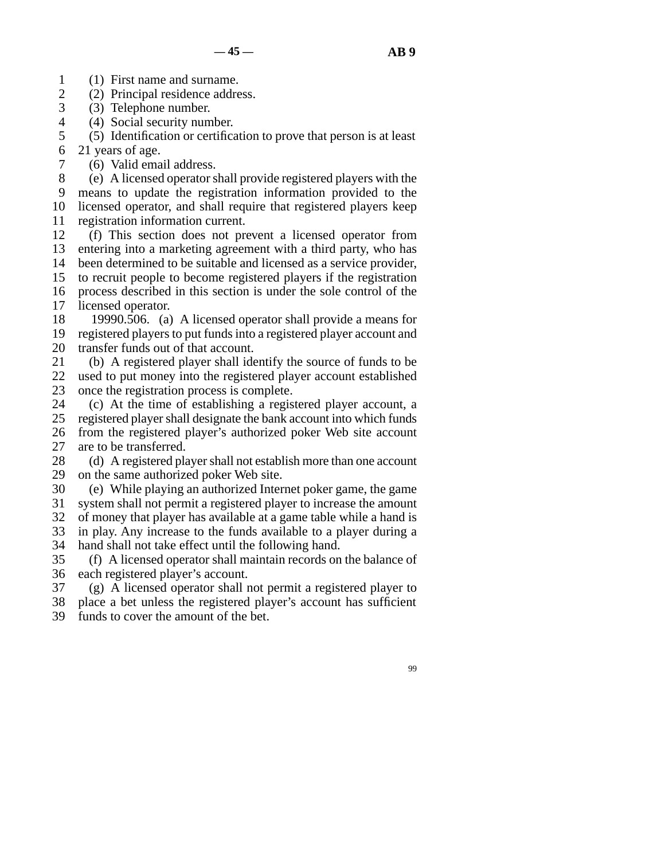- 1 (1) First name and surname.
- 2 (2) Principal residence address.<br>3 (3) Telephone number.
- (3) Telephone number.
- 4 (4) Social security number.

5 (5) Identification or certification to prove that person is at least

- $6\quad 21$  years of age.
- 7 (6) Valid email address.

line 8 (e) A licensed operator shall provide registered players with the

9 means to update the registration information provided to the 10 licensed operator, and shall require that registered players keep 11 registration information current.

12 (f) This section does not prevent a licensed operator from 13 entering into a marketing agreement with a third party, who has 14 been determined to be suitable and licensed as a service provider. been determined to be suitable and licensed as a service provider, 15 to recruit people to become registered players if the registration 16 process described in this section is under the sole control of the 17 licensed operator.

18 19990.506. (a) A licensed operator shall provide a means for 19 registered players to put funds into a registered player account and 20 transfer funds out of that account.

21 (b) A registered player shall identify the source of funds to be 22 used to put money into the registered player account established<br>23 once the registration process is complete. once the registration process is complete.

24 (c) At the time of establishing a registered player account, a 25 registered player shall designate the bank account into which funds registered player shall designate the bank account into which funds

26 from the registered player's authorized poker Web site account 27 are to be transferred.

- 28 (d) A registered player shall not establish more than one account 29 on the same authorized poker Web site.
- line 30 (e) While playing an authorized Internet poker game, the game

31 system shall not permit a registered player to increase the amount

32 of money that player has available at a game table while a hand is

33 in play. Any increase to the funds available to a player during a

34 hand shall not take effect until the following hand.

35 (f) A licensed operator shall maintain records on the balance of 36 each registered player's account.

37 (g) A licensed operator shall not permit a registered player to

- 38 place a bet unless the registered player's account has sufficient
- 39 funds to cover the amount of the bet.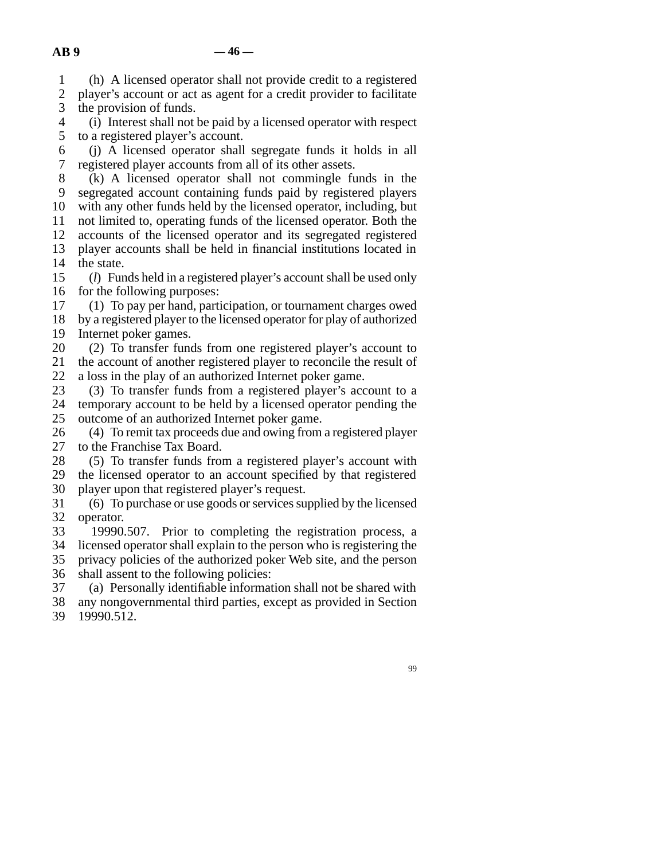line 1 (h) A licensed operator shall not provide credit to a registered

2 player's account or act as agent for a credit provider to facilitate<br>3 the provision of funds. the provision of funds.

4 (i) Interest shall not be paid by a licensed operator with respect 5 to a registered player's account.

 line 6 (j) A licensed operator shall segregate funds it holds in all 7 registered player accounts from all of its other assets.

8 (k) A licensed operator shall not commingle funds in the 9 segregated account containing funds paid by registered players 10 with any other funds held by the licensed operator, including, but

11 not limited to, operating funds of the licensed operator. Both the

12 accounts of the licensed operator and its segregated registered 13 player accounts shall be held in financial institutions located in 14 the state.

15 (*l*) Funds held in a registered player's account shall be used only 16 for the following purposes:

17 (1) To pay per hand, participation, or tournament charges owed 18 by a registered player to the licensed operator for play of authorized 19 Internet poker games.

20 (2) To transfer funds from one registered player's account to 21 the account of another registered player to reconcile the result of

22 a loss in the play of an authorized Internet poker game.<br>23 (3) To transfer funds from a registered player's acc (3) To transfer funds from a registered player's account to a 24 temporary account to be held by a licensed operator pending the 25 outcome of an authorized Internet poker game. outcome of an authorized Internet poker game.

26 (4) To remit tax proceeds due and owing from a registered player<br>27 to the Franchise Tax Board. to the Franchise Tax Board.

28 (5) To transfer funds from a registered player's account with 29 the licensed operator to an account specified by that registered 30 player upon that registered player's request.

31 (6) To purchase or use goods or services supplied by the licensed 32 operator.

33 19990.507. Prior to completing the registration process, a

34 licensed operator shall explain to the person who is registering the

35 privacy policies of the authorized poker Web site, and the person 36 shall assent to the following policies:

37 (a) Personally identifiable information shall not be shared with

38 any nongovernmental third parties, except as provided in Section 19990.512.

19990.512.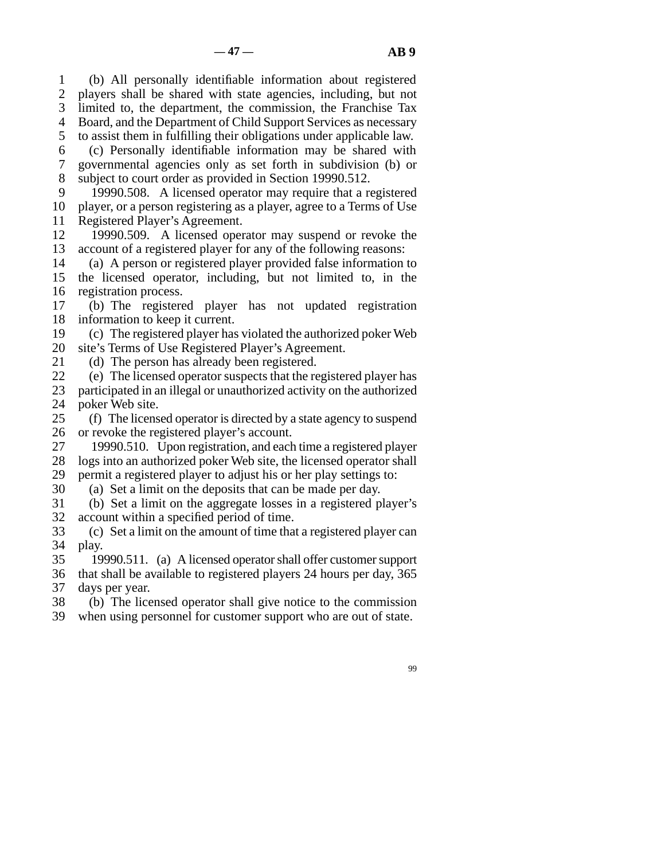line 1 (b) All personally identifiable information about registered 2 players shall be shared with state agencies, including, but not 3 limited to, the department, the commission, the Franchise Tax 4 Board, and the Department of Child Support Services as necessary 5 to assist them in fulfilling their obligations under applicable law.

 line 6 (c) Personally identifiable information may be shared with line 7 governmental agencies only as set forth in subdivision (b) or 8 subject to court order as provided in Section 19990.512.

9 19990.508. A licensed operator may require that a registered 10 player, or a person registering as a player, agree to a Terms of Use 11 Registered Player's Agreement.

12 19990.509. A licensed operator may suspend or revoke the 13 account of a registered player for any of the following reasons:

14 (a) A person or registered player provided false information to 15 the licensed operator, including, but not limited to, in the 16 registration process.

17 (b) The registered player has not updated registration 18 information to keep it current.

19 (c) The registered player has violated the authorized poker Web 20 site's Terms of Use Registered Player's Agreement.

21 (d) The person has already been registered.

22 (e) The licensed operator suspects that the registered player has<br>23 participated in an illegal or unauthorized activity on the authorized participated in an illegal or unauthorized activity on the authorized

24 poker Web site.<br>25 (f) The licens  $\delta$  The licensed operator is directed by a state agency to suspend 26 or revoke the registered player's account.

27 19990.510. Upon registration, and each time a registered player 28 logs into an authorized poker Web site, the licensed operator shall 29 permit a registered player to adjust his or her play settings to:

30 (a) Set a limit on the deposits that can be made per day.

31 (b) Set a limit on the aggregate losses in a registered player's 32 account within a specified period of time.

33 (c) Set a limit on the amount of time that a registered player can 34 play.

 line 35 19990.511. (a) A licensed operator shall offer customer support 36 that shall be available to registered players 24 hours per day, 365 37 days per year.

38 (b) The licensed operator shall give notice to the commission

39 when using personnel for customer support who are out of state.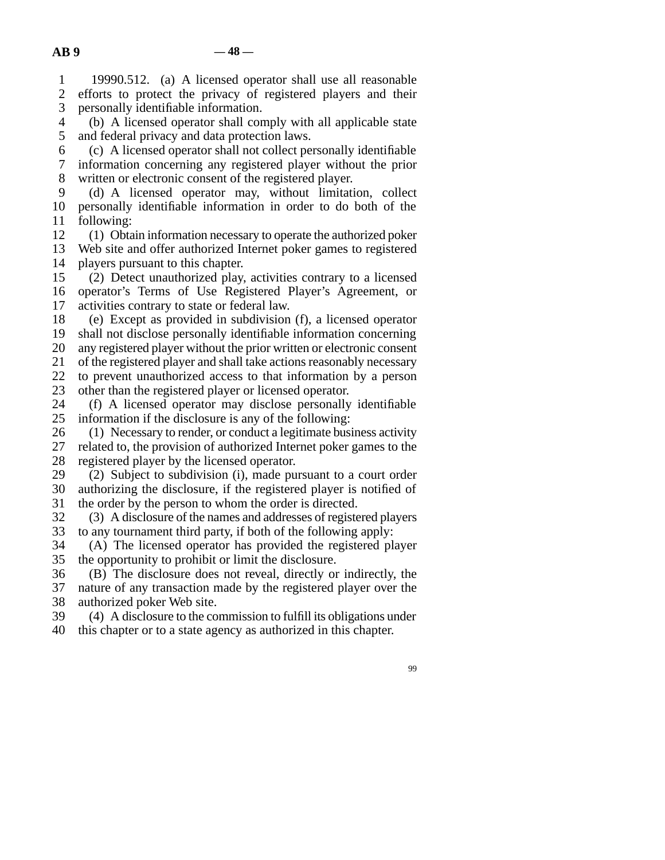1 19990.512. (a) A licensed operator shall use all reasonable 2 efforts to protect the privacy of registered players and their<br>3 personally identifiable information. personally identifiable information.

4 (b) A licensed operator shall comply with all applicable state 5 and federal privacy and data protection laws.

6 (c) A licensed operator shall not collect personally identifiable 7 information concerning any registered player without the prior 8 written or electronic consent of the registered player.

9 (d) A licensed operator may, without limitation, collect 10 personally identifiable information in order to do both of the 11 following:

12 (1) Obtain information necessary to operate the authorized poker 13 Web site and offer authorized Internet poker games to registered 14 players pursuant to this chapter.

15 (2) Detect unauthorized play, activities contrary to a licensed 16 operator's Terms of Use Registered Player's Agreement, or 17 activities contrary to state or federal law.

18 (e) Except as provided in subdivision (f), a licensed operator 19 shall not disclose personally identifiable information concerning 20 any registered player without the prior written or electronic consent

21 of the registered player and shall take actions reasonably necessary

22 to prevent unauthorized access to that information by a person 23 other than the registered player or licensed operator.

24 (f) A licensed operator may disclose personally identifiable 25 information if the disclosure is any of the following: information if the disclosure is any of the following:

26 (1) Necessary to render, or conduct a legitimate business activity<br>27 related to, the provision of authorized Internet poker games to the related to, the provision of authorized Internet poker games to the 28 registered player by the licensed operator.

29 (2) Subject to subdivision (i), made pursuant to a court order 30 authorizing the disclosure, if the registered player is notified of 31 the order by the person to whom the order is directed.

32 (3) A disclosure of the names and addresses of registered players 33 to any tournament third party, if both of the following apply:

34 (A) The licensed operator has provided the registered player 35 the opportunity to prohibit or limit the disclosure.

36 (B) The disclosure does not reveal, directly or indirectly, the 37 nature of any transaction made by the registered player over the 38 authorized poker Web site.

39 (4) A disclosure to the commission to fulfill its obligations under

40 this chapter or to a state agency as authorized in this chapter.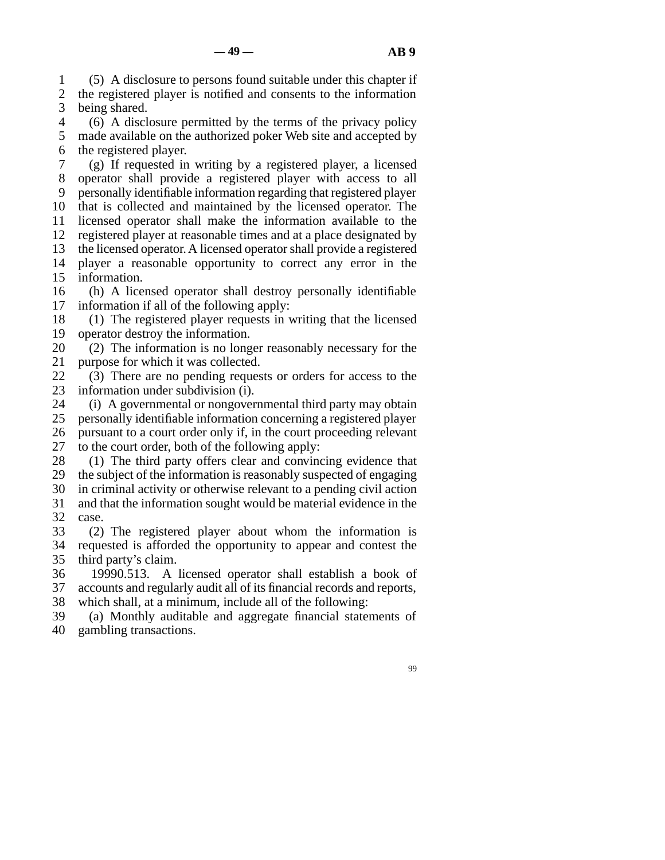line 1 (5) A disclosure to persons found suitable under this chapter if 2 the registered player is notified and consents to the information<br>3 being shared. being shared.

4 (6) A disclosure permitted by the terms of the privacy policy 5 made available on the authorized poker Web site and accepted by 6 the registered player.

 line 7 (g) If requested in writing by a registered player, a licensed 8 operator shall provide a registered player with access to all 9 personally identifiable information regarding that registered player 10 that is collected and maintained by the licensed operator. The 11 licensed operator shall make the information available to the 12 registered player at reasonable times and at a place designated by 13 the licensed operator. A licensed operator shall provide a registered 14 player a reasonable opportunity to correct any error in the 15 information.

16 (h) A licensed operator shall destroy personally identifiable 17 information if all of the following apply:

18 (1) The registered player requests in writing that the licensed 19 operator destroy the information.

- $20$  (2) The information is no longer reasonably necessary for the 21 purpose for which it was collected.
- 22 (3) There are no pending requests or orders for access to the  $23$  information under subdivision (i). information under subdivision (i).

24 (i) A governmental or nongovernmental third party may obtain<br>25 personally identifiable information concerning a registered player personally identifiable information concerning a registered player 26 pursuant to a court order only if, in the court proceeding relevant 27 to the court order, both of the following apply:

 $28$  (1) The third party offers clear and convincing evidence that 29 the subject of the information is reasonably suspected of engaging 30 in criminal activity or otherwise relevant to a pending civil action 31 and that the information sought would be material evidence in the

32 case.

33 (2) The registered player about whom the information is 34 requested is afforded the opportunity to appear and contest the 35 third party's claim.

 line 36 19990.513. A licensed operator shall establish a book of 37 accounts and regularly audit all of its financial records and reports, 38 which shall, at a minimum, include all of the following:

39 (a) Monthly auditable and aggregate financial statements of 40 gambling transactions.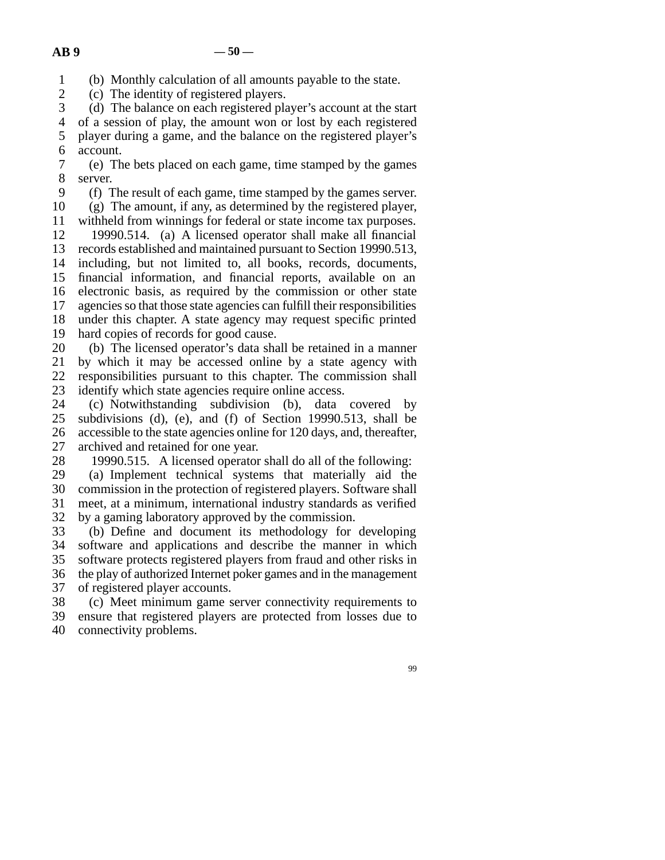line 1 (b) Monthly calculation of all amounts payable to the state.

2 (c) The identity of registered players.<br>3 (d) The balance on each registered players.

(d) The balance on each registered player's account at the start

4 of a session of play, the amount won or lost by each registered 5 player during a game, and the balance on the registered player's 6 account.

 line 7 (e) The bets placed on each game, time stamped by the games 8 server.

9 (f) The result of each game, time stamped by the games server.

 $\log$  10 (g) The amount, if any, as determined by the registered player, 11 withheld from winnings for federal or state income tax purposes.

12 19990.514. (a) A licensed operator shall make all financial 13 records established and maintained pursuant to Section 19990.513, 14 including, but not limited to, all books, records, documents, 15 financial information, and financial reports, available on an 16 electronic basis, as required by the commission or other state 17 agencies so that those state agencies can fulfill their responsibilities 18 under this chapter. A state agency may request specific printed 19 hard copies of records for good cause.

20 (b) The licensed operator's data shall be retained in a manner 21 by which it may be accessed online by a state agency with 22 responsibilities pursuant to this chapter. The commission shall 23 identify which state agencies require online access.

24 (c) Notwithstanding subdivision (b), data covered by 25 subdivisions (d), (e), and (f) of Section 19990.513, shall be subdivisions (d), (e), and (f) of Section 19990.513, shall be 26 accessible to the state agencies online for 120 days, and, thereafter, 27 archived and retained for one year.

28 19990.515. A licensed operator shall do all of the following:

29 (a) Implement technical systems that materially aid the 30 commission in the protection of registered players. Software shall 31 meet, at a minimum, international industry standards as verified 32 by a gaming laboratory approved by the commission.

33 (b) Define and document its methodology for developing 34 software and applications and describe the manner in which 35 software protects registered players from fraud and other risks in 36 the play of authorized Internet poker games and in the management 37 of registered player accounts.

38 (c) Meet minimum game server connectivity requirements to 39 ensure that registered players are protected from losses due to 40 connectivity problems.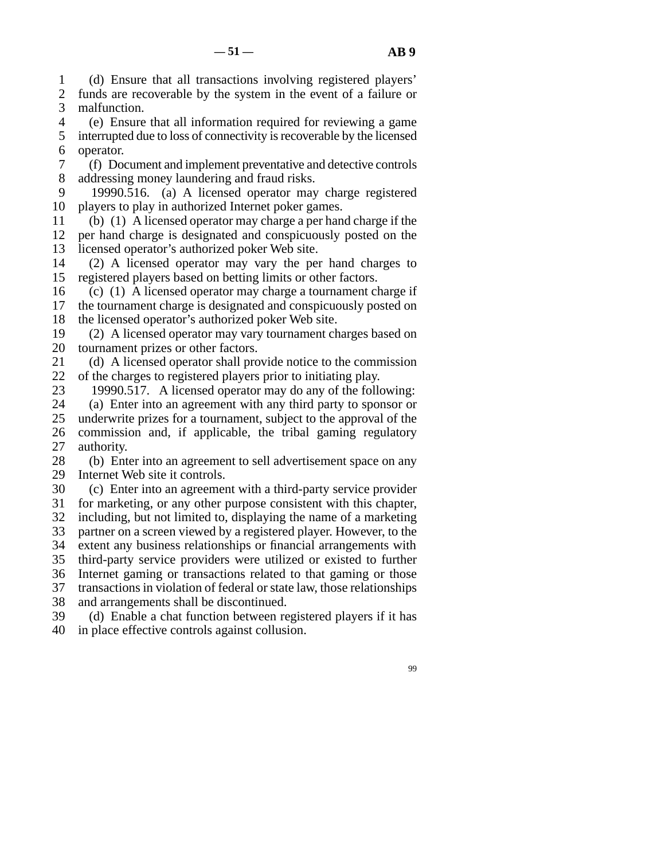line 1 (d) Ensure that all transactions involving registered players' 2 funds are recoverable by the system in the event of a failure or

3 malfunction.

- line 4 (e) Ensure that all information required for reviewing a game line 5 interrupted due to loss of connectivity is recoverable by the licensed 6 operator.
- line 7 (f) Document and implement preventative and detective controls 8 addressing money laundering and fraud risks.
- 9 19990.516. (a) A licensed operator may charge registered 10 players to play in authorized Internet poker games.
- line 11 (b) (1) A licensed operator may charge a per hand charge if the 12 per hand charge is designated and conspicuously posted on the
- 13 licensed operator's authorized poker Web site.
- 14 (2) A licensed operator may vary the per hand charges to 15 registered players based on betting limits or other factors.
- 16 (c) (1) A licensed operator may charge a tournament charge if 17 the tournament charge is designated and conspicuously posted on 18 the licensed operator's authorized poker Web site.
- 19 (2) A licensed operator may vary tournament charges based on 20 tournament prizes or other factors.
- 21 (d) A licensed operator shall provide notice to the commission 22 of the charges to registered players prior to initiating play.<br>23 19990.517. A licensed operator may do any of the follo

19990.517. A licensed operator may do any of the following:

- 24 (a) Enter into an agreement with any third party to sponsor or 25 underwrite prizes for a tournament, subject to the approval of the underwrite prizes for a tournament, subject to the approval of the 26 commission and, if applicable, the tribal gaming regulatory 27 authority.
- 28 (b) Enter into an agreement to sell advertisement space on any 29 Internet Web site it controls.
- 30 (c) Enter into an agreement with a third-party service provider 31 for marketing, or any other purpose consistent with this chapter,
- 32 including, but not limited to, displaying the name of a marketing
- 33 partner on a screen viewed by a registered player. However, to the 34 extent any business relationships or financial arrangements with
- 35 third-party service providers were utilized or existed to further
- 36 Internet gaming or transactions related to that gaming or those
- 37 transactions in violation of federal or state law, those relationships
- 38 and arrangements shall be discontinued.
- 39 (d) Enable a chat function between registered players if it has 40 in place effective controls against collusion.
	- 99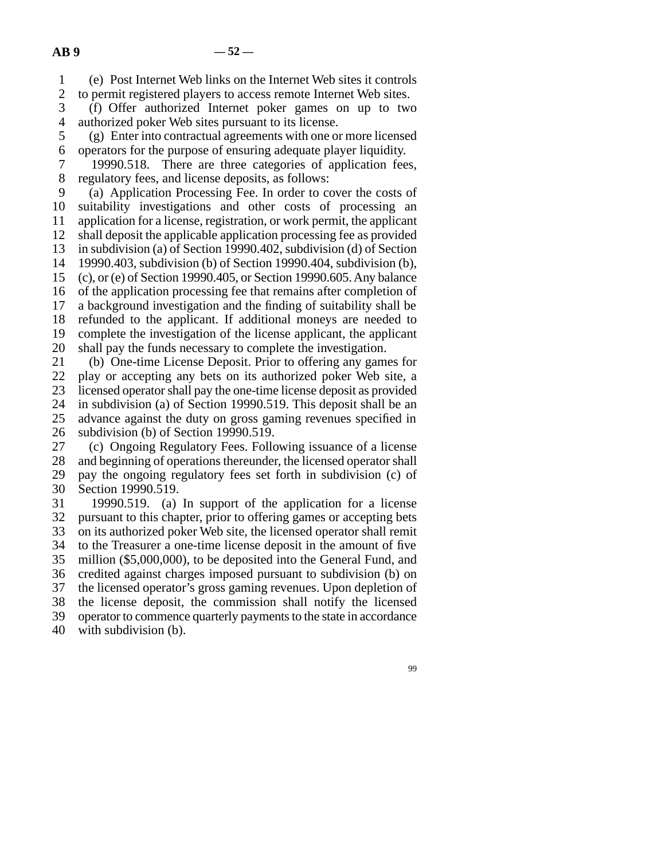line 1 (e) Post Internet Web links on the Internet Web sites it controls

2 to permit registered players to access remote Internet Web sites.<br>3 (f) Offer authorized Internet poker games on up to two (f) Offer authorized Internet poker games on up to two 4 authorized poker Web sites pursuant to its license.

5 (g) Enter into contractual agreements with one or more licensed line 6 operators for the purpose of ensuring adequate player liquidity.

7 19990.518. There are three categories of application fees, 8 regulatory fees, and license deposits, as follows:

9 (a) Application Processing Fee. In order to cover the costs of 10 suitability investigations and other costs of processing an 11 application for a license, registration, or work permit, the applicant 12 shall deposit the applicable application processing fee as provided 13 in subdivision (a) of Section 19990.402, subdivision (d) of Section 14 19990.403, subdivision (b) of Section 19990.404, subdivision (b), 15 (c), or (e) of Section 19990.405, or Section 19990.605. Any balance 16 of the application processing fee that remains after completion of 17 a background investigation and the finding of suitability shall be

18 refunded to the applicant. If additional moneys are needed to 19 complete the investigation of the license applicant, the applicant

20 shall pay the funds necessary to complete the investigation.

21 (b) One-time License Deposit. Prior to offering any games for 22 play or accepting any bets on its authorized poker Web site, a 23 licensed operator shall pay the one-time license deposit as provided 24 in subdivision (a) of Section 19990.519. This deposit shall be an 25 advance against the duty on gross gaming revenues specified in advance against the duty on gross gaming revenues specified in 26 subdivision (b) of Section 19990.519.

27 (c) Ongoing Regulatory Fees. Following issuance of a license 28 and beginning of operations thereunder, the licensed operator shall 29 pay the ongoing regulatory fees set forth in subdivision (c) of 30 Section 19990.519.

31 19990.519. (a) In support of the application for a license 32 pursuant to this chapter, prior to offering games or accepting bets 33 on its authorized poker Web site, the licensed operator shall remit 34 to the Treasurer a one-time license deposit in the amount of five 35 million (\$5,000,000), to be deposited into the General Fund, and 36 credited against charges imposed pursuant to subdivision (b) on 37 the licensed operator's gross gaming revenues. Upon depletion of 38 the license deposit, the commission shall notify the licensed 39 operator to commence quarterly payments to the state in accordance 40 with subdivision (b).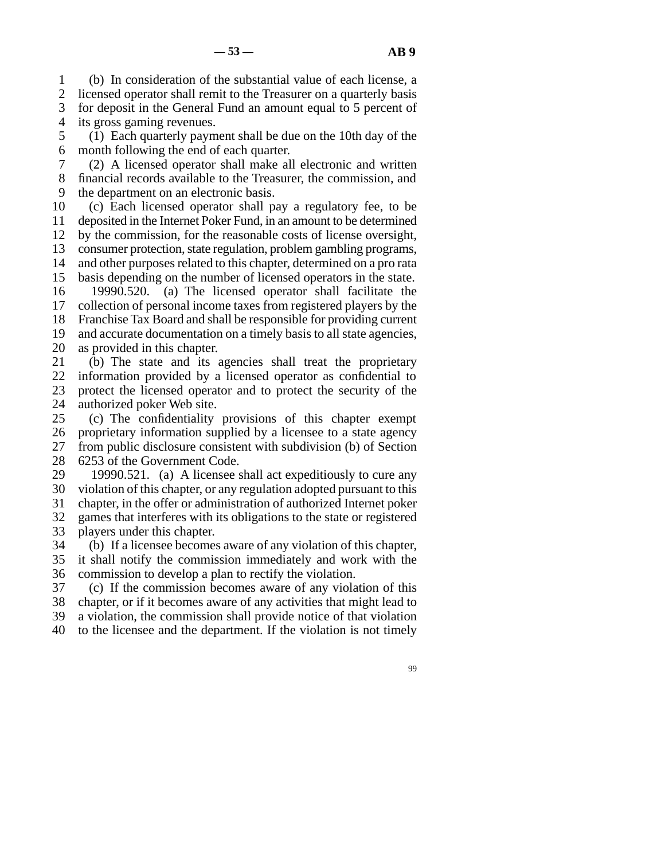line 1 (b) In consideration of the substantial value of each license, a 2 licensed operator shall remit to the Treasurer on a quarterly basis

3 for deposit in the General Fund an amount equal to 5 percent of 4 its gross gaming revenues.

5 (1) Each quarterly payment shall be due on the 10th day of the 6 month following the end of each quarter.

 line 7 (2) A licensed operator shall make all electronic and written 8 financial records available to the Treasurer, the commission, and 9 the department on an electronic basis.

10 (c) Each licensed operator shall pay a regulatory fee, to be 11 deposited in the Internet Poker Fund, in an amount to be determined 12 by the commission, for the reasonable costs of license oversight, 13 consumer protection, state regulation, problem gambling programs, 14 and other purposes related to this chapter, determined on a pro rata

15 basis depending on the number of licensed operators in the state. 16 19990.520. (a) The licensed operator shall facilitate the 17 collection of personal income taxes from registered players by the

18 Franchise Tax Board and shall be responsible for providing current

19 and accurate documentation on a timely basis to all state agencies,

20 as provided in this chapter.

21 (b) The state and its agencies shall treat the proprietary 22 information provided by a licensed operator as confidential to 23 protect the licensed operator and to protect the security of the

24 authorized poker Web site.<br>25 (c) The confidentiality line 25 (c) The confidentiality provisions of this chapter exempt 26 proprietary information supplied by a licensee to a state agency 27 from public disclosure consistent with subdivision (b) of Section 28 6253 of the Government Code.

29 19990.521. (a) A licensee shall act expeditiously to cure any 30 violation of this chapter, or any regulation adopted pursuant to this

31 chapter, in the offer or administration of authorized Internet poker 32 games that interferes with its obligations to the state or registered

33 players under this chapter.

34 (b) If a licensee becomes aware of any violation of this chapter,

35 it shall notify the commission immediately and work with the

36 commission to develop a plan to rectify the violation.

37 (c) If the commission becomes aware of any violation of this

38 chapter, or if it becomes aware of any activities that might lead to 39 a violation, the commission shall provide notice of that violation

40 to the licensee and the department. If the violation is not timely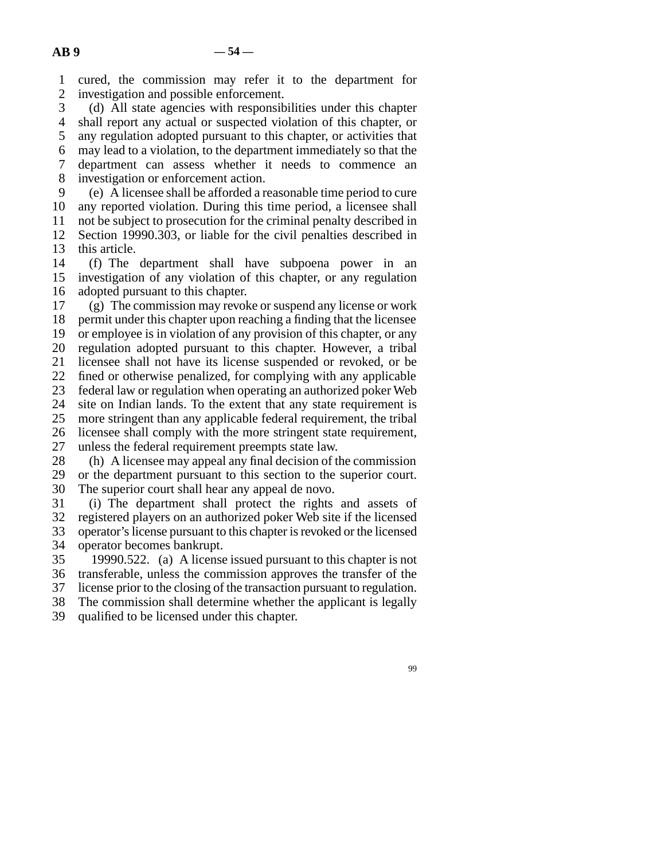line 1 cured, the commission may refer it to the department for 2 investigation and possible enforcement.<br>3 (d) All state agencies with responsib

(d) All state agencies with responsibilities under this chapter 4 shall report any actual or suspected violation of this chapter, or 5 any regulation adopted pursuant to this chapter, or activities that line 6 may lead to a violation, to the department immediately so that the 7 department can assess whether it needs to commence an 8 investigation or enforcement action.

 line 9 (e) A licensee shall be afforded a reasonable time period to cure 10 any reported violation. During this time period, a licensee shall 11 not be subject to prosecution for the criminal penalty described in 12 Section 19990.303, or liable for the civil penalties described in 13 this article.

14 (f) The department shall have subpoena power in an 15 investigation of any violation of this chapter, or any regulation 16 adopted pursuant to this chapter.

 $17$  (g) The commission may revoke or suspend any license or work 18 permit under this chapter upon reaching a finding that the licensee 19 or employee is in violation of any provision of this chapter, or any 20 regulation adopted pursuant to this chapter. However, a tribal 21 licensee shall not have its license suspended or revoked, or be 22 fined or otherwise penalized, for complying with any applicable 23 federal law or regulation when operating an authorized poker Web 24 site on Indian lands. To the extent that any state requirement is 25 more stringent than any applicable federal requirement, the tribal more stringent than any applicable federal requirement, the tribal 26 licensee shall comply with the more stringent state requirement, 27 unless the federal requirement preempts state law. 28 (h) A licensee may appeal any final decision of the commission

29 or the department pursuant to this section to the superior court. 30 The superior court shall hear any appeal de novo.

31 (i) The department shall protect the rights and assets of 32 registered players on an authorized poker Web site if the licensed

33 operator's license pursuant to this chapter is revoked or the licensed

34 operator becomes bankrupt.

 line 35 19990.522. (a) A license issued pursuant to this chapter is not 36 transferable, unless the commission approves the transfer of the

37 license prior to the closing of the transaction pursuant to regulation.

38 The commission shall determine whether the applicant is legally

39 qualified to be licensed under this chapter.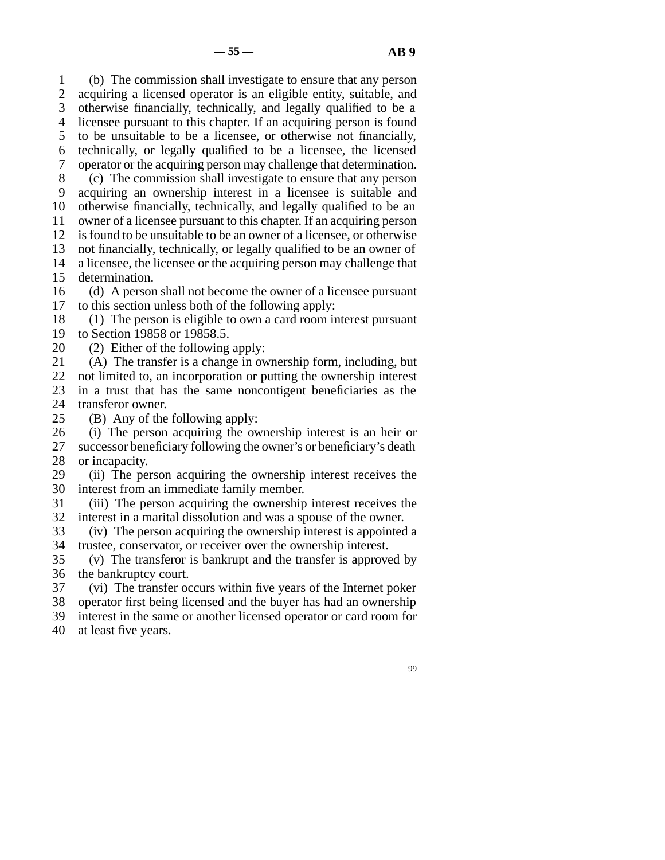line 1 (b) The commission shall investigate to ensure that any person 2 acquiring a licensed operator is an eligible entity, suitable, and 3 otherwise financially, technically, and legally qualified to be a 4 licensee pursuant to this chapter. If an acquiring person is found 5 to be unsuitable to be a licensee, or otherwise not financially, line 6 technically, or legally qualified to be a licensee, the licensed 7 operator or the acquiring person may challenge that determination. line 8 (c) The commission shall investigate to ensure that any person 9 acquiring an ownership interest in a licensee is suitable and 10 otherwise financially, technically, and legally qualified to be an 11 owner of a licensee pursuant to this chapter. If an acquiring person 12 is found to be unsuitable to be an owner of a licensee, or otherwise 13 not financially, technically, or legally qualified to be an owner of 14 a licensee, the licensee or the acquiring person may challenge that a licensee, the licensee or the acquiring person may challenge that 15 determination.

16 (d) A person shall not become the owner of a licensee pursuant 17 to this section unless both of the following apply:

18 (1) The person is eligible to own a card room interest pursuant 19 to Section 19858 or 19858.5.

20  $(2)$  Either of the following apply:

21  $(A)$  The transfer is a change in ownership form, including, but 22 not limited to, an incorporation or putting the ownership interest 23 in a trust that has the same noncontigent beneficiaries as the

24 transferor owner.<br>25 (B) Any of the  $\Delta$  25 (B) Any of the following apply:

26 (i) The person acquiring the ownership interest is an heir or 27 successor beneficiary following the owner's or beneficiary's death successor beneficiary following the owner's or beneficiary's death 28 or incapacity.

29 (ii) The person acquiring the ownership interest receives the 30 interest from an immediate family member.

 line 31 (iii) The person acquiring the ownership interest receives the 32 interest in a marital dissolution and was a spouse of the owner.

33 (iv) The person acquiring the ownership interest is appointed a 34 trustee, conservator, or receiver over the ownership interest.

 $35$  (v) The transferor is bankrupt and the transfer is approved by 36 the bankruptcy court.

37 (vi) The transfer occurs within five years of the Internet poker

38 operator first being licensed and the buyer has had an ownership

39 interest in the same or another licensed operator or card room for

40 at least five years.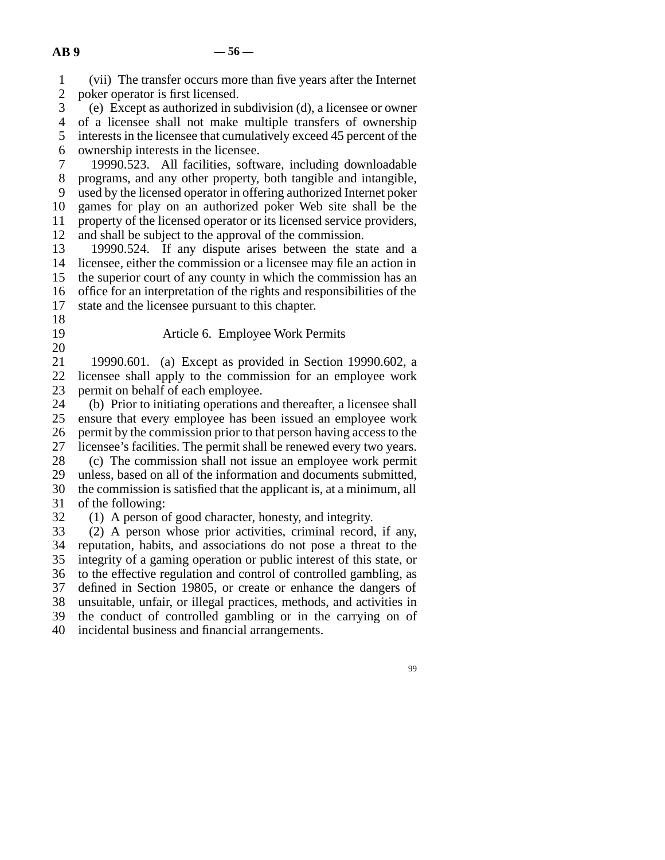| $\mathbf{1}$             | (vii) The transfer occurs more than five years after the Internet      |
|--------------------------|------------------------------------------------------------------------|
| $\overline{c}$           | poker operator is first licensed.                                      |
| 3                        | (e) Except as authorized in subdivision (d), a licensee or owner       |
| $\overline{\mathcal{L}}$ | of a licensee shall not make multiple transfers of ownership           |
| 5                        | interests in the licensee that cumulatively exceed 45 percent of the   |
| 6                        | ownership interests in the licensee.                                   |
| 7                        | 19990.523. All facilities, software, including downloadable            |
| 8                        | programs, and any other property, both tangible and intangible,        |
| 9                        | used by the licensed operator in offering authorized Internet poker    |
| 10                       | games for play on an authorized poker Web site shall be the            |
| 11                       | property of the licensed operator or its licensed service providers,   |
| 12                       | and shall be subject to the approval of the commission.                |
| 13                       | 19990.524. If any dispute arises between the state and a               |
| 14                       | licensee, either the commission or a licensee may file an action in    |
| 15                       | the superior court of any county in which the commission has an        |
| 16                       | office for an interpretation of the rights and responsibilities of the |
| 17                       | state and the licensee pursuant to this chapter.                       |
| 18                       |                                                                        |
| 19                       | Article 6. Employee Work Permits                                       |
| 20                       |                                                                        |
| 21                       | 19990.601. (a) Except as provided in Section 19990.602, a              |
| 22                       | licensee shall apply to the commission for an employee work            |
| 23                       | permit on behalf of each employee.                                     |
| 24                       | (b) Prior to initiating operations and thereafter, a licensee shall    |
| 25                       | ensure that every employee has been issued an employee work            |
| 26                       | permit by the commission prior to that person having access to the     |
| 27                       | licensee's facilities. The permit shall be renewed every two years.    |
| 28                       | (c) The commission shall not issue an employee work permit             |
| 29                       | unless, based on all of the information and documents submitted,       |
| 30                       | the commission is satisfied that the applicant is, at a minimum, all   |
| 31                       | of the following:                                                      |
| 32                       | (1) A person of good character, honesty, and integrity.                |
| 33                       | (2) A person whose prior activities, criminal record, if any,          |
| 34                       | reputation, habits, and associations do not pose a threat to the       |
| 35                       | integrity of a gaming operation or public interest of this state, or   |
| 36                       | to the effective regulation and control of controlled gambling, as     |
| 37                       | defined in Section 19805, or create or enhance the dangers of          |
| 38                       | unsuitable, unfair, or illegal practices, methods, and activities in   |
| 39                       | the conduct of controlled gambling or in the carrying on of            |
| 40                       | incidental business and financial arrangements.                        |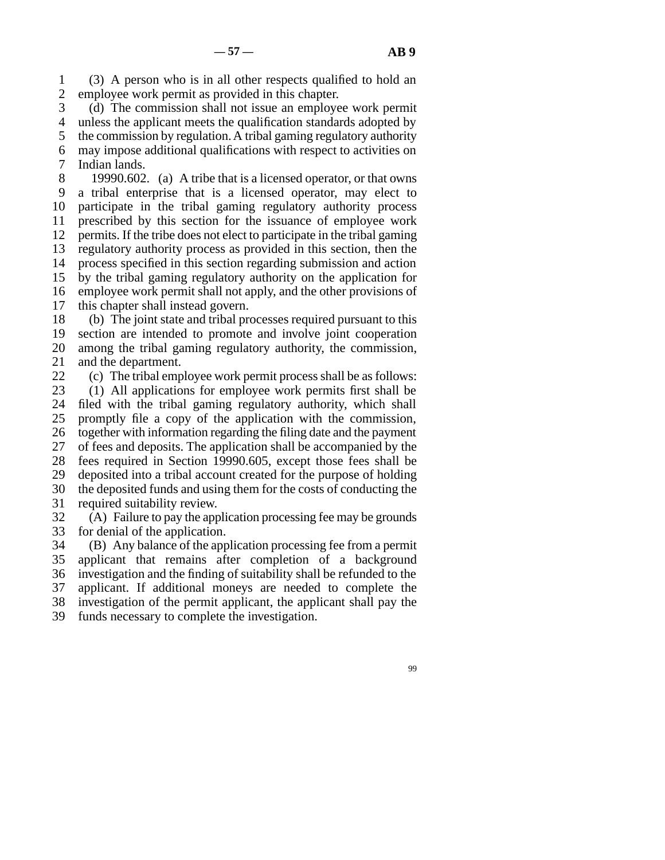1 (3) A person who is in all other respects qualified to hold an 2 employee work permit as provided in this chapter.

3 (d) The commission shall not issue an employee work permit 4 unless the applicant meets the qualification standards adopted by 5 the commission by regulation. A tribal gaming regulatory authority line 6 may impose additional qualifications with respect to activities on 7 Indian lands.

8 19990.602. (a) A tribe that is a licensed operator, or that owns line 9 a tribal enterprise that is a licensed operator, may elect to 10 participate in the tribal gaming regulatory authority process 11 prescribed by this section for the issuance of employee work 12 permits. If the tribe does not elect to participate in the tribal gaming 13 regulatory authority process as provided in this section, then the 14 process specified in this section regarding submission and action 15 by the tribal gaming regulatory authority on the application for 16 employee work permit shall not apply, and the other provisions of 17 this chapter shall instead govern.

18 (b) The joint state and tribal processes required pursuant to this 19 section are intended to promote and involve joint cooperation 20 among the tribal gaming regulatory authority, the commission, 21 and the department.

22 (c) The tribal employee work permit process shall be as follows:<br>23 (1) All applications for employee work permits first shall be  $\lceil 1 \rceil$  All applications for employee work permits first shall be 24 filed with the tribal gaming regulatory authority, which shall<br>25 promptly file a copy of the application with the commission, promptly file a copy of the application with the commission, 26 together with information regarding the filing date and the payment 27 of fees and deposits. The application shall be accompanied by the 28 fees required in Section 19990.605, except those fees shall be 29 deposited into a tribal account created for the purpose of holding 30 the deposited funds and using them for the costs of conducting the 31 required suitability review.

32 (A) Failure to pay the application processing fee may be grounds 33 for denial of the application.

34 (B) Any balance of the application processing fee from a permit 35 applicant that remains after completion of a background 36 investigation and the finding of suitability shall be refunded to the 37 applicant. If additional moneys are needed to complete the 38 investigation of the permit applicant, the applicant shall pay the 39 funds necessary to complete the investigation.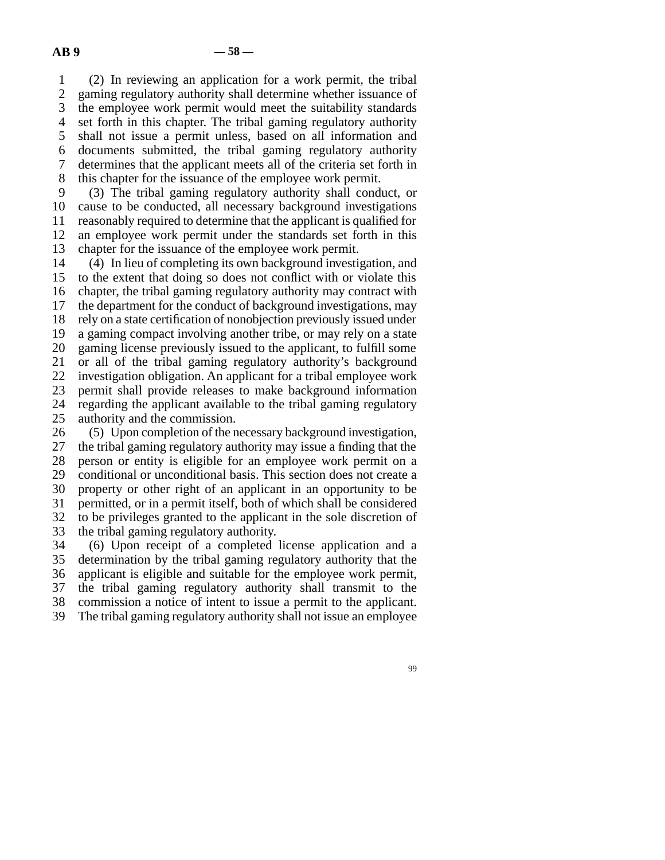line 1 (2) In reviewing an application for a work permit, the tribal 2 gaming regulatory authority shall determine whether issuance of 3 the employee work permit would meet the suitability standards the employee work permit would meet the suitability standards 4 set forth in this chapter. The tribal gaming regulatory authority 5 shall not issue a permit unless, based on all information and line 6 documents submitted, the tribal gaming regulatory authority 7 determines that the applicant meets all of the criteria set forth in 8 this chapter for the issuance of the employee work permit.

9 (3) The tribal gaming regulatory authority shall conduct, or 10 cause to be conducted, all necessary background investigations 11 reasonably required to determine that the applicant is qualified for 12 an employee work permit under the standards set forth in this 13 chapter for the issuance of the employee work permit.

14 (4) In lieu of completing its own background investigation, and 15 to the extent that doing so does not conflict with or violate this 16 chapter, the tribal gaming regulatory authority may contract with 17 the department for the conduct of background investigations, may 18 rely on a state certification of nonobjection previously issued under 19 a gaming compact involving another tribe, or may rely on a state 20 gaming license previously issued to the applicant, to fulfill some 21 or all of the tribal gaming regulatory authority's background 22 investigation obligation. An applicant for a tribal employee work 23 permit shall provide releases to make background information 24 regarding the applicant available to the tribal gaming regulatory<br>25 authority and the commission. authority and the commission.

26 (5) Upon completion of the necessary background investigation,<br>27 the tribal gaming regulatory authority may issue a finding that the the tribal gaming regulatory authority may issue a finding that the 28 person or entity is eligible for an employee work permit on a 29 conditional or unconditional basis. This section does not create a 30 property or other right of an applicant in an opportunity to be 31 permitted, or in a permit itself, both of which shall be considered 32 to be privileges granted to the applicant in the sole discretion of 33 the tribal gaming regulatory authority.

34 (6) Upon receipt of a completed license application and a 35 determination by the tribal gaming regulatory authority that the 36 applicant is eligible and suitable for the employee work permit, 37 the tribal gaming regulatory authority shall transmit to the 38 commission a notice of intent to issue a permit to the applicant. 39 The tribal gaming regulatory authority shall not issue an employee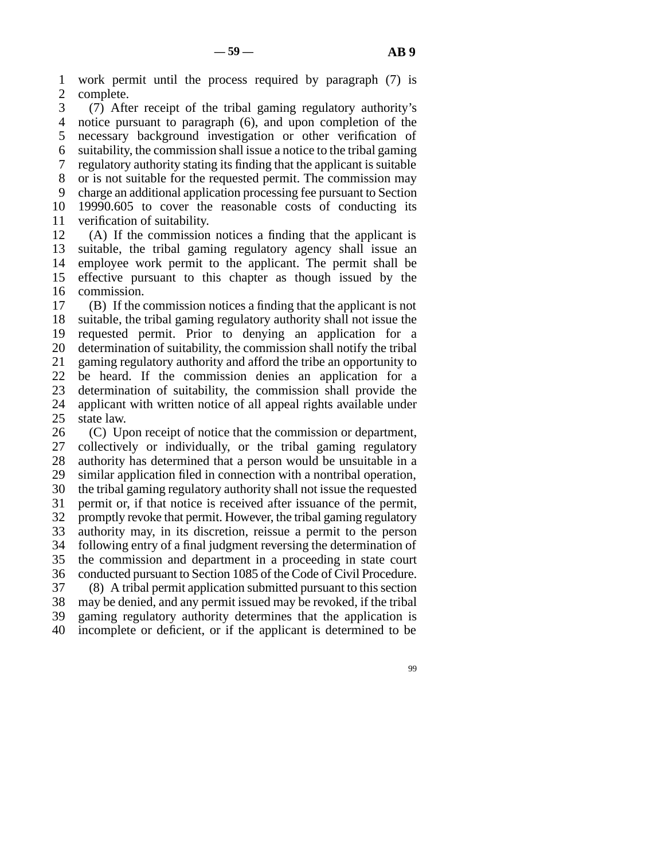line 1 work permit until the process required by paragraph (7) is 2 complete.<br>3  $(7)$  After

(7) After receipt of the tribal gaming regulatory authority's 4 notice pursuant to paragraph (6), and upon completion of the 5 necessary background investigation or other verification of line 6 suitability, the commission shall issue a notice to the tribal gaming line 7 regulatory authority stating its finding that the applicant is suitable 8 or is not suitable for the requested permit. The commission may 9 charge an additional application processing fee pursuant to Section 10 19990.605 to cover the reasonable costs of conducting its 11 verification of suitability.

 $12$  (A) If the commission notices a finding that the applicant is 13 suitable, the tribal gaming regulatory agency shall issue an 14 employee work permit to the applicant. The permit shall be 15 effective pursuant to this chapter as though issued by the 16 commission.

 $17$  (B) If the commission notices a finding that the applicant is not 18 suitable, the tribal gaming regulatory authority shall not issue the 19 requested permit. Prior to denying an application for a 20 determination of suitability, the commission shall notify the tribal 21 gaming regulatory authority and afford the tribe an opportunity to 22 be heard. If the commission denies an application for a 23 determination of suitability, the commission shall provide the 24 applicant with written notice of all appeal rights available under 25 state law. state law.

26 (C) Upon receipt of notice that the commission or department, 27 collectively or individually, or the tribal gaming regulatory 28 authority has determined that a person would be unsuitable in a 29 similar application filed in connection with a nontribal operation, 30 the tribal gaming regulatory authority shall not issue the requested 31 permit or, if that notice is received after issuance of the permit, 32 promptly revoke that permit. However, the tribal gaming regulatory 33 authority may, in its discretion, reissue a permit to the person 34 following entry of a final judgment reversing the determination of 35 the commission and department in a proceeding in state court 36 conducted pursuant to Section 1085 of the Code of Civil Procedure. line 37 (8) A tribal permit application submitted pursuant to this section 38 may be denied, and any permit issued may be revoked, if the tribal 39 gaming regulatory authority determines that the application is line 40 incomplete or deficient, or if the applicant is determined to be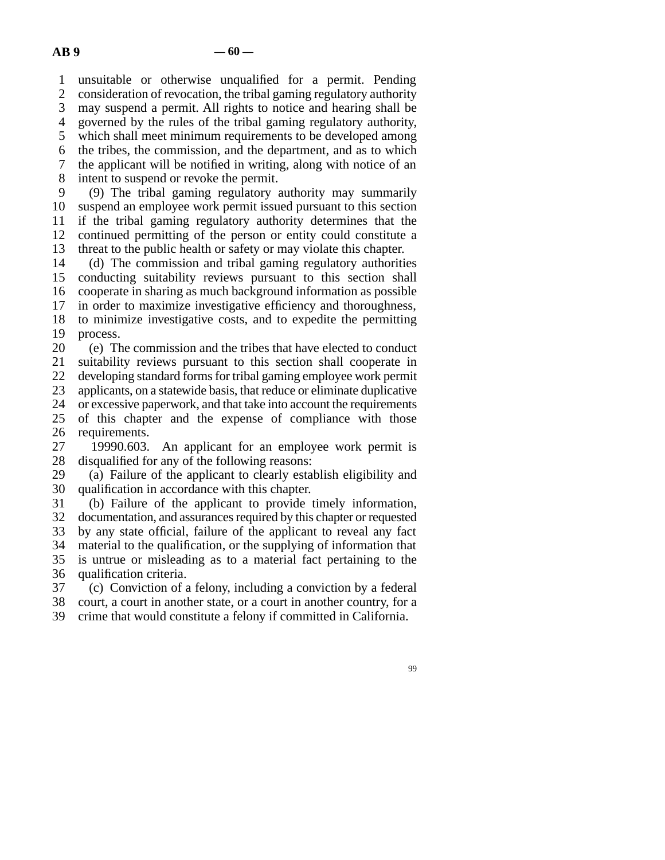line 1 unsuitable or otherwise unqualified for a permit. Pending 2 consideration of revocation, the tribal gaming regulatory authority 3 may suspend a permit. All rights to notice and hearing shall be line 4 governed by the rules of the tribal gaming regulatory authority, 5 which shall meet minimum requirements to be developed among line 6 the tribes, the commission, and the department, and as to which line 7 the applicant will be notified in writing, along with notice of an

8 intent to suspend or revoke the permit.

9 (9) The tribal gaming regulatory authority may summarily 10 suspend an employee work permit issued pursuant to this section 11 if the tribal gaming regulatory authority determines that the 12 continued permitting of the person or entity could constitute a continued permitting of the person or entity could constitute a 13 threat to the public health or safety or may violate this chapter.

14 (d) The commission and tribal gaming regulatory authorities 15 conducting suitability reviews pursuant to this section shall 16 cooperate in sharing as much background information as possible 17 in order to maximize investigative efficiency and thoroughness, 18 to minimize investigative costs, and to expedite the permitting 19 process.

20 (e) The commission and the tribes that have elected to conduct 21 suitability reviews pursuant to this section shall cooperate in 22 developing standard forms for tribal gaming employee work permit 23 applicants, on a statewide basis, that reduce or eliminate duplicative 24 or excessive paperwork, and that take into account the requirements<br>25 of this chapter and the expense of compliance with those

of this chapter and the expense of compliance with those 26 requirements.

27 19990.603. An applicant for an employee work permit is 28 disqualified for any of the following reasons:

29 (a) Failure of the applicant to clearly establish eligibility and 30 qualification in accordance with this chapter.

31 (b) Failure of the applicant to provide timely information, 32 documentation, and assurances required by this chapter or requested 33 by any state official, failure of the applicant to reveal any fact 34 material to the qualification, or the supplying of information that 35 is untrue or misleading as to a material fact pertaining to the 36 qualification criteria.

37 (c) Conviction of a felony, including a conviction by a federal 38 court, a court in another state, or a court in another country, for a 39 crime that would constitute a felony if committed in California.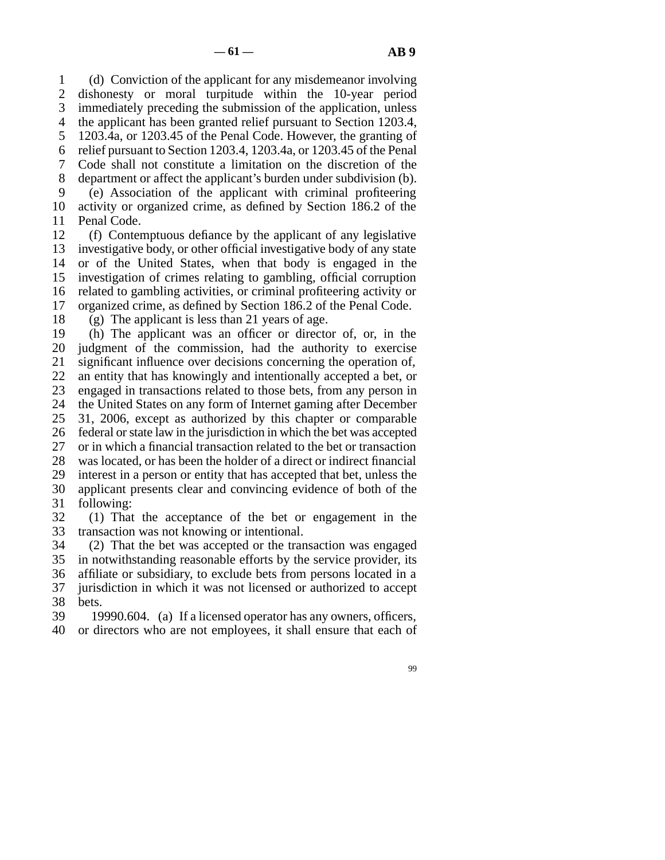line 1 (d) Conviction of the applicant for any misdemeanor involving 2 dishonesty or moral turpitude within the 10-year period 3 immediately preceding the submission of the application, unless 4 the applicant has been granted relief pursuant to Section 1203.4, 5 1203.4a, or 1203.45 of the Penal Code. However, the granting of 6 relief pursuant to Section 1203.4, 1203.4a, or 1203.45 of the Penal line 7 Code shall not constitute a limitation on the discretion of the 8 department or affect the applicant's burden under subdivision (b). 9 (e) Association of the applicant with criminal profiteering 10 activity or organized crime, as defined by Section 186.2 of the 11 Penal Code.

12 (f) Contemptuous defiance by the applicant of any legislative 13 investigative body, or other official investigative body of any state 14 or of the United States, when that body is engaged in the 15 investigation of crimes relating to gambling, official corruption 16 related to gambling activities, or criminal profiteering activity or 17 organized crime, as defined by Section 186.2 of the Penal Code.

18 (g) The applicant is less than 21 years of age.

19 (h) The applicant was an officer or director of, or, in the 20 judgment of the commission, had the authority to exercise 21 significant influence over decisions concerning the operation of, 22 an entity that has knowingly and intentionally accepted a bet, or 23 engaged in transactions related to those bets, from any person in 24 the United States on any form of Internet gaming after December<br>25 31, 2006, except as authorized by this chapter or comparable 31, 2006, except as authorized by this chapter or comparable 26 federal or state law in the jurisdiction in which the bet was accepted 27 or in which a financial transaction related to the bet or transaction 28 was located, or has been the holder of a direct or indirect financial 29 interest in a person or entity that has accepted that bet, unless the 30 applicant presents clear and convincing evidence of both of the 31 following:

32 (1) That the acceptance of the bet or engagement in the 33 transaction was not knowing or intentional.

34 (2) That the bet was accepted or the transaction was engaged 35 in notwithstanding reasonable efforts by the service provider, its 36 affiliate or subsidiary, to exclude bets from persons located in a 37 jurisdiction in which it was not licensed or authorized to accept 38 bets.

line 39 19990.604. (a) If a licensed operator has any owners, officers,

40 or directors who are not employees, it shall ensure that each of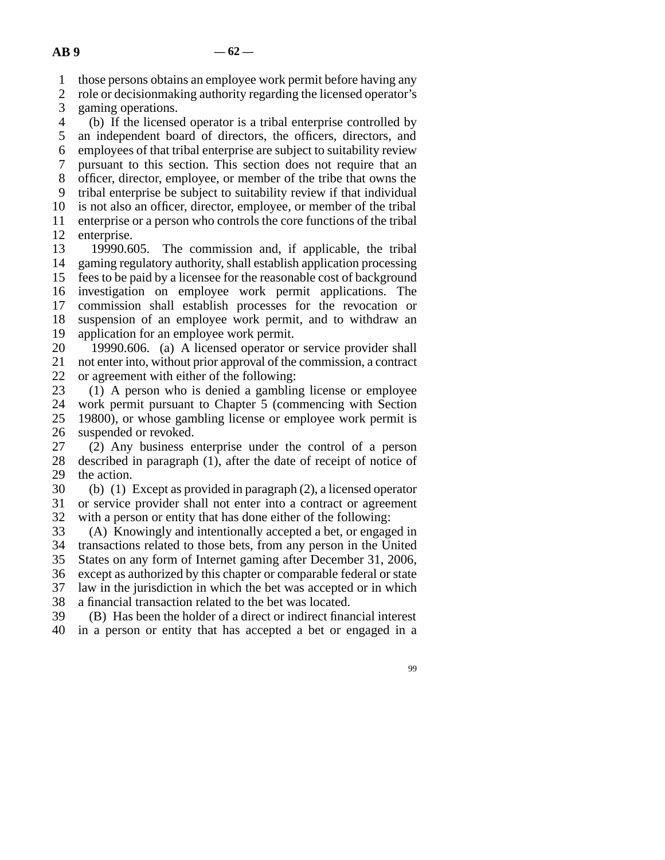line 1 those persons obtains an employee work permit before having any

2 role or decisionmaking authority regarding the licensed operator's 3 gaming operations.

4 (b) If the licensed operator is a tribal enterprise controlled by 5 an independent board of directors, the officers, directors, and line 6 employees of that tribal enterprise are subject to suitability review line 7 pursuant to this section. This section does not require that an 8 officer, director, employee, or member of the tribe that owns the 9 tribal enterprise be subject to suitability review if that individual 10 is not also an officer, director, employee, or member of the tribal 11 enterprise or a person who controls the core functions of the tribal 12 enterprise.

13 19990.605. The commission and, if applicable, the tribal 14 gaming regulatory authority, shall establish application processing 15 fees to be paid by a licensee for the reasonable cost of background 16 investigation on employee work permit applications. The 17 commission shall establish processes for the revocation or 18 suspension of an employee work permit, and to withdraw an 19 application for an employee work permit.

20 19990.606. (a) A licensed operator or service provider shall 21 not enter into, without prior approval of the commission, a contract 22 or agreement with either of the following:<br>23 (1) A person who is denied a gamblin

 $(1)$  A person who is denied a gambling license or employee 24 work permit pursuant to Chapter 5 (commencing with Section 25 19800), or whose gambling license or employee work permit is 19800), or whose gambling license or employee work permit is 26 suspended or revoked.

27 (2) Any business enterprise under the control of a person 28 described in paragraph (1), after the date of receipt of notice of 29 the action.

30 (b) (1) Except as provided in paragraph  $(2)$ , a licensed operator 31 or service provider shall not enter into a contract or agreement 32 with a person or entity that has done either of the following:

33 (A) Knowingly and intentionally accepted a bet, or engaged in 34 transactions related to those bets, from any person in the United 35 States on any form of Internet gaming after December 31, 2006, 36 except as authorized by this chapter or comparable federal or state 37 law in the jurisdiction in which the bet was accepted or in which 38 a financial transaction related to the bet was located.

39 (B) Has been the holder of a direct or indirect financial interest 40 in a person or entity that has accepted a bet or engaged in a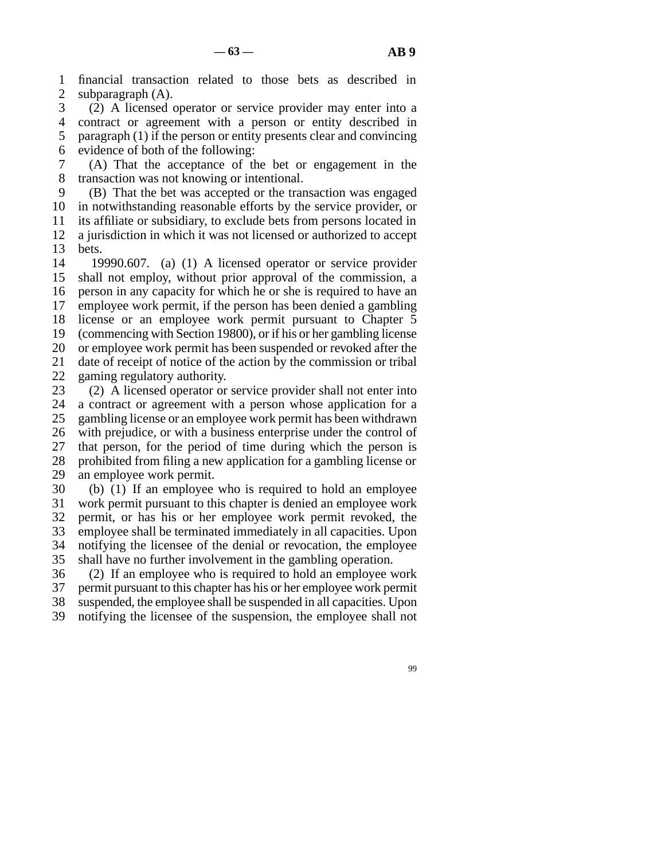1 financial transaction related to those bets as described in 2 subparagraph  $(A)$ .

3 (2) A licensed operator or service provider may enter into a 4 contract or agreement with a person or entity described in  $\delta$  paragraph (1) if the person or entity presents clear and convincing  $\delta$  evidence of both of the following:

 line 7 (A) That the acceptance of the bet or engagement in the 8 transaction was not knowing or intentional.

9 (B) That the bet was accepted or the transaction was engaged 10 in notwithstanding reasonable efforts by the service provider, or 11 its affiliate or subsidiary, to exclude bets from persons located in 12 a jurisdiction in which it was not licensed or authorized to accept

13 bets.

14 19990.607. (a) (1) A licensed operator or service provider 15 shall not employ, without prior approval of the commission, a 16 person in any capacity for which he or she is required to have an 17 employee work permit, if the person has been denied a gambling 18 license or an employee work permit pursuant to Chapter 5 19 (commencing with Section 19800), or if his or her gambling license 20 or employee work permit has been suspended or revoked after the 21 date of receipt of notice of the action by the commission or tribal 22 gaming regulatory authority.<br>23  $(2)$  A licensed operator or

 $\lambda$  (2) A licensed operator or service provider shall not enter into 24 a contract or agreement with a person whose application for a 25 gambling license or an employee work permit has been withdrawn gambling license or an employee work permit has been withdrawn 26 with prejudice, or with a business enterprise under the control of 27 that person, for the period of time during which the person is 28 prohibited from filing a new application for a gambling license or 29 an employee work permit.

30 (b) (1) If an employee who is required to hold an employee 31 work permit pursuant to this chapter is denied an employee work 32 permit, or has his or her employee work permit revoked, the 33 employee shall be terminated immediately in all capacities. Upon 34 notifying the licensee of the denial or revocation, the employee 35 shall have no further involvement in the gambling operation.

 $36$  (2) If an employee who is required to hold an employee work 37 permit pursuant to this chapter has his or her employee work permit 38 suspended, the employee shall be suspended in all capacities. Upon 39 notifying the licensee of the suspension, the employee shall not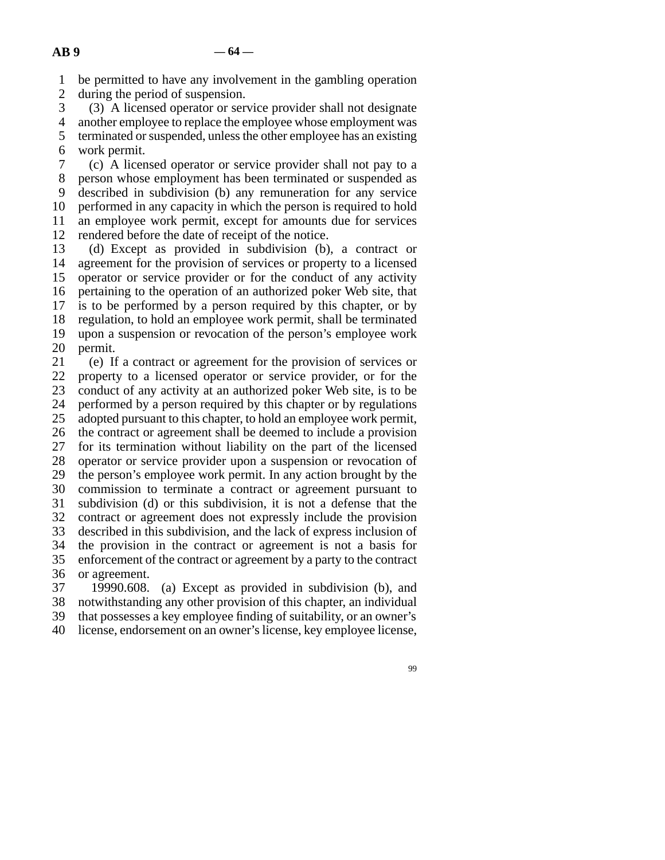line 1 be permitted to have any involvement in the gambling operation 2 during the period of suspension.<br>3 (3) A licensed operator or ser

(3) A licensed operator or service provider shall not designate 4 another employee to replace the employee whose employment was 5 terminated or suspended, unless the other employee has an existing

6 work permit.

 line 7 (c) A licensed operator or service provider shall not pay to a 8 person whose employment has been terminated or suspended as 9 described in subdivision (b) any remuneration for any service 10 performed in any capacity in which the person is required to hold 11 an employee work permit, except for amounts due for services 12 rendered before the date of receipt of the notice.

13 (d) Except as provided in subdivision (b), a contract or 14 agreement for the provision of services or property to a licensed 15 operator or service provider or for the conduct of any activity 16 pertaining to the operation of an authorized poker Web site, that 17 is to be performed by a person required by this chapter, or by 18 regulation, to hold an employee work permit, shall be terminated 19 upon a suspension or revocation of the person's employee work 20 permit.

21 (e) If a contract or agreement for the provision of services or 22 property to a licensed operator or service provider, or for the 23 conduct of any activity at an authorized poker Web site, is to be 24 performed by a person required by this chapter or by regulations<br>25 adopted pursuant to this chapter, to hold an employee work permit, adopted pursuant to this chapter, to hold an employee work permit, 26 the contract or agreement shall be deemed to include a provision 27 for its termination without liability on the part of the licensed 28 operator or service provider upon a suspension or revocation of 29 the person's employee work permit. In any action brought by the 30 commission to terminate a contract or agreement pursuant to 31 subdivision (d) or this subdivision, it is not a defense that the 32 contract or agreement does not expressly include the provision 33 described in this subdivision, and the lack of express inclusion of 34 the provision in the contract or agreement is not a basis for 35 enforcement of the contract or agreement by a party to the contract 36 or agreement.

37 19990.608. (a) Except as provided in subdivision (b), and 38 notwithstanding any other provision of this chapter, an individual 39 that possesses a key employee finding of suitability, or an owner's line 40 license, endorsement on an owner's license, key employee license,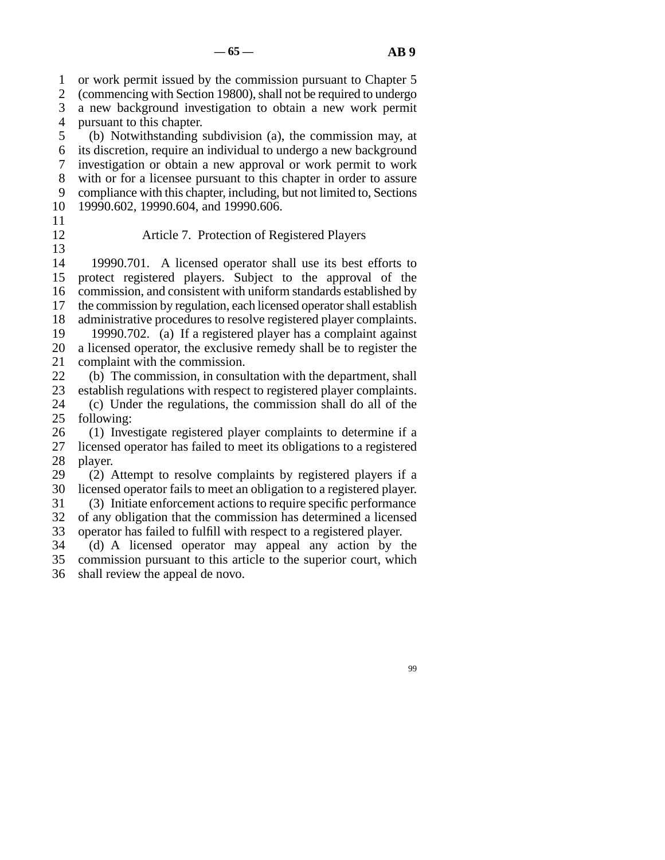1 or work permit issued by the commission pursuant to Chapter 5 2 (commencing with Section 19800), shall not be required to undergo

3 a new background investigation to obtain a new work permit 4 pursuant to this chapter.

 line 5 (b) Notwithstanding subdivision (a), the commission may, at 6 its discretion, require an individual to undergo a new background line 7 investigation or obtain a new approval or work permit to work 8 with or for a licensee pursuant to this chapter in order to assure 9 compliance with this chapter, including, but not limited to, Sections line 10 19990.602, 19990.604, and 19990.606.

- $\frac{11}{12}$
- 

### Article 7. Protection of Registered Players

 $\frac{13}{14}$ 19990.701. A licensed operator shall use its best efforts to 15 protect registered players. Subject to the approval of the 16 commission, and consistent with uniform standards established by 17 the commission by regulation, each licensed operator shall establish 18 administrative procedures to resolve registered player complaints. 19 19990.702. (a) If a registered player has a complaint against 20 a licensed operator, the exclusive remedy shall be to register the 21 complaint with the commission.

22 (b) The commission, in consultation with the department, shall<br>23 establish regulations with respect to registered player complaints. establish regulations with respect to registered player complaints. 24 (c) Under the regulations, the commission shall do all of the 25 following:

following:

26 (1) Investigate registered player complaints to determine if a 27 licensed operator has failed to meet its obligations to a registered 28 player.

29 (2) Attempt to resolve complaints by registered players if a 30 licensed operator fails to meet an obligation to a registered player.

31 (3) Initiate enforcement actions to require specific performance 32 of any obligation that the commission has determined a licensed 33 operator has failed to fulfill with respect to a registered player.

34 (d) A licensed operator may appeal any action by the 35 commission pursuant to this article to the superior court, which 36 shall review the appeal de novo.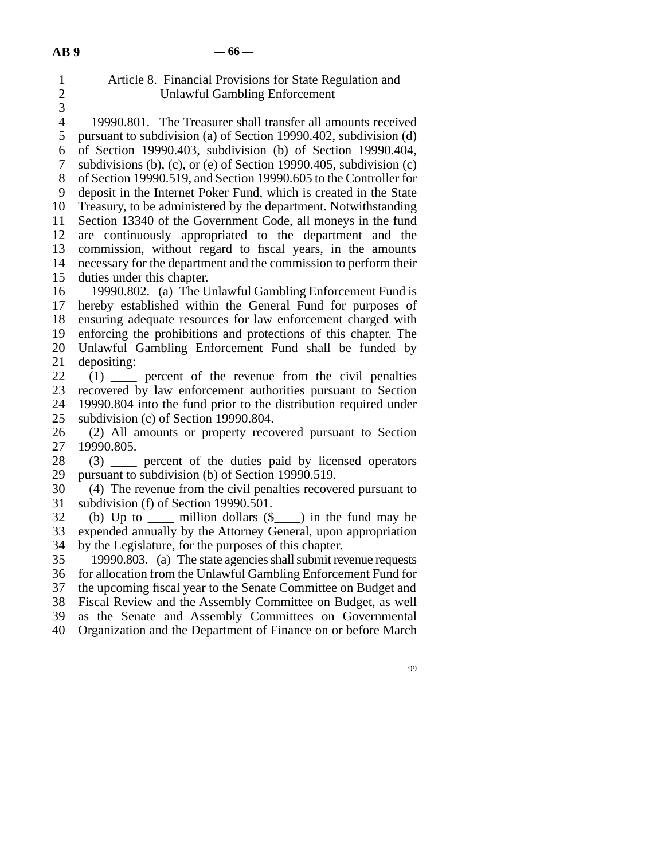# line 1 Article 8. Financial Provisions for State Regulation and 2 Unlawful Gambling Enforcement

 $\mathfrak{Z}$ 4 19990.801. The Treasurer shall transfer all amounts received 5 pursuant to subdivision (a) of Section 19990.402, subdivision (d) 6 of Section 19990.403, subdivision (b) of Section 19990.404, 7 subdivisions (b), (c), or (e) of Section 19990.405, subdivision (c) 8 of Section 19990.519, and Section 19990.605 to the Controller for 9 deposit in the Internet Poker Fund, which is created in the State 10 Treasury, to be administered by the department. Notwithstanding 11 Section 13340 of the Government Code, all moneys in the fund 12 are continuously appropriated to the department and the 13 commission, without regard to fiscal years, in the amounts 14 necessary for the department and the commission to perform their 15 duties under this chapter.

16 19990.802. (a) The Unlawful Gambling Enforcement Fund is 17 hereby established within the General Fund for purposes of 18 ensuring adequate resources for law enforcement charged with 19 enforcing the prohibitions and protections of this chapter. The 20 Unlawful Gambling Enforcement Fund shall be funded by 21 depositing:

22 (1)  $\mu$  percent of the revenue from the civil penalties<br>23 recovered by law enforcement authorities pursuant to Section recovered by law enforcement authorities pursuant to Section 24 19990.804 into the fund prior to the distribution required under<br>25 subdivision (c) of Section 19990.804. subdivision (c) of Section 19990.804.

26 (2) All amounts or property recovered pursuant to Section 27 19990.805. 19990.805.

 line 28 (3) \_\_\_\_ percent of the duties paid by licensed operators 29 pursuant to subdivision (b) of Section 19990.519.

- 30 (4) The revenue from the civil penalties recovered pursuant to 31 subdivision (f) of Section 19990.501.
- 32 (b) Up to  $\frac{1}{33}$  million dollars (\$ $\frac{1}{33}$ ) in the fund may be expended annually by the Attorney General, upon appropriation expended annually by the Attorney General, upon appropriation 34 by the Legislature, for the purposes of this chapter.
- line 35 19990.803. (a) The state agencies shall submit revenue requests 36 for allocation from the Unlawful Gambling Enforcement Fund for 37 the upcoming fiscal year to the Senate Committee on Budget and 38 Fiscal Review and the Assembly Committee on Budget, as well 39 as the Senate and Assembly Committees on Governmental 40 Organization and the Department of Finance on or before March
	- 99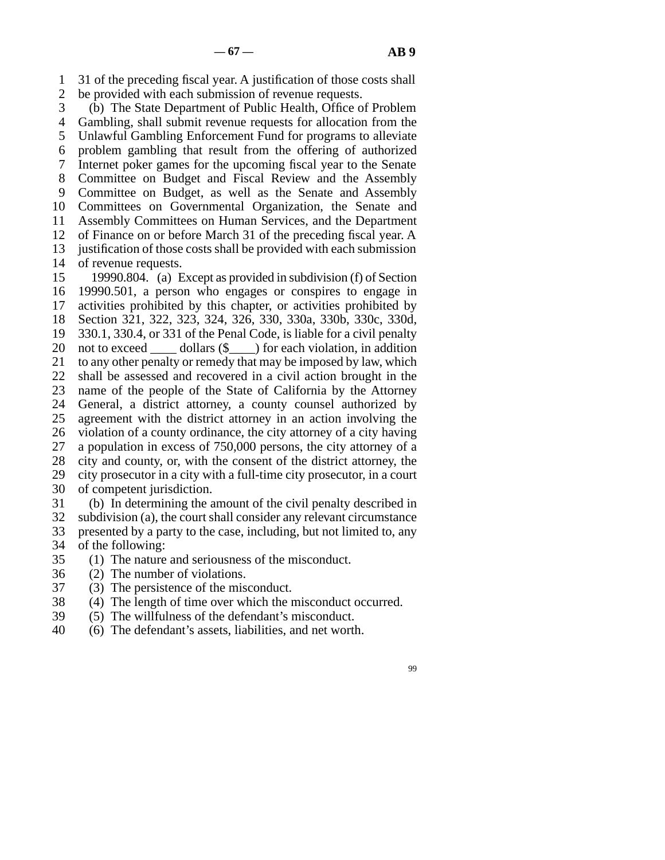1 31 of the preceding fiscal year. A justification of those costs shall

2 be provided with each submission of revenue requests.<br>3 (b) The State Department of Public Health, Office of (b) The State Department of Public Health, Office of Problem 4 Gambling, shall submit revenue requests for allocation from the 5 Unlawful Gambling Enforcement Fund for programs to alleviate line 6 problem gambling that result from the offering of authorized 7 Internet poker games for the upcoming fiscal year to the Senate 8 Committee on Budget and Fiscal Review and the Assembly 9 Committee on Budget, as well as the Senate and Assembly 10 Committees on Governmental Organization, the Senate and 11 Assembly Committees on Human Services, and the Department 12 of Finance on or before March 31 of the preceding fiscal year. A 13 justification of those costs shall be provided with each submission 14 of revenue requests.

15 19990.804. (a) Except as provided in subdivision (f) of Section 16 19990.501, a person who engages or conspires to engage in 17 activities prohibited by this chapter, or activities prohibited by line 18 Section 321, 322, 323, 324, 326, 330, 330a, 330b, 330c, 330d, 19 330.1, 330.4, or 331 of the Penal Code, is liable for a civil penalty 20 not to exceed  $\_\_$  dollars (\$ $\_\_$ ) for each violation, in addition 21 to any other penalty or remedy that may be imposed by law, which 22 shall be assessed and recovered in a civil action brought in the 23 name of the people of the State of California by the Attorney 24 General, a district attorney, a county counsel authorized by 25 agreement with the district attorney in an action involving the agreement with the district attorney in an action involving the 26 violation of a county ordinance, the city attorney of a city having 27 a population in excess of 750,000 persons, the city attorney of a 28 city and county, or, with the consent of the district attorney, the 29 city prosecutor in a city with a full-time city prosecutor, in a court 30 of competent jurisdiction. 31 (b) In determining the amount of the civil penalty described in

 $32$  subdivision (a), the court shall consider any relevant circumstance 33 presented by a party to the case, including, but not limited to, any

- 34 of the following:
- 35 (1) The nature and seriousness of the misconduct.
- 36 (2) The number of violations.
- 37 (3) The persistence of the misconduct.
- 18 (4) The length of time over which the misconduct occurred.<br>
39 (5) The willfulness of the defendant's misconduct.
- $\lambda$  (5) The willfulness of the defendant's misconduct.
- 40 (6) The defendant's assets, liabilities, and net worth.
- 99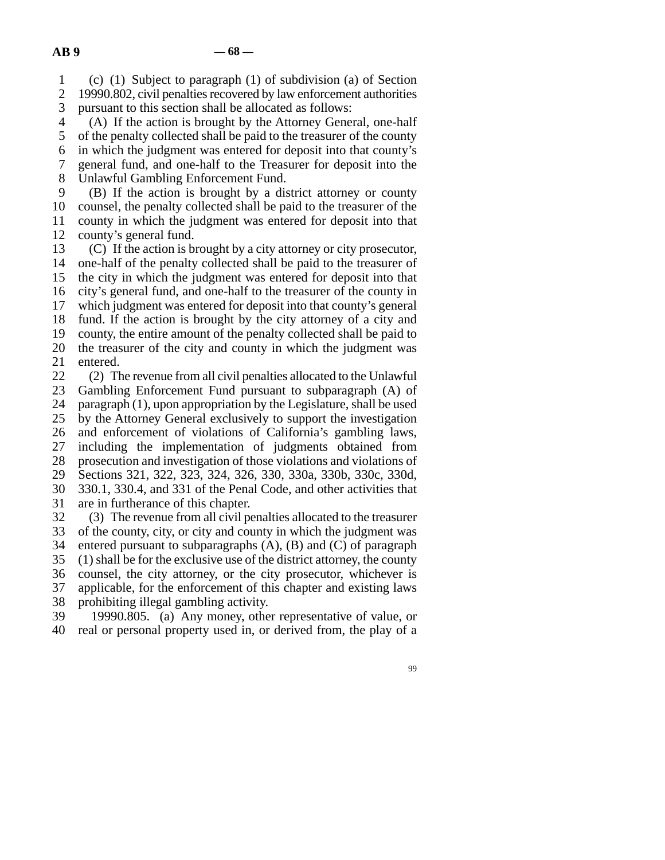line 1 (c) (1) Subject to paragraph (1) of subdivision (a) of Section 2 19990.802, civil penalties recovered by law enforcement authorities

3 pursuant to this section shall be allocated as follows:

4 (A) If the action is brought by the Attorney General, one-half 5 of the penalty collected shall be paid to the treasurer of the county 6 in which the judgment was entered for deposit into that county's line 7 general fund, and one-half to the Treasurer for deposit into the

8 Unlawful Gambling Enforcement Fund.

9 (B) If the action is brought by a district attorney or county 10 counsel, the penalty collected shall be paid to the treasurer of the 11 county in which the judgment was entered for deposit into that 12 county's general fund.

13 (C) If the action is brought by a city attorney or city prosecutor, 14 one-half of the penalty collected shall be paid to the treasurer of 15 the city in which the judgment was entered for deposit into that 16 city's general fund, and one-half to the treasurer of the county in 17 which judgment was entered for deposit into that county's general 18 fund. If the action is brought by the city attorney of a city and 19 county, the entire amount of the penalty collected shall be paid to 20 the treasurer of the city and county in which the judgment was 21 entered.

22 (2) The revenue from all civil penalties allocated to the Unlawful<br>23 Gambling Enforcement Fund pursuant to subparagraph (A) of Gambling Enforcement Fund pursuant to subparagraph (A) of 24 paragraph (1), upon appropriation by the Legislature, shall be used<br>25 by the Attorney General exclusively to support the investigation by the Attorney General exclusively to support the investigation 26 and enforcement of violations of California's gambling laws, 27 including the implementation of judgments obtained from 28 prosecution and investigation of those violations and violations of line 29 Sections 321, 322, 323, 324, 326, 330, 330a, 330b, 330c, 330d, 30 330.1, 330.4, and 331 of the Penal Code, and other activities that 31 are in furtherance of this chapter. 32 (3) The revenue from all civil penalties allocated to the treasurer

33 of the county, city, or city and county in which the judgment was 34 entered pursuant to subparagraphs  $(A)$ ,  $(B)$  and  $(C)$  of paragraph  $35$  (1) shall be for the exclusive use of the district attorney, the county 36 counsel, the city attorney, or the city prosecutor, whichever is 37 applicable, for the enforcement of this chapter and existing laws

38 prohibiting illegal gambling activity.<br>39 19990.805. (a) Any money, other

19990.805. (a) Any money, other representative of value, or 40 real or personal property used in, or derived from, the play of a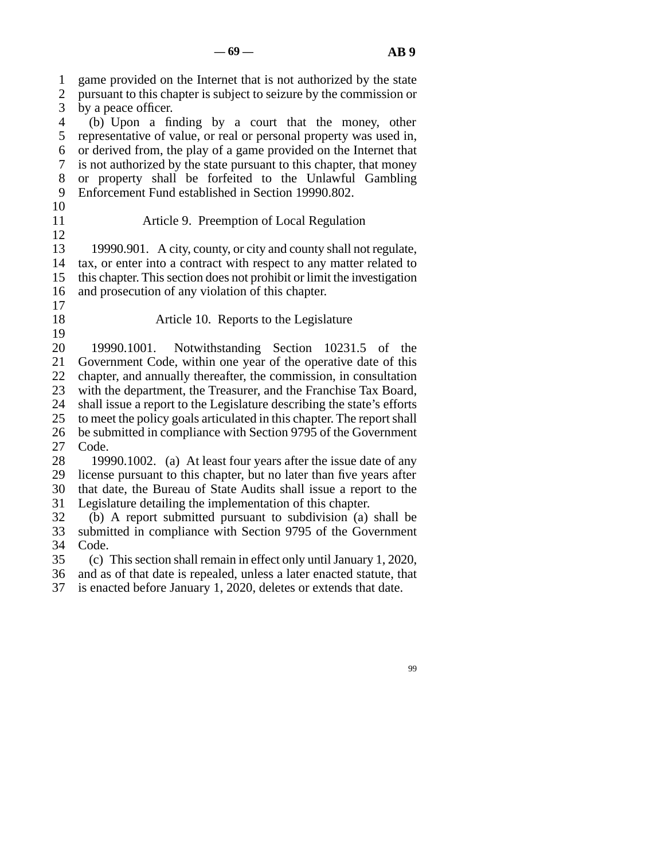1 game provided on the Internet that is not authorized by the state 2 pursuant to this chapter is subject to seizure by the commission or 3 by a peace officer. 4 (b) Upon a finding by a court that the money, other 5 representative of value, or real or personal property was used in, line 6 or derived from, the play of a game provided on the Internet that lacktriangleright 7 is not authorized by the state pursuant to this chapter, that money 8 or property shall be forfeited to the Unlawful Gambling 9 Enforcement Fund established in Section 19990.802. line 10 line 11 Article 9. Preemption of Local Regulation  $12$ 13 19990.901. A city, county, or city and county shall not regulate, 14 tax, or enter into a contract with respect to any matter related to 15 this chapter. This section does not prohibit or limit the investigation 16 and prosecution of any violation of this chapter. line 17 18 Article 10. Reports to the Legislature line 19 20 19990.1001. Notwithstanding Section 10231.5 of the 21 Government Code, within one year of the operative date of this 22 chapter, and annually thereafter, the commission, in consultation 23 with the department, the Treasurer, and the Franchise Tax Board, 24 shall issue a report to the Legislature describing the state's efforts<br>25 to meet the policy goals articulated in this chapter. The report shall to meet the policy goals articulated in this chapter. The report shall 26 be submitted in compliance with Section 9795 of the Government 27 Code. 28 19990.1002. (a) At least four years after the issue date of any 29 license pursuant to this chapter, but no later than five years after 30 that date, the Bureau of State Audits shall issue a report to the 31 Legislature detailing the implementation of this chapter. 32 (b) A report submitted pursuant to subdivision (a) shall be 33 submitted in compliance with Section 9795 of the Government 34 Code. line 35 (c) This section shall remain in effect only until January 1, 2020,

36 and as of that date is repealed, unless a later enacted statute, that 37 is enacted before January 1, 2020, deletes or extends that date.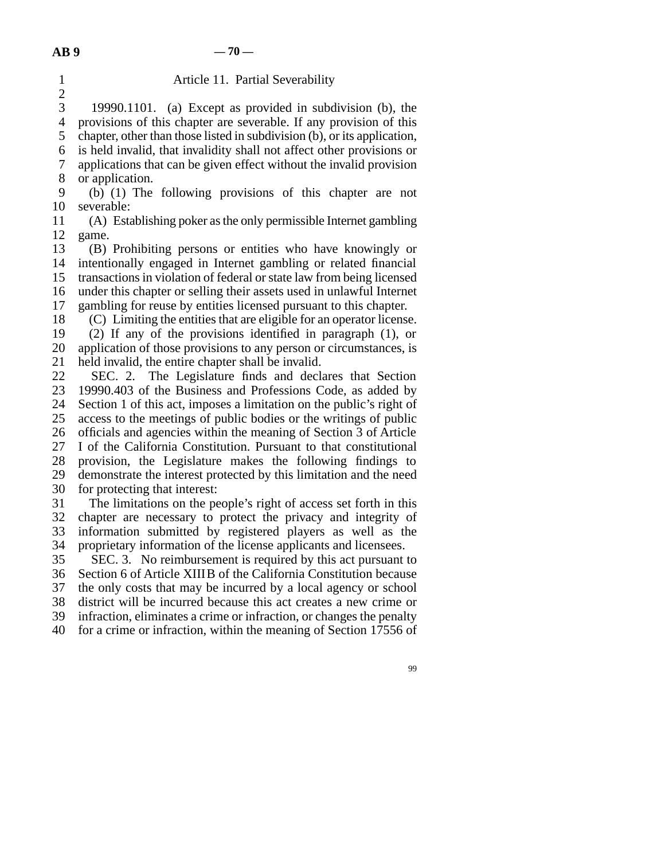1 **Article 11. Partial Severability**  $\frac{2}{3}$ 19990.1101. (a) Except as provided in subdivision  $(b)$ , the 4 provisions of this chapter are severable. If any provision of this 5 chapter, other than those listed in subdivision (b), or its application, line 6 is held invalid, that invalidity shall not affect other provisions or 7 applications that can be given effect without the invalid provision 8 or application. 9 (b) (1) The following provisions of this chapter are not 10 severable: line 11 (A) Establishing poker as the only permissible Internet gambling 12 game. 13 (B) Prohibiting persons or entities who have knowingly or 14 intentionally engaged in Internet gambling or related financial 15 transactions in violation of federal or state law from being licensed 16 under this chapter or selling their assets used in unlawful Internet 17 gambling for reuse by entities licensed pursuant to this chapter. 18 (C) Limiting the entities that are eligible for an operator license. 19 (2) If any of the provisions identified in paragraph (1), or 20 application of those provisions to any person or circumstances, is 21 held invalid, the entire chapter shall be invalid. 22 SEC. 2. The Legislature finds and declares that Section<br>23 19990.403 of the Business and Professions Code. as added by 19990.403 of the Business and Professions Code, as added by 24 Section 1 of this act, imposes a limitation on the public's right of 25 access to the meetings of public bodies or the writings of public access to the meetings of public bodies or the writings of public 26 officials and agencies within the meaning of Section 3 of Article 27 I of the California Constitution. Pursuant to that constitutional 28 provision, the Legislature makes the following findings to 29 demonstrate the interest protected by this limitation and the need 30 for protecting that interest: 31 The limitations on the people's right of access set forth in this 32 chapter are necessary to protect the privacy and integrity of 33 information submitted by registered players as well as the 34 proprietary information of the license applicants and licensees. 35 SEC. 3. No reimbursement is required by this act pursuant to 36 Section 6 of Article XIIIB of the California Constitution because 37 the only costs that may be incurred by a local agency or school 38 district will be incurred because this act creates a new crime or 39 infraction, eliminates a crime or infraction, or changes the penalty 40 for a crime or infraction, within the meaning of Section 17556 of